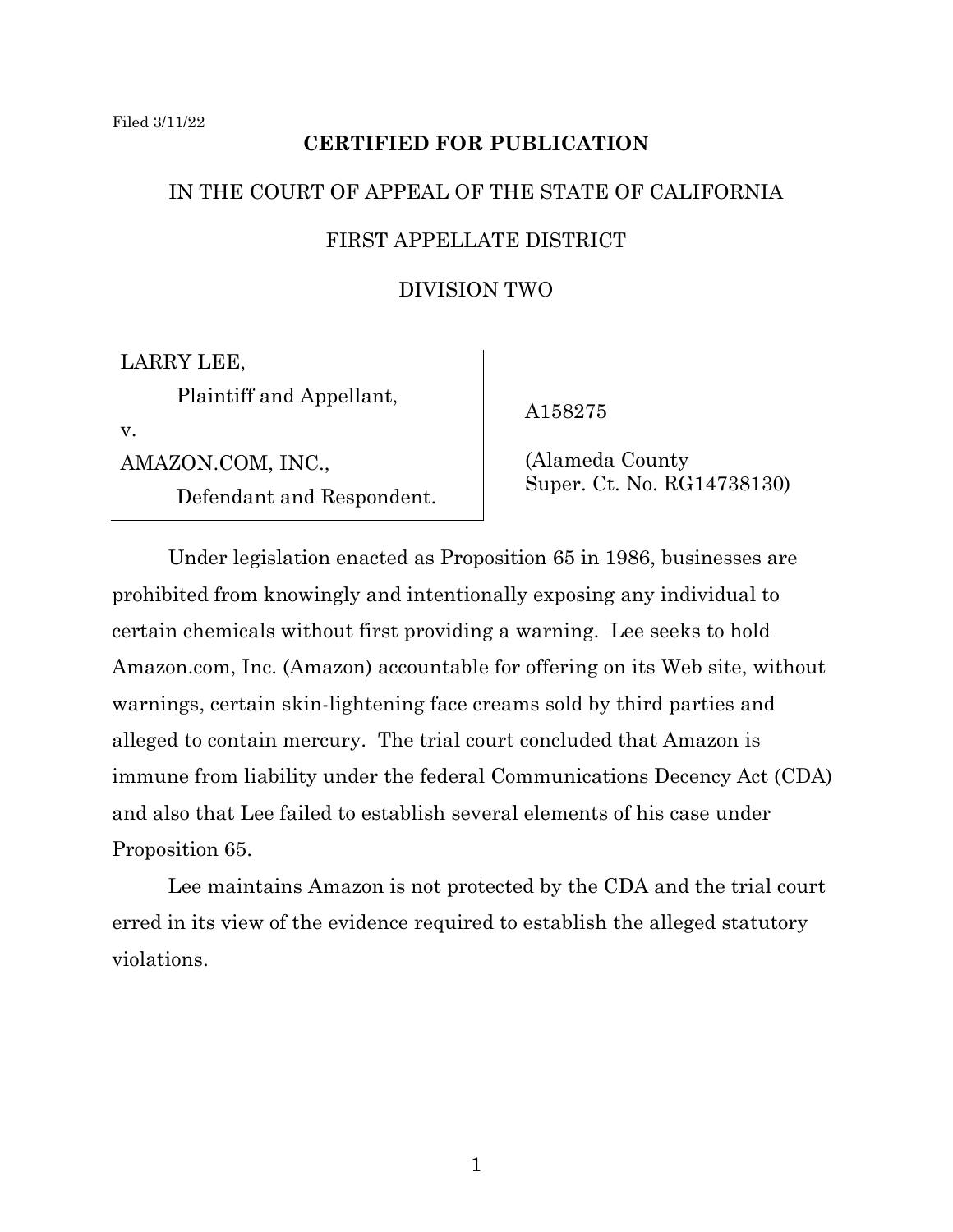# **CERTIFIED FOR PUBLICATION**

# IN THE COURT OF APPEAL OF THE STATE OF CALIFORNIA FIRST APPELLATE DISTRICT

## DIVISION TWO

LARRY LEE, Plaintiff and Appellant, v.

AMAZON.COM, INC.,

Defendant and Respondent.

A158275

 (Alameda County Super. Ct. No. RG14738130)

Under legislation enacted as Proposition 65 in 1986, businesses are prohibited from knowingly and intentionally exposing any individual to certain chemicals without first providing a warning. Lee seeks to hold Amazon.com, Inc. (Amazon) accountable for offering on its Web site, without warnings, certain skin-lightening face creams sold by third parties and alleged to contain mercury. The trial court concluded that Amazon is immune from liability under the federal Communications Decency Act (CDA) and also that Lee failed to establish several elements of his case under Proposition 65.

Lee maintains Amazon is not protected by the CDA and the trial court erred in its view of the evidence required to establish the alleged statutory violations.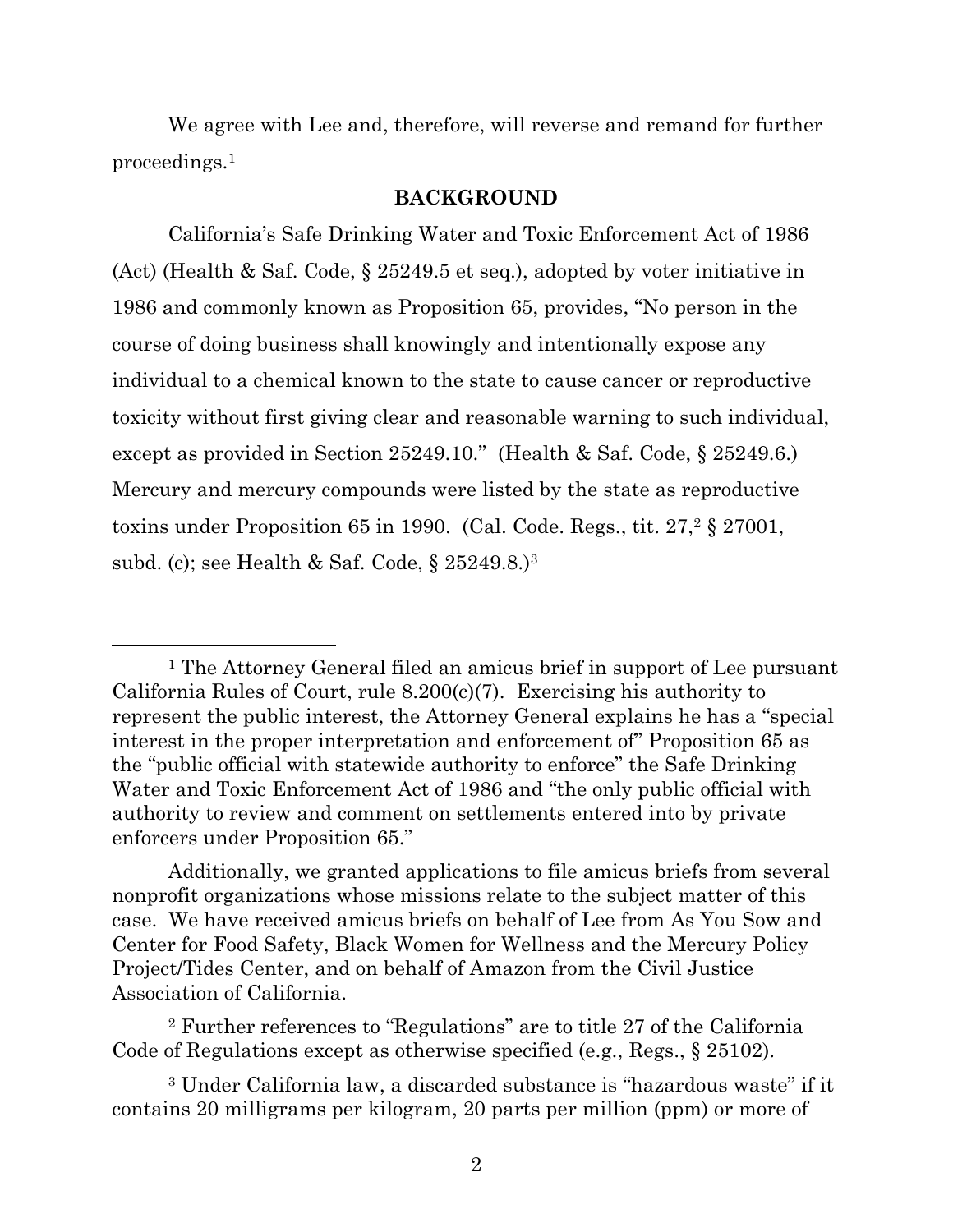We agree with Lee and, therefore, will reverse and remand for further proceedings.<sup>1</sup>

### **BACKGROUND**

California's Safe Drinking Water and Toxic Enforcement Act of 1986 (Act) (Health & Saf. Code, § 25249.5 et seq.), adopted by voter initiative in 1986 and commonly known as Proposition 65, provides, "No person in the course of doing business shall knowingly and intentionally expose any individual to a chemical known to the state to cause cancer or reproductive toxicity without first giving clear and reasonable warning to such individual, except as provided in Section 25249.10." (Health & Saf. Code, § 25249.6.) Mercury and mercury compounds were listed by the state as reproductive toxins under Proposition 65 in 1990. (Cal. Code. Regs., tit.  $27<sup>2</sup>$  § 27001, subd. (c); see Health & Saf. Code, § 25249.8.)<sup>3</sup>

<sup>1</sup> The Attorney General filed an amicus brief in support of Lee pursuant California Rules of Court, rule 8.200(c)(7). Exercising his authority to represent the public interest, the Attorney General explains he has a "special interest in the proper interpretation and enforcement of" Proposition 65 as the "public official with statewide authority to enforce" the Safe Drinking Water and Toxic Enforcement Act of 1986 and "the only public official with authority to review and comment on settlements entered into by private enforcers under Proposition 65."

Additionally, we granted applications to file amicus briefs from several nonprofit organizations whose missions relate to the subject matter of this case. We have received amicus briefs on behalf of Lee from As You Sow and Center for Food Safety, Black Women for Wellness and the Mercury Policy Project/Tides Center, and on behalf of Amazon from the Civil Justice Association of California.

<sup>2</sup> Further references to "Regulations" are to title 27 of the California Code of Regulations except as otherwise specified (e.g., Regs., § 25102).

<sup>3</sup> Under California law, a discarded substance is "hazardous waste" if it contains 20 milligrams per kilogram, 20 parts per million (ppm) or more of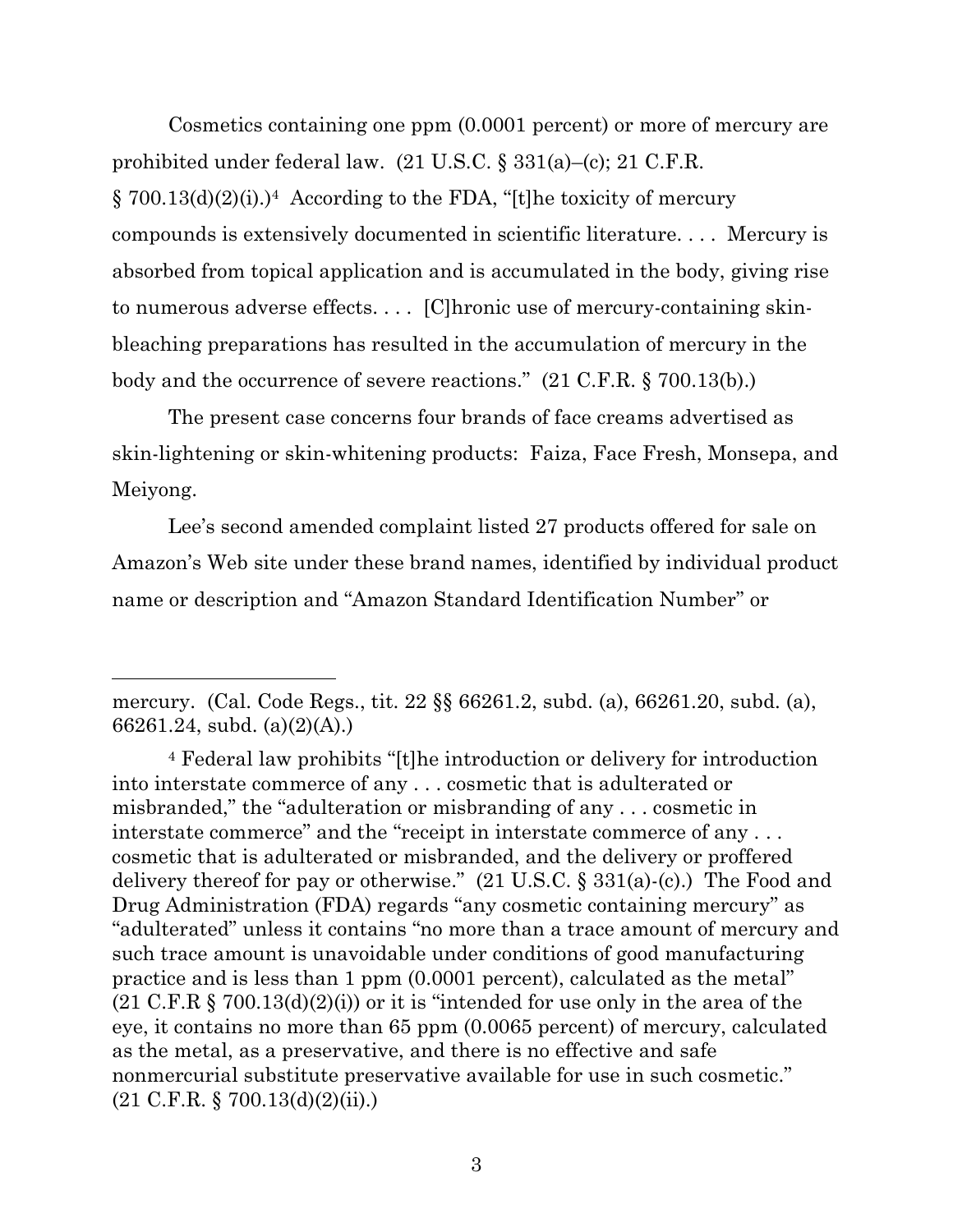Cosmetics containing one ppm (0.0001 percent) or more of mercury are prohibited under federal law. (21 U.S.C. § 331(a)–(c); 21 C.F.R.  $\S 700.13(d)(2)(i).$ <sup>4</sup> According to the FDA, "[t]he toxicity of mercury compounds is extensively documented in scientific literature. . . . Mercury is absorbed from topical application and is accumulated in the body, giving rise to numerous adverse effects. . . . [C]hronic use of mercury-containing skinbleaching preparations has resulted in the accumulation of mercury in the body and the occurrence of severe reactions." (21 C.F.R. § 700.13(b).)

The present case concerns four brands of face creams advertised as skin-lightening or skin-whitening products: Faiza, Face Fresh, Monsepa, and Meiyong.

Lee's second amended complaint listed 27 products offered for sale on Amazon's Web site under these brand names, identified by individual product name or description and "Amazon Standard Identification Number" or

mercury. (Cal. Code Regs., tit. 22 §§ 66261.2, subd. (a), 66261.20, subd. (a), 66261.24, subd. (a)(2)(A).)

<sup>4</sup> Federal law prohibits "[t]he introduction or delivery for introduction into interstate commerce of any . . . cosmetic that is adulterated or misbranded," the "adulteration or misbranding of any . . . cosmetic in interstate commerce" and the "receipt in interstate commerce of any . . . cosmetic that is adulterated or misbranded, and the delivery or proffered delivery thereof for pay or otherwise." (21 U.S.C. § 331(a)-(c).) The Food and Drug Administration (FDA) regards "any cosmetic containing mercury" as "adulterated" unless it contains "no more than a trace amount of mercury and such trace amount is unavoidable under conditions of good manufacturing practice and is less than 1 ppm (0.0001 percent), calculated as the metal"  $(21 \text{ C.F.R } \S$  700.13(d)(2)(i)) or it is "intended for use only in the area of the eye, it contains no more than 65 ppm (0.0065 percent) of mercury, calculated as the metal, as a preservative, and there is no effective and safe nonmercurial substitute preservative available for use in such cosmetic."  $(21 \text{ C.F.R. } § 700.13(d)(2)(ii))$ .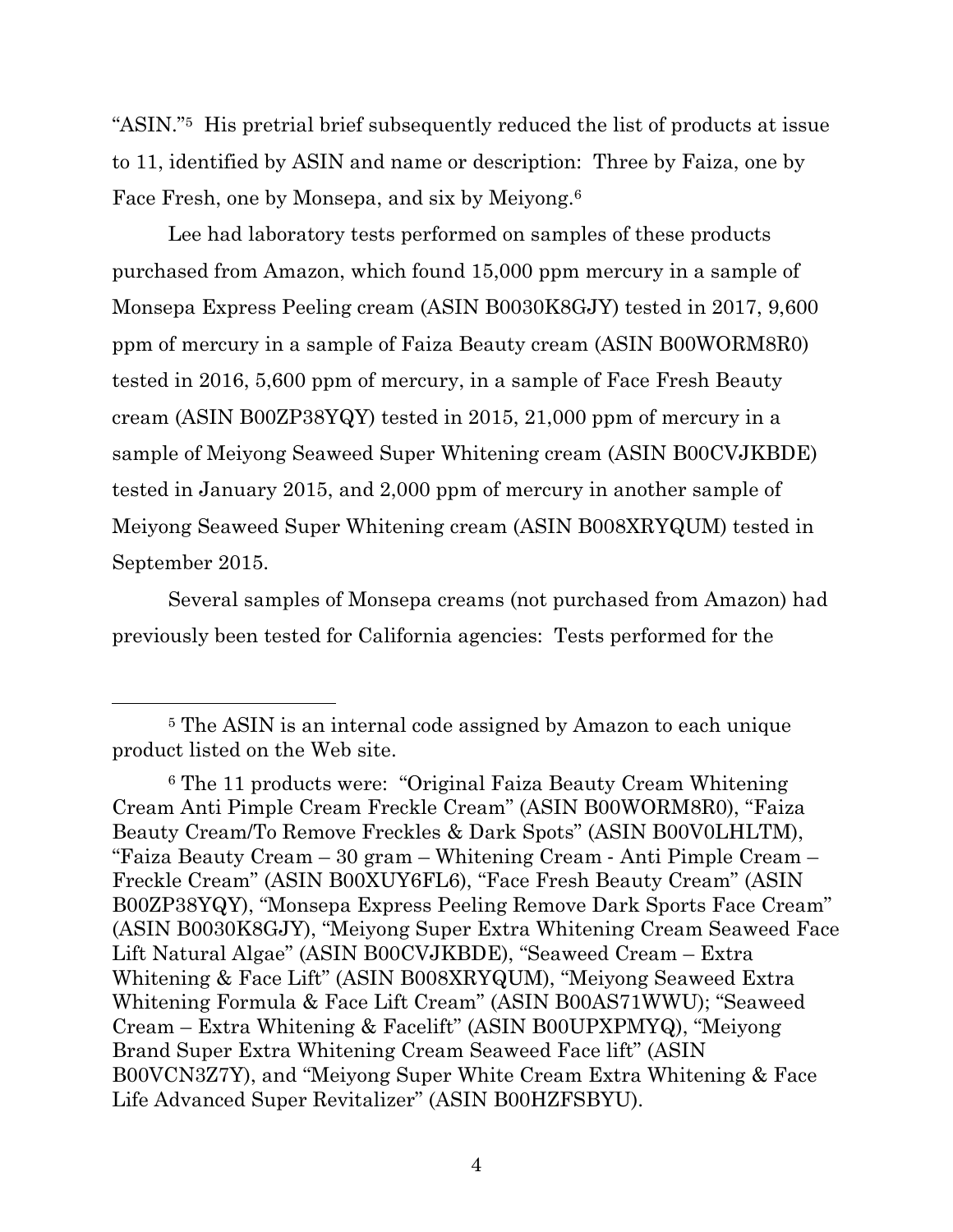"ASIN." <sup>5</sup> His pretrial brief subsequently reduced the list of products at issue to 11, identified by ASIN and name or description: Three by Faiza, one by Face Fresh, one by Monsepa, and six by Meiyong.<sup>6</sup>

Lee had laboratory tests performed on samples of these products purchased from Amazon, which found 15,000 ppm mercury in a sample of Monsepa Express Peeling cream (ASIN B0030K8GJY) tested in 2017, 9,600 ppm of mercury in a sample of Faiza Beauty cream (ASIN B00WORM8R0) tested in 2016, 5,600 ppm of mercury, in a sample of Face Fresh Beauty cream (ASIN B00ZP38YQY) tested in 2015, 21,000 ppm of mercury in a sample of Meiyong Seaweed Super Whitening cream (ASIN B00CVJKBDE) tested in January 2015, and 2,000 ppm of mercury in another sample of Meiyong Seaweed Super Whitening cream (ASIN B008XRYQUM) tested in September 2015.

Several samples of Monsepa creams (not purchased from Amazon) had previously been tested for California agencies: Tests performed for the

<sup>5</sup> The ASIN is an internal code assigned by Amazon to each unique product listed on the Web site.

<sup>6</sup> The 11 products were: "Original Faiza Beauty Cream Whitening Cream Anti Pimple Cream Freckle Cream" (ASIN B00WORM8R0), "Faiza Beauty Cream/To Remove Freckles & Dark Spots" (ASIN B00V0LHLTM), "Faiza Beauty Cream – 30 gram – Whitening Cream ‐ Anti Pimple Cream – Freckle Cream" (ASIN B00XUY6FL6), "Face Fresh Beauty Cream" (ASIN B00ZP38YQY), "Monsepa Express Peeling Remove Dark Sports Face Cream" (ASIN B0030K8GJY), "Meiyong Super Extra Whitening Cream Seaweed Face Lift Natural Algae" (ASIN B00CVJKBDE), "Seaweed Cream – Extra Whitening & Face Lift" (ASIN B008XRYQUM), "Meiyong Seaweed Extra Whitening Formula & Face Lift Cream" (ASIN B00AS71WWU); "Seaweed Cream – Extra Whitening & Facelift" (ASIN B00UPXPMYQ), "Meiyong Brand Super Extra Whitening Cream Seaweed Face lift" (ASIN B00VCN3Z7Y), and "Meiyong Super White Cream Extra Whitening & Face Life Advanced Super Revitalizer" (ASIN B00HZFSBYU).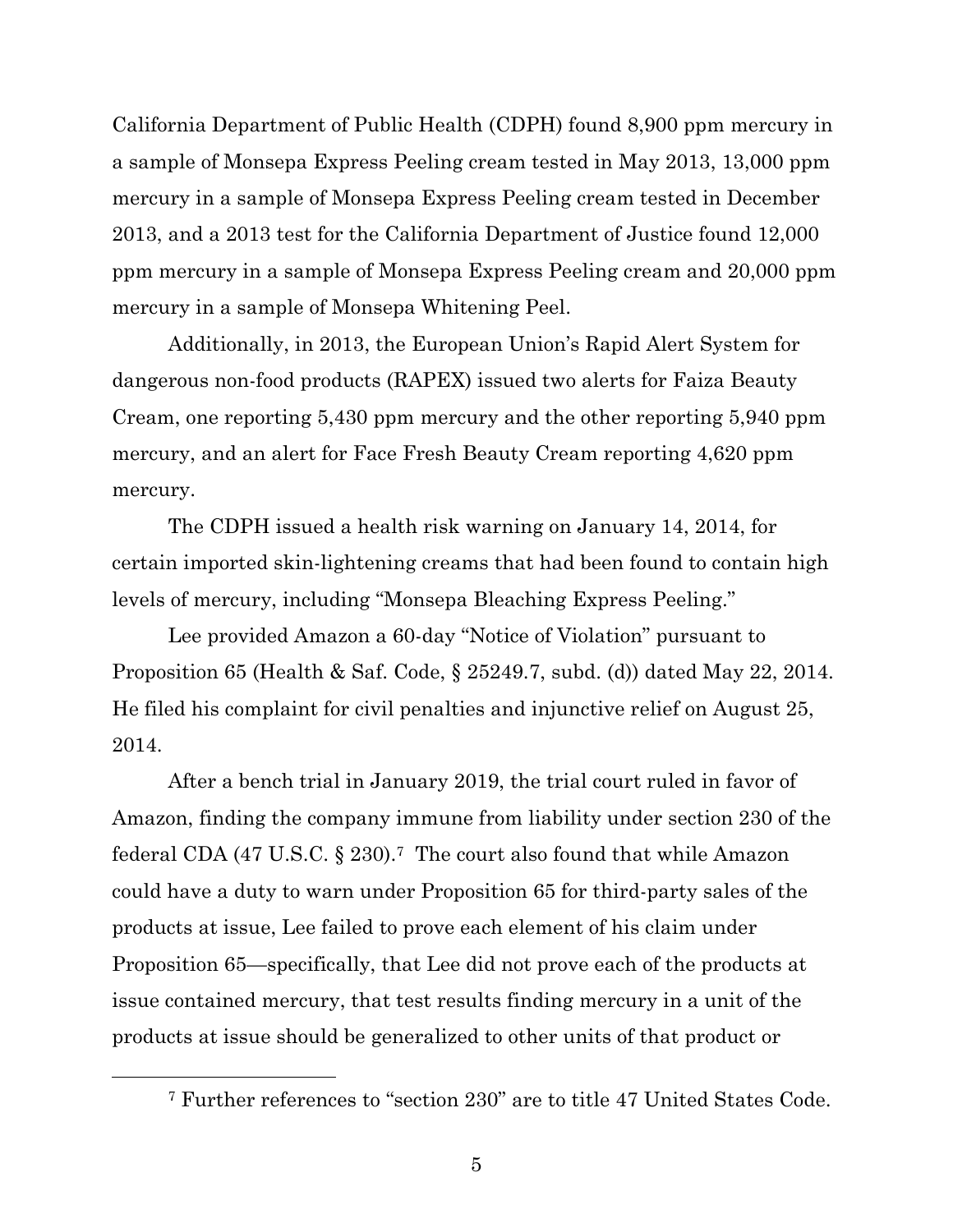California Department of Public Health (CDPH) found 8,900 ppm mercury in a sample of Monsepa Express Peeling cream tested in May 2013, 13,000 ppm mercury in a sample of Monsepa Express Peeling cream tested in December 2013, and a 2013 test for the California Department of Justice found 12,000 ppm mercury in a sample of Monsepa Express Peeling cream and 20,000 ppm mercury in a sample of Monsepa Whitening Peel.

Additionally, in 2013, the European Union's Rapid Alert System for dangerous non-food products (RAPEX) issued two alerts for Faiza Beauty Cream, one reporting 5,430 ppm mercury and the other reporting 5,940 ppm mercury, and an alert for Face Fresh Beauty Cream reporting 4,620 ppm mercury.

The CDPH issued a health risk warning on January 14, 2014, for certain imported skin-lightening creams that had been found to contain high levels of mercury, including "Monsepa Bleaching Express Peeling."

Lee provided Amazon a 60-day "Notice of Violation" pursuant to Proposition 65 (Health & Saf. Code, § 25249.7, subd. (d)) dated May 22, 2014. He filed his complaint for civil penalties and injunctive relief on August 25, 2014.

After a bench trial in January 2019, the trial court ruled in favor of Amazon, finding the company immune from liability under section 230 of the federal CDA (47 U.S.C. § 230).7 The court also found that while Amazon could have a duty to warn under Proposition 65 for third-party sales of the products at issue, Lee failed to prove each element of his claim under Proposition 65—specifically, that Lee did not prove each of the products at issue contained mercury, that test results finding mercury in a unit of the products at issue should be generalized to other units of that product or

<sup>7</sup> Further references to "section 230" are to title 47 United States Code.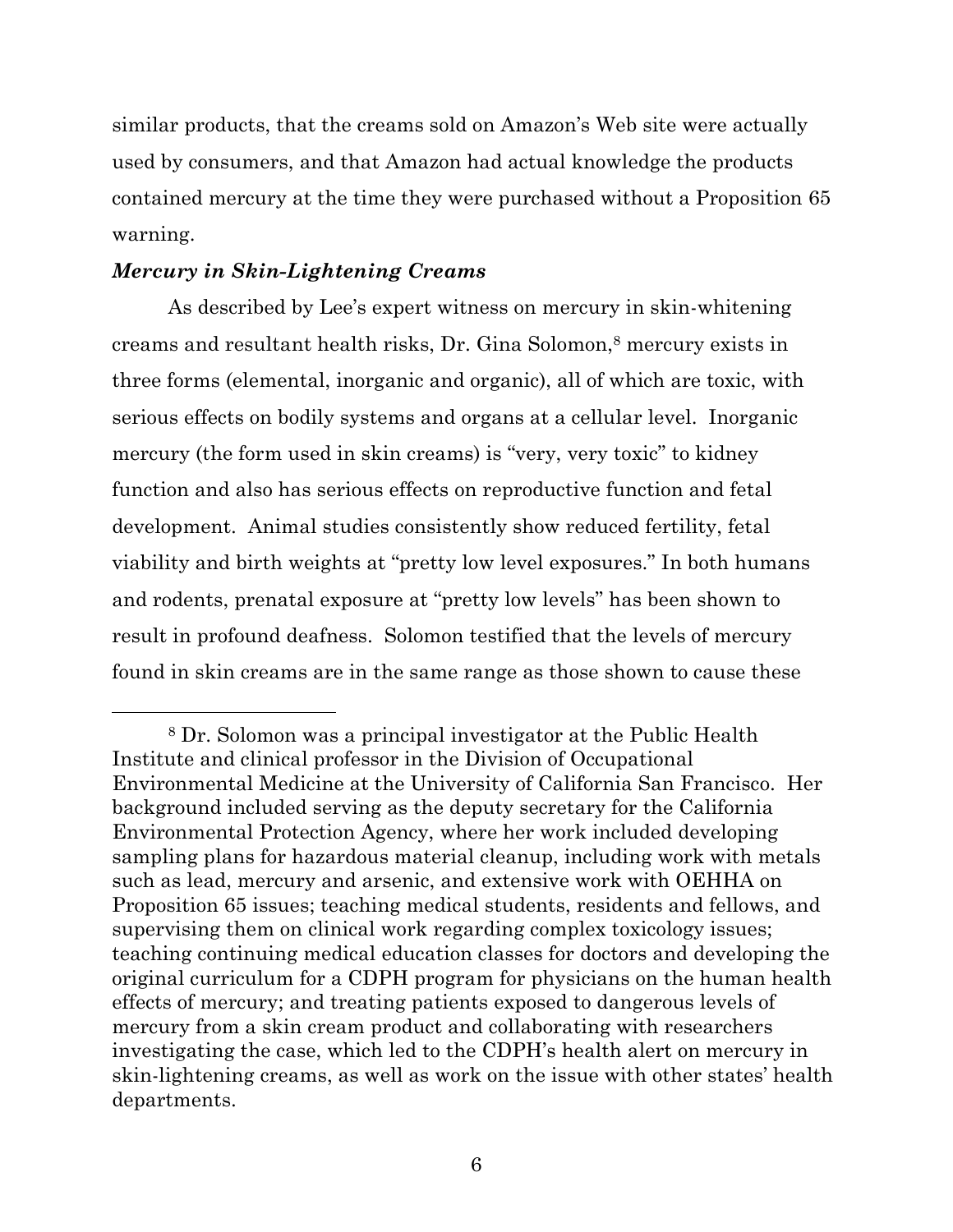similar products, that the creams sold on Amazon's Web site were actually used by consumers, and that Amazon had actual knowledge the products contained mercury at the time they were purchased without a Proposition 65 warning.

### *Mercury in Skin-Lightening Creams*

As described by Lee's expert witness on mercury in skin-whitening creams and resultant health risks, Dr. Gina Solomon,<sup>8</sup> mercury exists in three forms (elemental, inorganic and organic), all of which are toxic, with serious effects on bodily systems and organs at a cellular level. Inorganic mercury (the form used in skin creams) is "very, very toxic" to kidney function and also has serious effects on reproductive function and fetal development. Animal studies consistently show reduced fertility, fetal viability and birth weights at "pretty low level exposures." In both humans and rodents, prenatal exposure at "pretty low levels" has been shown to result in profound deafness. Solomon testified that the levels of mercury found in skin creams are in the same range as those shown to cause these

<sup>8</sup> Dr. Solomon was a principal investigator at the Public Health Institute and clinical professor in the Division of Occupational Environmental Medicine at the University of California San Francisco. Her background included serving as the deputy secretary for the California Environmental Protection Agency, where her work included developing sampling plans for hazardous material cleanup, including work with metals such as lead, mercury and arsenic, and extensive work with OEHHA on Proposition 65 issues; teaching medical students, residents and fellows, and supervising them on clinical work regarding complex toxicology issues; teaching continuing medical education classes for doctors and developing the original curriculum for a CDPH program for physicians on the human health effects of mercury; and treating patients exposed to dangerous levels of mercury from a skin cream product and collaborating with researchers investigating the case, which led to the CDPH's health alert on mercury in skin-lightening creams, as well as work on the issue with other states' health departments.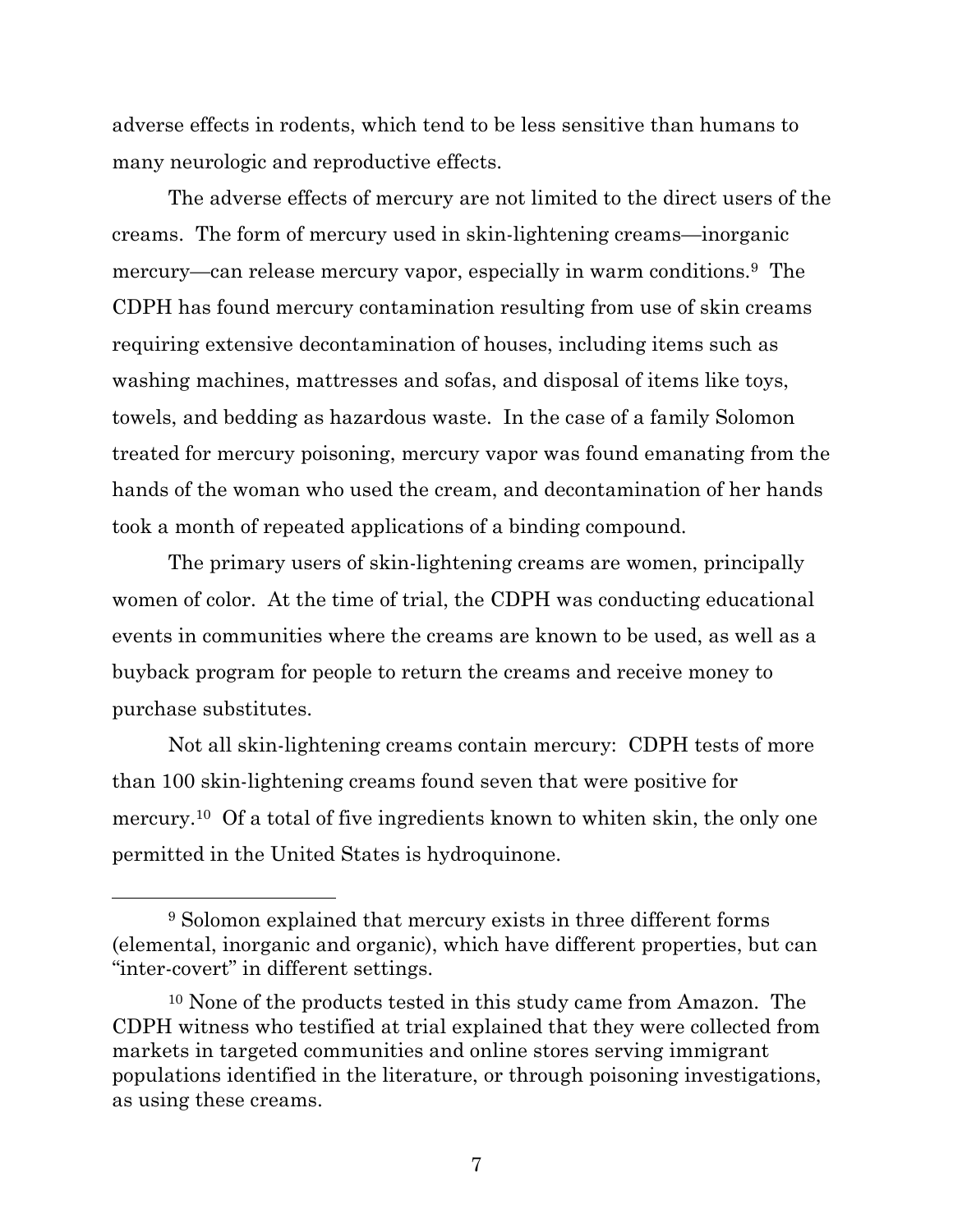adverse effects in rodents, which tend to be less sensitive than humans to many neurologic and reproductive effects.

The adverse effects of mercury are not limited to the direct users of the creams. The form of mercury used in skin-lightening creams—inorganic mercury—can release mercury vapor, especially in warm conditions.9 The CDPH has found mercury contamination resulting from use of skin creams requiring extensive decontamination of houses, including items such as washing machines, mattresses and sofas, and disposal of items like toys, towels, and bedding as hazardous waste. In the case of a family Solomon treated for mercury poisoning, mercury vapor was found emanating from the hands of the woman who used the cream, and decontamination of her hands took a month of repeated applications of a binding compound.

The primary users of skin-lightening creams are women, principally women of color. At the time of trial, the CDPH was conducting educational events in communities where the creams are known to be used, as well as a buyback program for people to return the creams and receive money to purchase substitutes.

Not all skin-lightening creams contain mercury: CDPH tests of more than 100 skin-lightening creams found seven that were positive for mercury.<sup>10</sup> Of a total of five ingredients known to whiten skin, the only one permitted in the United States is hydroquinone.

<sup>9</sup> Solomon explained that mercury exists in three different forms (elemental, inorganic and organic), which have different properties, but can "inter-covert" in different settings.

<sup>10</sup> None of the products tested in this study came from Amazon. The CDPH witness who testified at trial explained that they were collected from markets in targeted communities and online stores serving immigrant populations identified in the literature, or through poisoning investigations, as using these creams.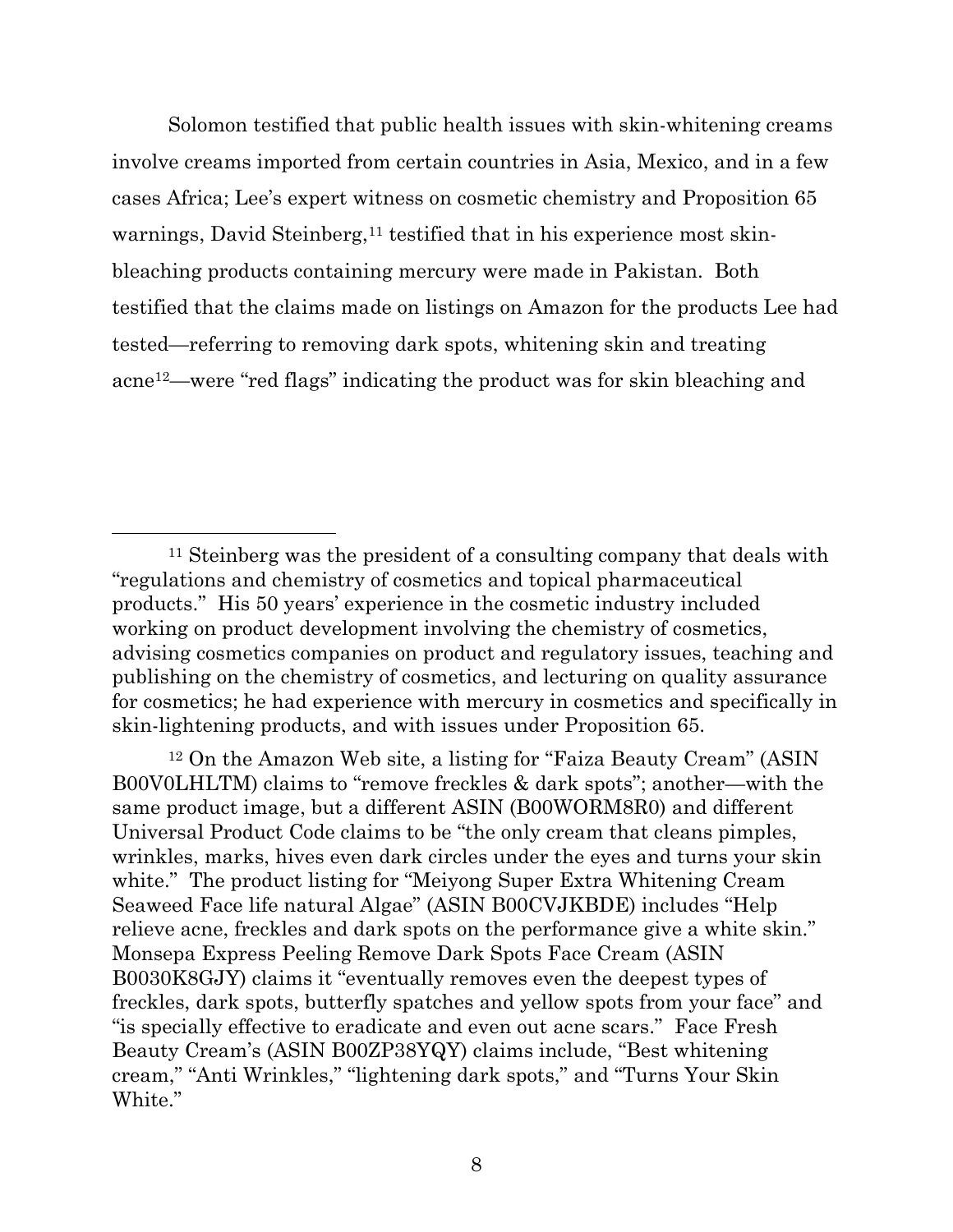Solomon testified that public health issues with skin-whitening creams involve creams imported from certain countries in Asia, Mexico, and in a few cases Africa; Lee's expert witness on cosmetic chemistry and Proposition 65 warnings, David Steinberg,<sup>11</sup> testified that in his experience most skinbleaching products containing mercury were made in Pakistan. Both testified that the claims made on listings on Amazon for the products Lee had tested—referring to removing dark spots, whitening skin and treating acne12—were "red flags" indicating the product was for skin bleaching and

<sup>11</sup> Steinberg was the president of a consulting company that deals with "regulations and chemistry of cosmetics and topical pharmaceutical products." His 50 years' experience in the cosmetic industry included working on product development involving the chemistry of cosmetics, advising cosmetics companies on product and regulatory issues, teaching and publishing on the chemistry of cosmetics, and lecturing on quality assurance for cosmetics; he had experience with mercury in cosmetics and specifically in skin-lightening products, and with issues under Proposition 65.

<sup>12</sup> On the Amazon Web site, a listing for "Faiza Beauty Cream" (ASIN B00V0LHLTM) claims to "remove freckles & dark spots"; another—with the same product image, but a different ASIN (B00WORM8R0) and different Universal Product Code claims to be "the only cream that cleans pimples, wrinkles, marks, hives even dark circles under the eyes and turns your skin white." The product listing for "Meiyong Super Extra Whitening Cream Seaweed Face life natural Algae" (ASIN B00CVJKBDE) includes "Help relieve acne, freckles and dark spots on the performance give a white skin." Monsepa Express Peeling Remove Dark Spots Face Cream (ASIN B0030K8GJY) claims it "eventually removes even the deepest types of freckles, dark spots, butterfly spatches and yellow spots from your face" and "is specially effective to eradicate and even out acne scars." Face Fresh Beauty Cream's (ASIN B00ZP38YQY) claims include, "Best whitening cream," "Anti Wrinkles," "lightening dark spots," and "Turns Your Skin White."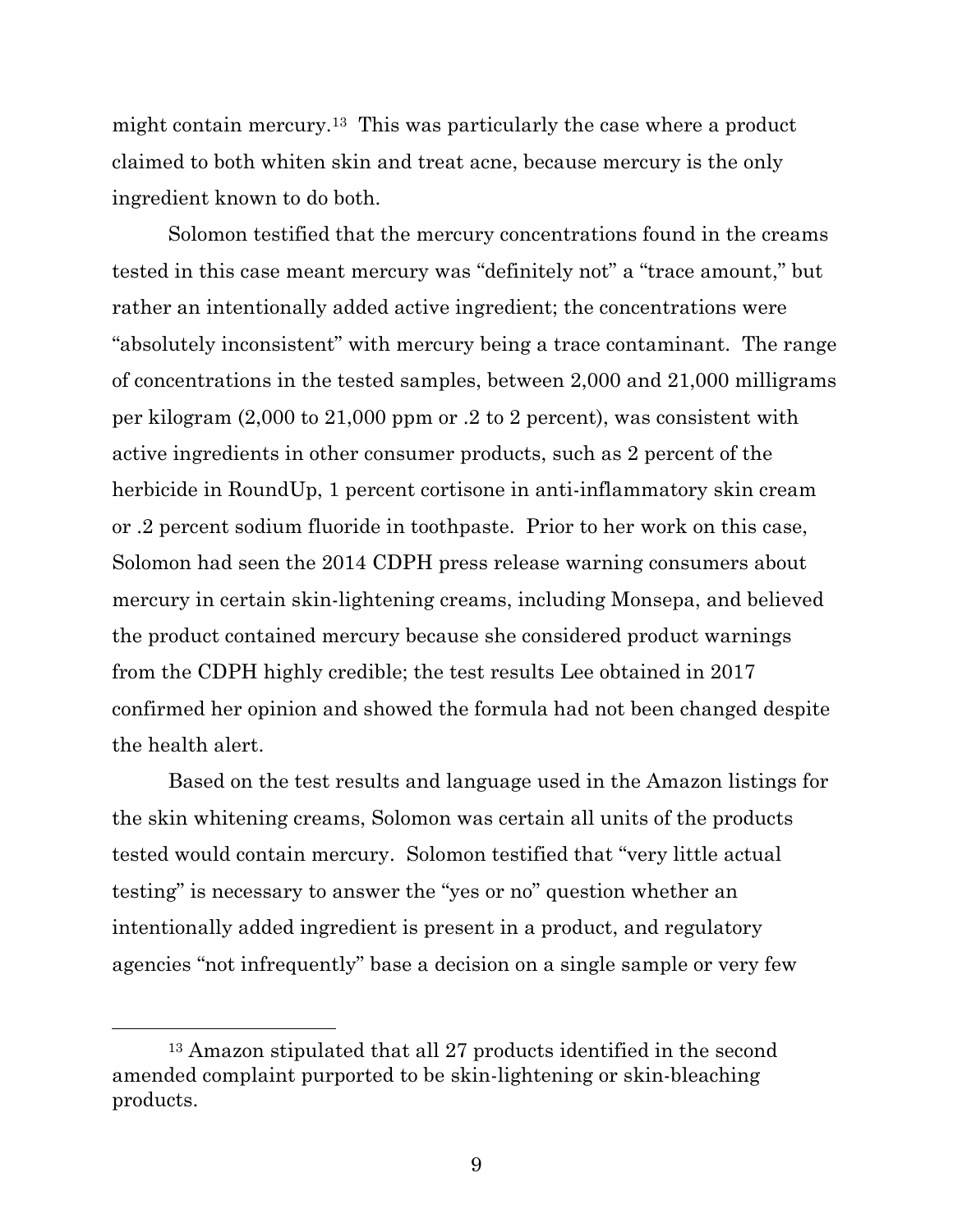might contain mercury.13 This was particularly the case where a product claimed to both whiten skin and treat acne, because mercury is the only ingredient known to do both.

Solomon testified that the mercury concentrations found in the creams tested in this case meant mercury was "definitely not" a "trace amount," but rather an intentionally added active ingredient; the concentrations were "absolutely inconsistent" with mercury being a trace contaminant. The range of concentrations in the tested samples, between 2,000 and 21,000 milligrams per kilogram (2,000 to 21,000 ppm or .2 to 2 percent), was consistent with active ingredients in other consumer products, such as 2 percent of the herbicide in RoundUp, 1 percent cortisone in anti-inflammatory skin cream or .2 percent sodium fluoride in toothpaste. Prior to her work on this case, Solomon had seen the 2014 CDPH press release warning consumers about mercury in certain skin-lightening creams, including Monsepa, and believed the product contained mercury because she considered product warnings from the CDPH highly credible; the test results Lee obtained in 2017 confirmed her opinion and showed the formula had not been changed despite the health alert.

Based on the test results and language used in the Amazon listings for the skin whitening creams, Solomon was certain all units of the products tested would contain mercury. Solomon testified that "very little actual testing" is necessary to answer the "yes or no" question whether an intentionally added ingredient is present in a product, and regulatory agencies "not infrequently" base a decision on a single sample or very few

<sup>13</sup> Amazon stipulated that all 27 products identified in the second amended complaint purported to be skin-lightening or skin-bleaching products.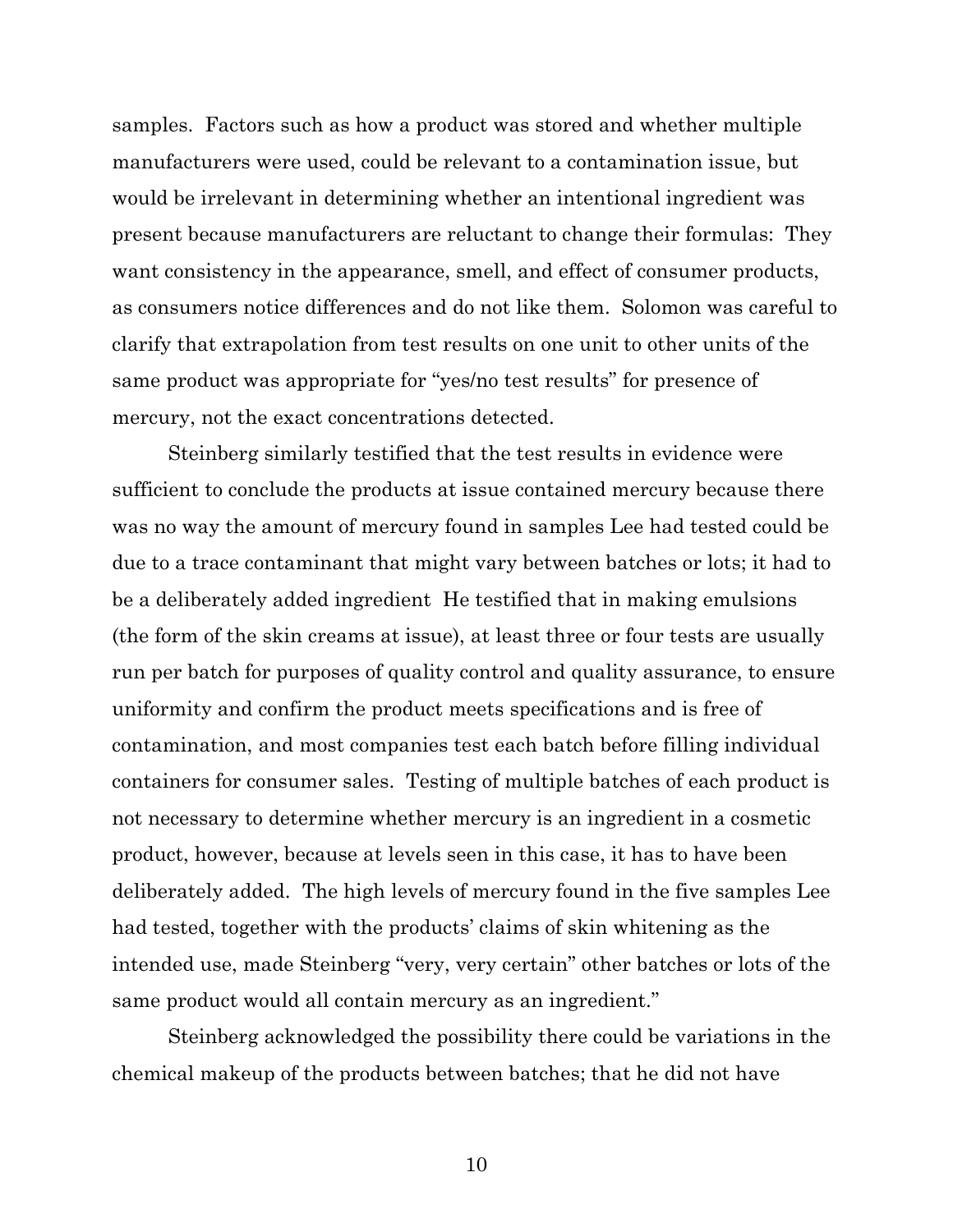samples. Factors such as how a product was stored and whether multiple manufacturers were used, could be relevant to a contamination issue, but would be irrelevant in determining whether an intentional ingredient was present because manufacturers are reluctant to change their formulas: They want consistency in the appearance, smell, and effect of consumer products, as consumers notice differences and do not like them. Solomon was careful to clarify that extrapolation from test results on one unit to other units of the same product was appropriate for "yes/no test results" for presence of mercury, not the exact concentrations detected.

Steinberg similarly testified that the test results in evidence were sufficient to conclude the products at issue contained mercury because there was no way the amount of mercury found in samples Lee had tested could be due to a trace contaminant that might vary between batches or lots; it had to be a deliberately added ingredient He testified that in making emulsions (the form of the skin creams at issue), at least three or four tests are usually run per batch for purposes of quality control and quality assurance, to ensure uniformity and confirm the product meets specifications and is free of contamination, and most companies test each batch before filling individual containers for consumer sales. Testing of multiple batches of each product is not necessary to determine whether mercury is an ingredient in a cosmetic product, however, because at levels seen in this case, it has to have been deliberately added. The high levels of mercury found in the five samples Lee had tested, together with the products' claims of skin whitening as the intended use, made Steinberg "very, very certain" other batches or lots of the same product would all contain mercury as an ingredient."

Steinberg acknowledged the possibility there could be variations in the chemical makeup of the products between batches; that he did not have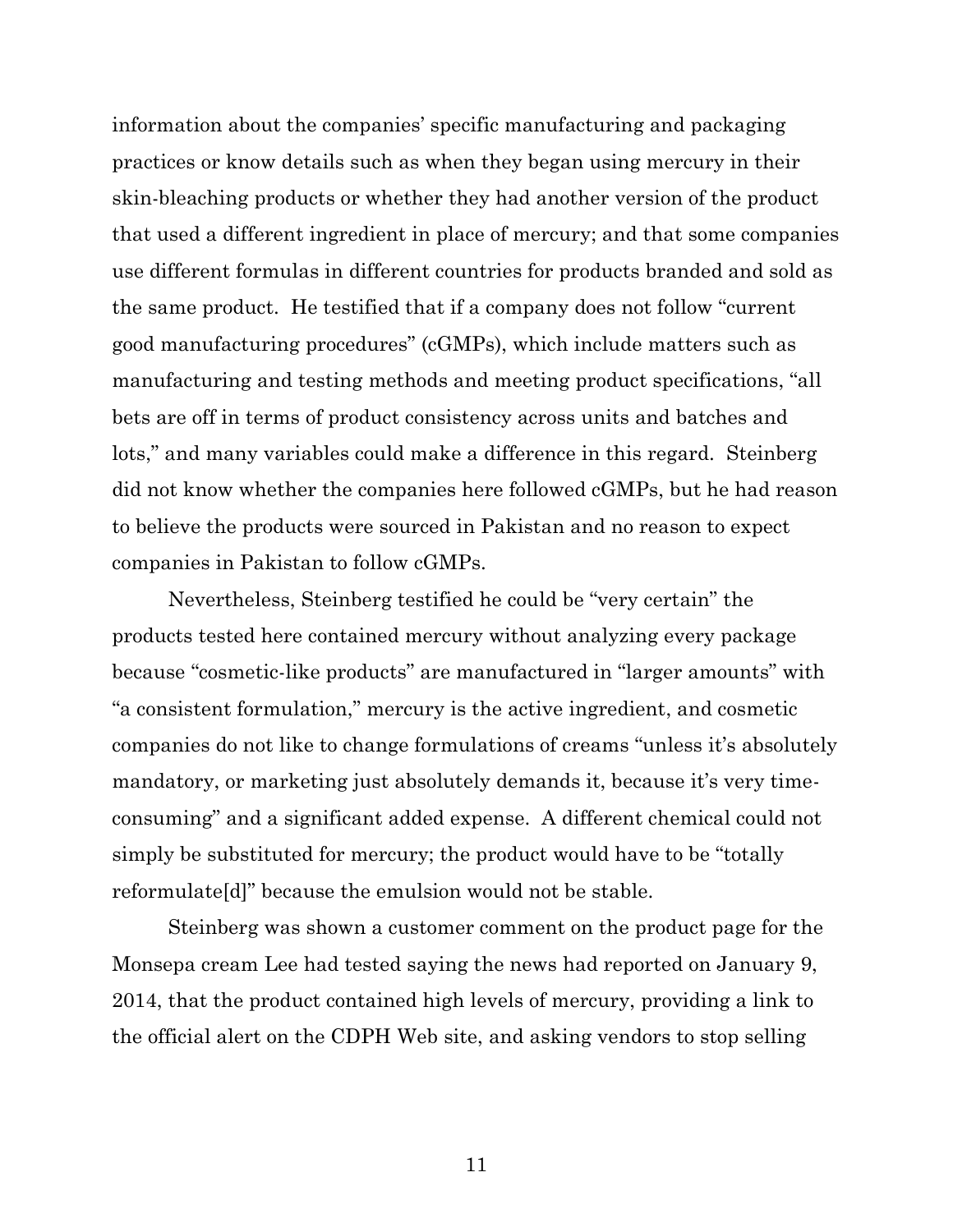information about the companies' specific manufacturing and packaging practices or know details such as when they began using mercury in their skin-bleaching products or whether they had another version of the product that used a different ingredient in place of mercury; and that some companies use different formulas in different countries for products branded and sold as the same product. He testified that if a company does not follow "current good manufacturing procedures" (cGMPs), which include matters such as manufacturing and testing methods and meeting product specifications, "all bets are off in terms of product consistency across units and batches and lots," and many variables could make a difference in this regard. Steinberg did not know whether the companies here followed cGMPs, but he had reason to believe the products were sourced in Pakistan and no reason to expect companies in Pakistan to follow cGMPs.

Nevertheless, Steinberg testified he could be "very certain" the products tested here contained mercury without analyzing every package because "cosmetic-like products" are manufactured in "larger amounts" with "a consistent formulation," mercury is the active ingredient, and cosmetic companies do not like to change formulations of creams "unless it's absolutely mandatory, or marketing just absolutely demands it, because it's very timeconsuming" and a significant added expense. A different chemical could not simply be substituted for mercury; the product would have to be "totally reformulate[d]" because the emulsion would not be stable.

Steinberg was shown a customer comment on the product page for the Monsepa cream Lee had tested saying the news had reported on January 9, 2014, that the product contained high levels of mercury, providing a link to the official alert on the CDPH Web site, and asking vendors to stop selling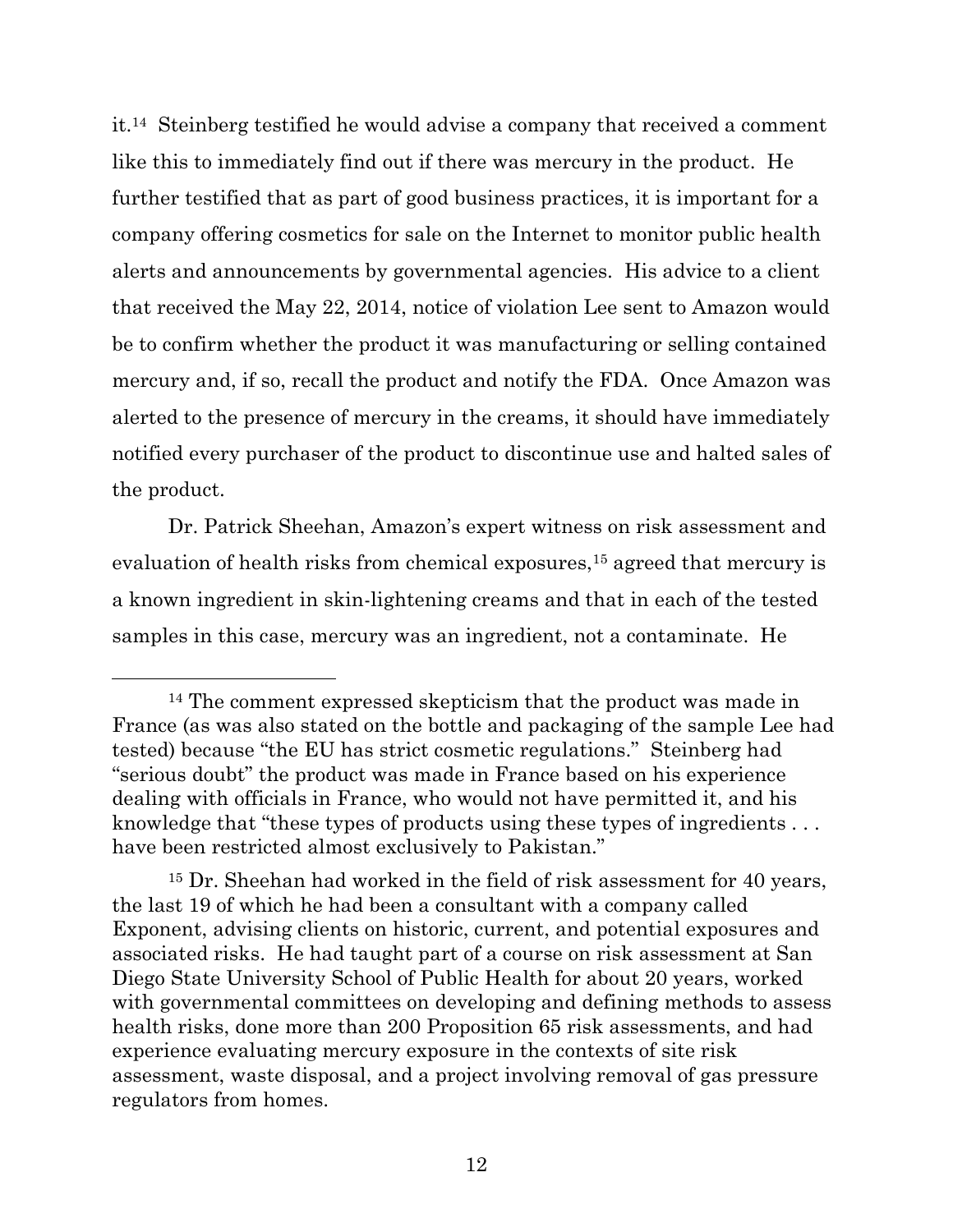it.<sup>14</sup> Steinberg testified he would advise a company that received a comment like this to immediately find out if there was mercury in the product. He further testified that as part of good business practices, it is important for a company offering cosmetics for sale on the Internet to monitor public health alerts and announcements by governmental agencies. His advice to a client that received the May 22, 2014, notice of violation Lee sent to Amazon would be to confirm whether the product it was manufacturing or selling contained mercury and, if so, recall the product and notify the FDA. Once Amazon was alerted to the presence of mercury in the creams, it should have immediately notified every purchaser of the product to discontinue use and halted sales of the product.

Dr. Patrick Sheehan, Amazon's expert witness on risk assessment and evaluation of health risks from chemical exposures,<sup>15</sup> agreed that mercury is a known ingredient in skin-lightening creams and that in each of the tested samples in this case, mercury was an ingredient, not a contaminate. He

<sup>14</sup> The comment expressed skepticism that the product was made in France (as was also stated on the bottle and packaging of the sample Lee had tested) because "the EU has strict cosmetic regulations." Steinberg had "serious doubt" the product was made in France based on his experience dealing with officials in France, who would not have permitted it, and his knowledge that "these types of products using these types of ingredients... have been restricted almost exclusively to Pakistan."

<sup>15</sup> Dr. Sheehan had worked in the field of risk assessment for 40 years, the last 19 of which he had been a consultant with a company called Exponent, advising clients on historic, current, and potential exposures and associated risks. He had taught part of a course on risk assessment at San Diego State University School of Public Health for about 20 years, worked with governmental committees on developing and defining methods to assess health risks, done more than 200 Proposition 65 risk assessments, and had experience evaluating mercury exposure in the contexts of site risk assessment, waste disposal, and a project involving removal of gas pressure regulators from homes.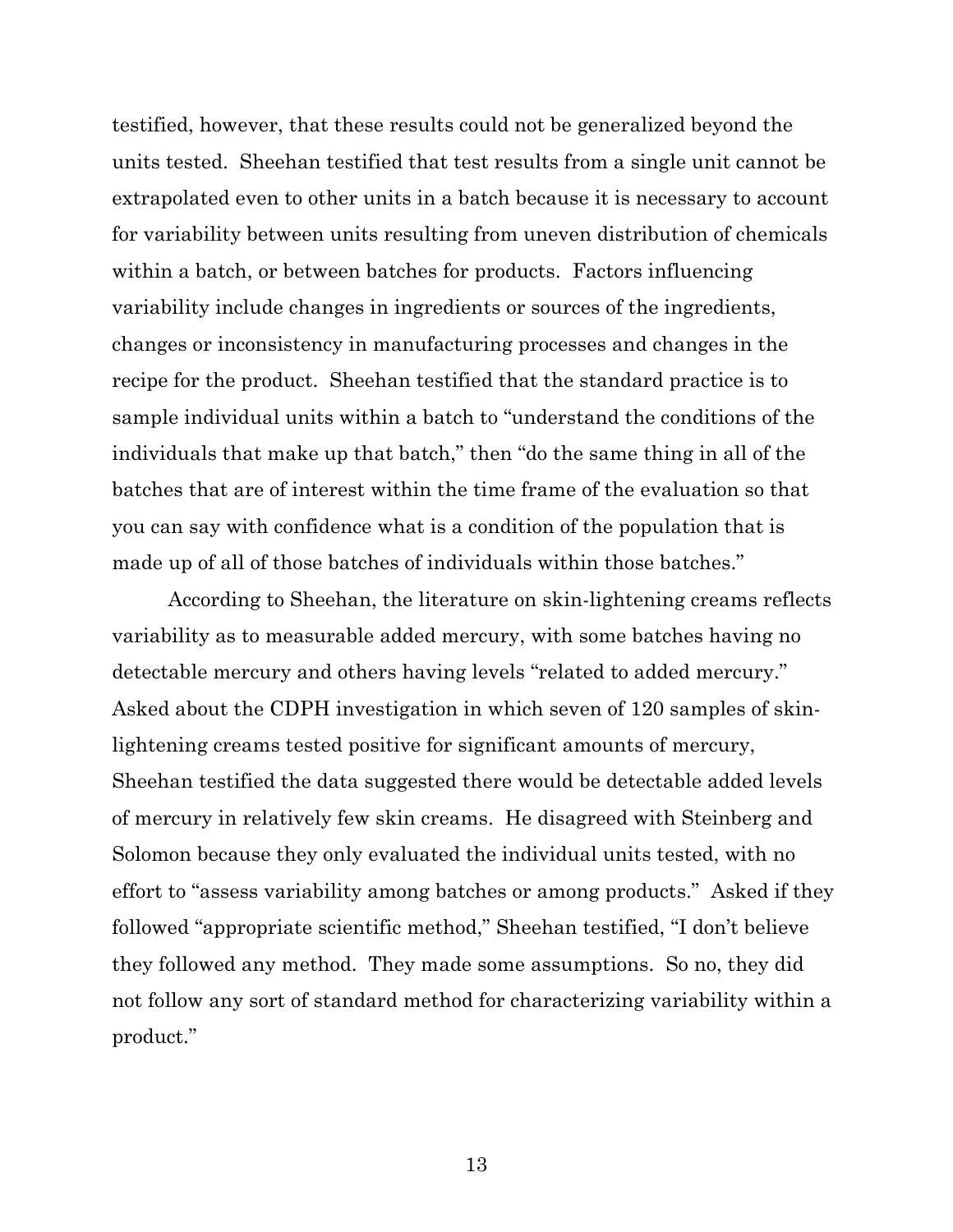testified, however, that these results could not be generalized beyond the units tested. Sheehan testified that test results from a single unit cannot be extrapolated even to other units in a batch because it is necessary to account for variability between units resulting from uneven distribution of chemicals within a batch, or between batches for products. Factors influencing variability include changes in ingredients or sources of the ingredients, changes or inconsistency in manufacturing processes and changes in the recipe for the product. Sheehan testified that the standard practice is to sample individual units within a batch to "understand the conditions of the individuals that make up that batch," then "do the same thing in all of the batches that are of interest within the time frame of the evaluation so that you can say with confidence what is a condition of the population that is made up of all of those batches of individuals within those batches."

According to Sheehan, the literature on skin-lightening creams reflects variability as to measurable added mercury, with some batches having no detectable mercury and others having levels "related to added mercury." Asked about the CDPH investigation in which seven of 120 samples of skinlightening creams tested positive for significant amounts of mercury, Sheehan testified the data suggested there would be detectable added levels of mercury in relatively few skin creams. He disagreed with Steinberg and Solomon because they only evaluated the individual units tested, with no effort to "assess variability among batches or among products." Asked if they followed "appropriate scientific method," Sheehan testified, "I don't believe they followed any method. They made some assumptions. So no, they did not follow any sort of standard method for characterizing variability within a product."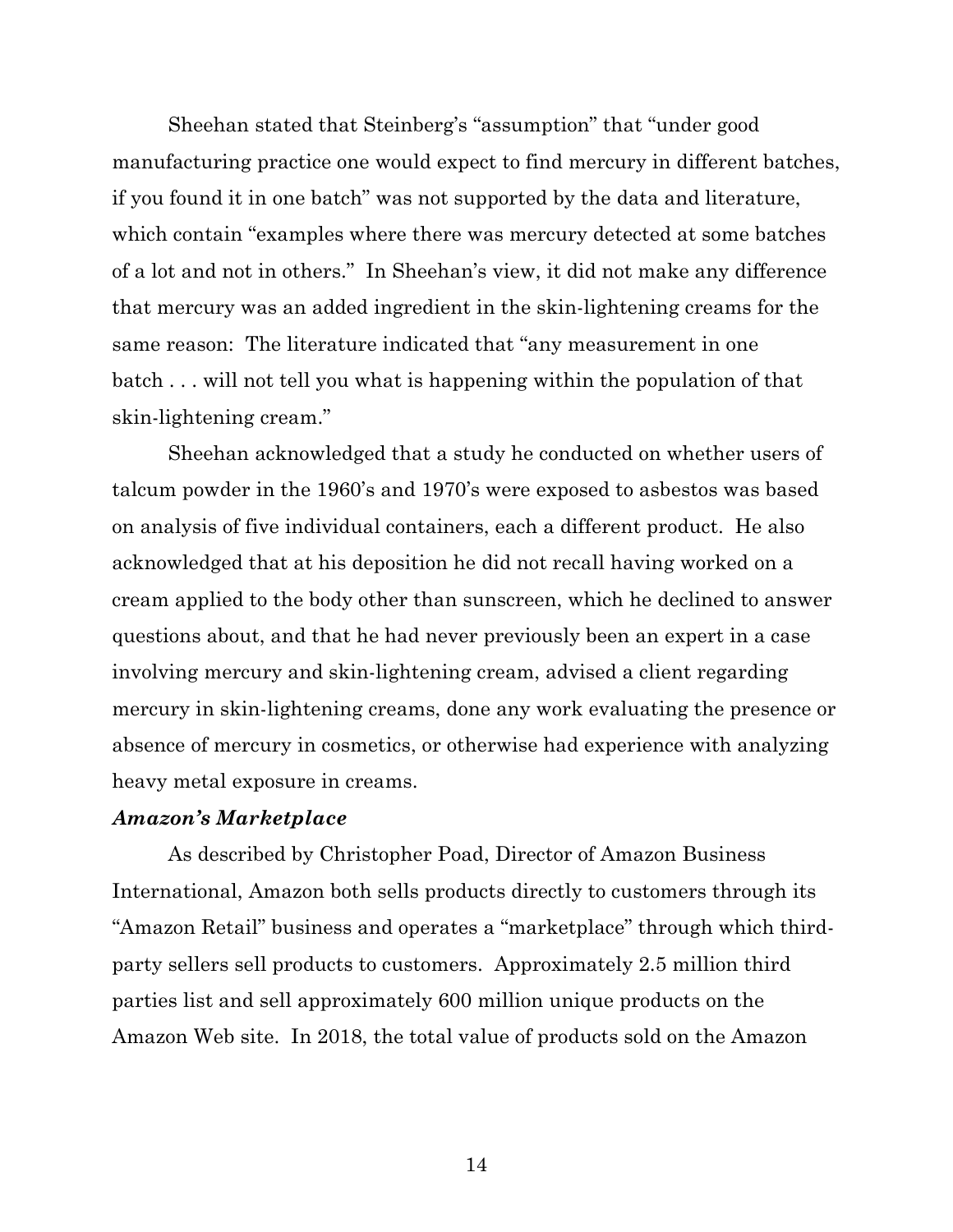Sheehan stated that Steinberg's "assumption" that "under good manufacturing practice one would expect to find mercury in different batches, if you found it in one batch" was not supported by the data and literature, which contain "examples where there was mercury detected at some batches of a lot and not in others." In Sheehan's view, it did not make any difference that mercury was an added ingredient in the skin-lightening creams for the same reason: The literature indicated that "any measurement in one batch . . . will not tell you what is happening within the population of that skin-lightening cream."

Sheehan acknowledged that a study he conducted on whether users of talcum powder in the 1960's and 1970's were exposed to asbestos was based on analysis of five individual containers, each a different product. He also acknowledged that at his deposition he did not recall having worked on a cream applied to the body other than sunscreen, which he declined to answer questions about, and that he had never previously been an expert in a case involving mercury and skin-lightening cream, advised a client regarding mercury in skin-lightening creams, done any work evaluating the presence or absence of mercury in cosmetics, or otherwise had experience with analyzing heavy metal exposure in creams.

#### *Amazon's Marketplace*

As described by Christopher Poad, Director of Amazon Business International, Amazon both sells products directly to customers through its "Amazon Retail" business and operates a "marketplace" through which thirdparty sellers sell products to customers. Approximately 2.5 million third parties list and sell approximately 600 million unique products on the Amazon Web site. In 2018, the total value of products sold on the Amazon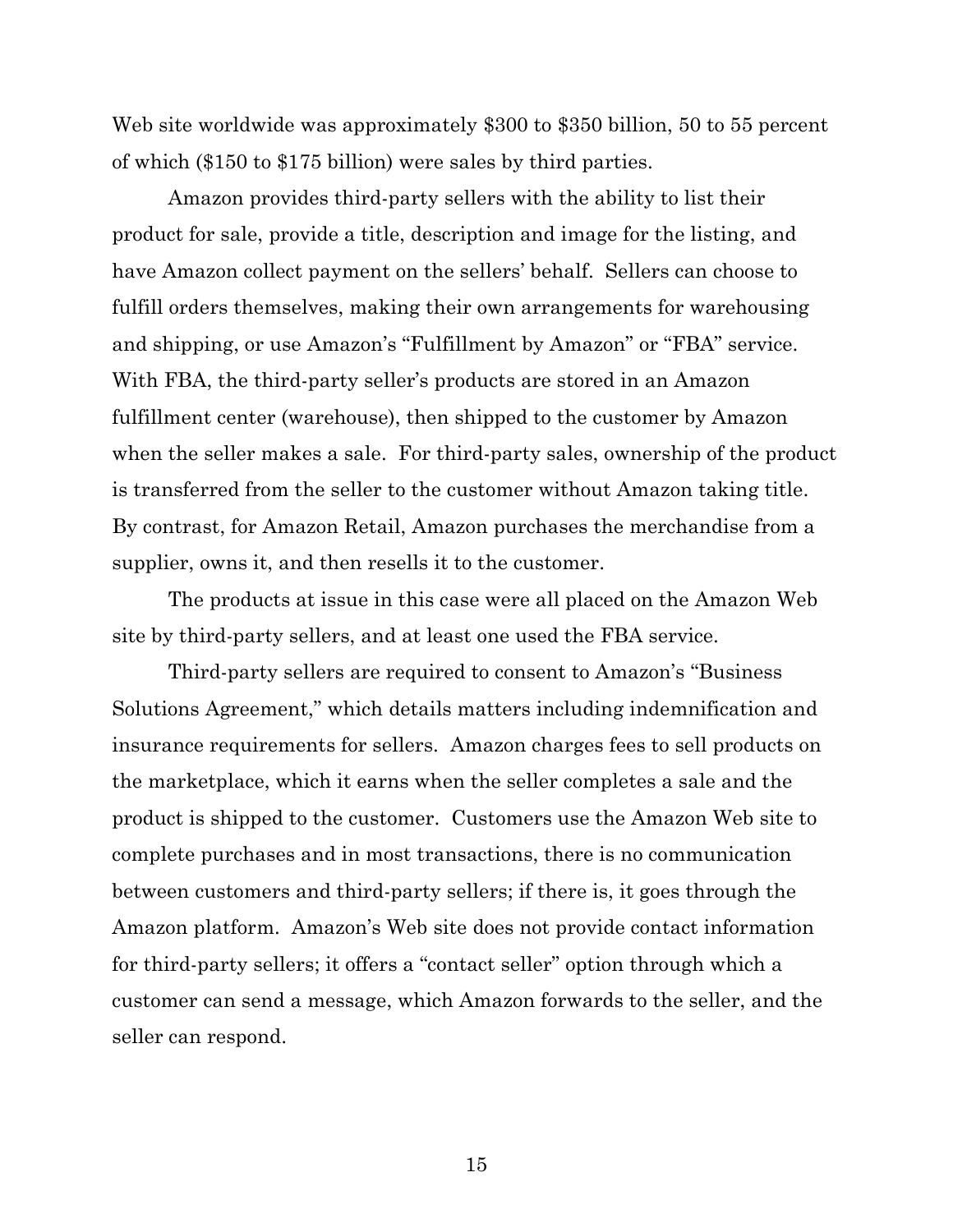Web site worldwide was approximately \$300 to \$350 billion, 50 to 55 percent of which (\$150 to \$175 billion) were sales by third parties.

Amazon provides third-party sellers with the ability to list their product for sale, provide a title, description and image for the listing, and have Amazon collect payment on the sellers' behalf. Sellers can choose to fulfill orders themselves, making their own arrangements for warehousing and shipping, or use Amazon's "Fulfillment by Amazon" or "FBA" service. With FBA, the third-party seller's products are stored in an Amazon fulfillment center (warehouse), then shipped to the customer by Amazon when the seller makes a sale. For third-party sales, ownership of the product is transferred from the seller to the customer without Amazon taking title. By contrast, for Amazon Retail, Amazon purchases the merchandise from a supplier, owns it, and then resells it to the customer.

The products at issue in this case were all placed on the Amazon Web site by third-party sellers, and at least one used the FBA service.

Third-party sellers are required to consent to Amazon's "Business Solutions Agreement," which details matters including indemnification and insurance requirements for sellers. Amazon charges fees to sell products on the marketplace, which it earns when the seller completes a sale and the product is shipped to the customer. Customers use the Amazon Web site to complete purchases and in most transactions, there is no communication between customers and third-party sellers; if there is, it goes through the Amazon platform. Amazon's Web site does not provide contact information for third-party sellers; it offers a "contact seller" option through which a customer can send a message, which Amazon forwards to the seller, and the seller can respond.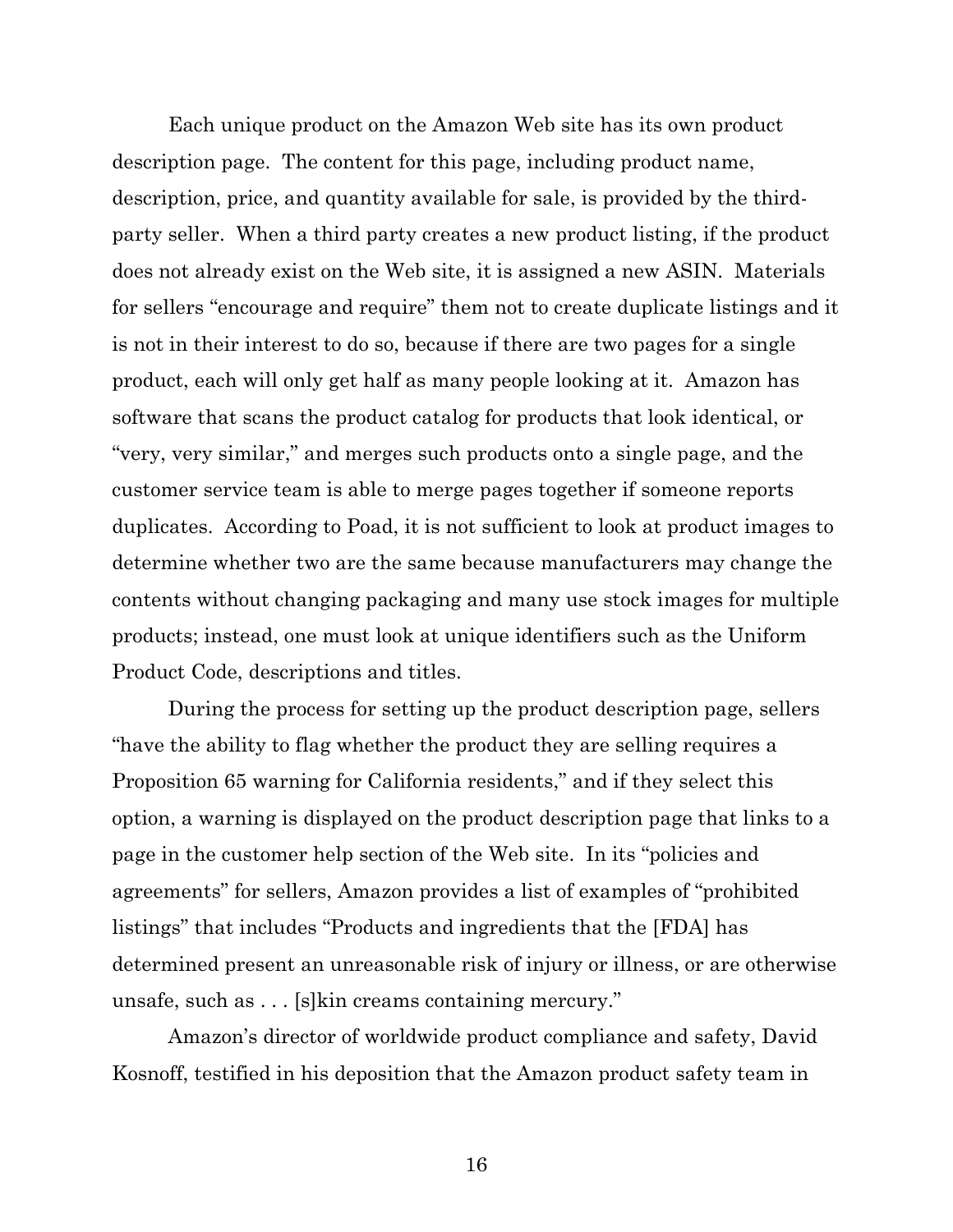Each unique product on the Amazon Web site has its own product description page. The content for this page, including product name, description, price, and quantity available for sale, is provided by the thirdparty seller. When a third party creates a new product listing, if the product does not already exist on the Web site, it is assigned a new ASIN. Materials for sellers "encourage and require" them not to create duplicate listings and it is not in their interest to do so, because if there are two pages for a single product, each will only get half as many people looking at it. Amazon has software that scans the product catalog for products that look identical, or "very, very similar," and merges such products onto a single page, and the customer service team is able to merge pages together if someone reports duplicates. According to Poad, it is not sufficient to look at product images to determine whether two are the same because manufacturers may change the contents without changing packaging and many use stock images for multiple products; instead, one must look at unique identifiers such as the Uniform Product Code, descriptions and titles.

During the process for setting up the product description page, sellers "have the ability to flag whether the product they are selling requires a Proposition 65 warning for California residents," and if they select this option, a warning is displayed on the product description page that links to a page in the customer help section of the Web site. In its "policies and agreements" for sellers, Amazon provides a list of examples of "prohibited listings" that includes "Products and ingredients that the [FDA] has determined present an unreasonable risk of injury or illness, or are otherwise unsafe, such as . . . [s]kin creams containing mercury."

Amazon's director of worldwide product compliance and safety, David Kosnoff, testified in his deposition that the Amazon product safety team in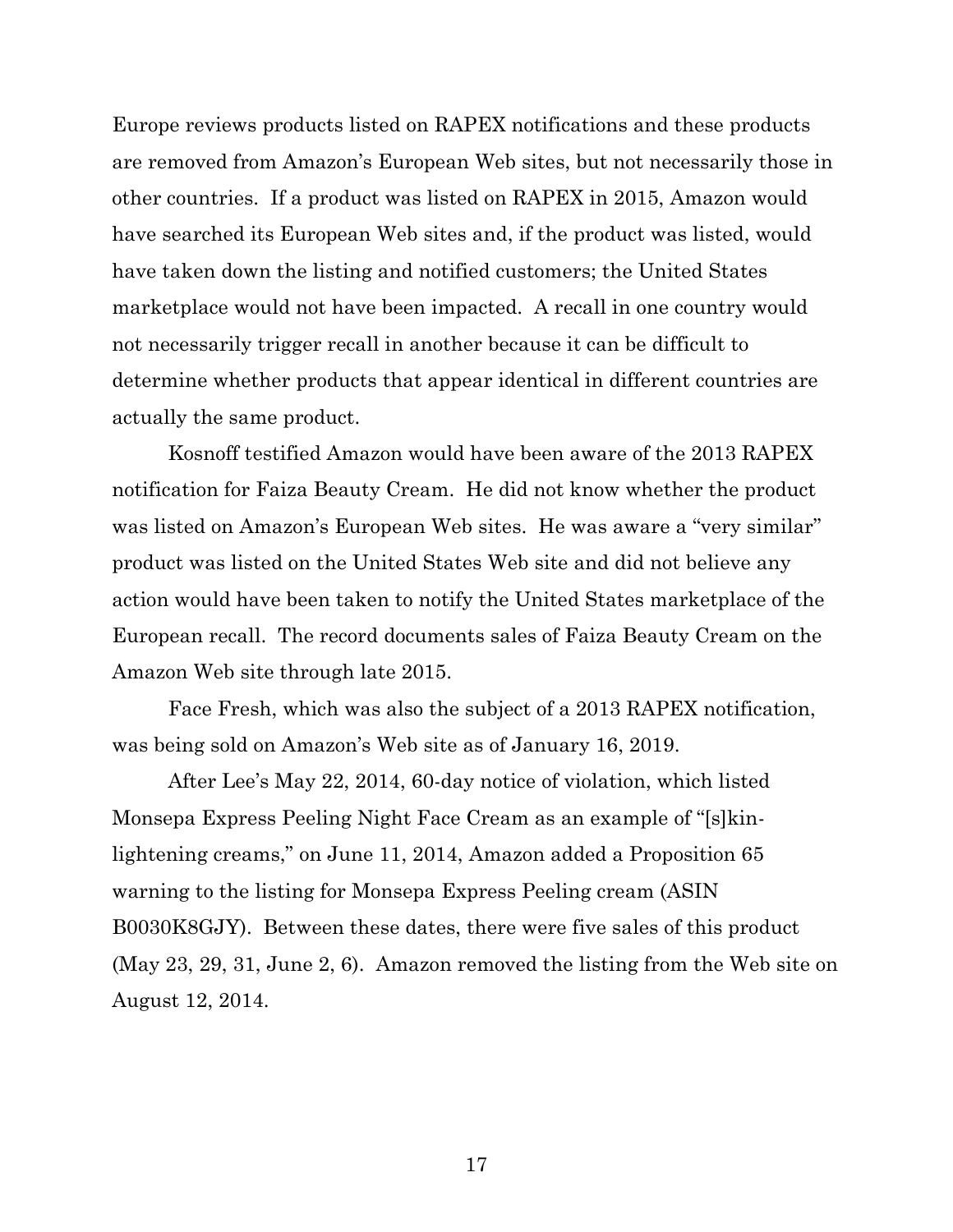Europe reviews products listed on RAPEX notifications and these products are removed from Amazon's European Web sites, but not necessarily those in other countries. If a product was listed on RAPEX in 2015, Amazon would have searched its European Web sites and, if the product was listed, would have taken down the listing and notified customers; the United States marketplace would not have been impacted. A recall in one country would not necessarily trigger recall in another because it can be difficult to determine whether products that appear identical in different countries are actually the same product.

Kosnoff testified Amazon would have been aware of the 2013 RAPEX notification for Faiza Beauty Cream. He did not know whether the product was listed on Amazon's European Web sites. He was aware a "very similar" product was listed on the United States Web site and did not believe any action would have been taken to notify the United States marketplace of the European recall. The record documents sales of Faiza Beauty Cream on the Amazon Web site through late 2015.

Face Fresh, which was also the subject of a 2013 RAPEX notification, was being sold on Amazon's Web site as of January 16, 2019.

After Lee's May 22, 2014, 60-day notice of violation, which listed Monsepa Express Peeling Night Face Cream as an example of "[s]kinlightening creams," on June 11, 2014, Amazon added a Proposition 65 warning to the listing for Monsepa Express Peeling cream (ASIN B0030K8GJY). Between these dates, there were five sales of this product (May 23, 29, 31, June 2, 6). Amazon removed the listing from the Web site on August 12, 2014.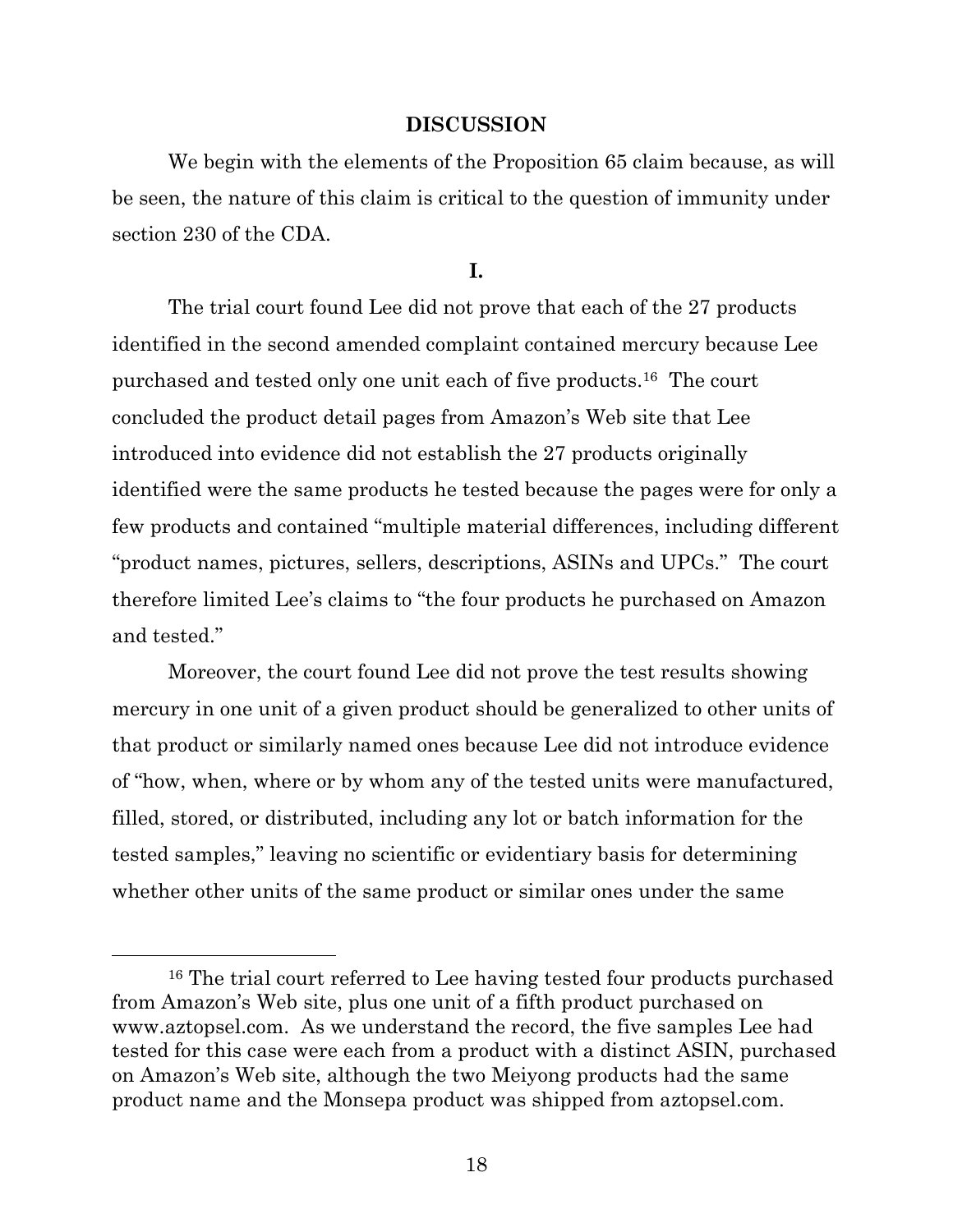#### **DISCUSSION**

We begin with the elements of the Proposition 65 claim because, as will be seen, the nature of this claim is critical to the question of immunity under section 230 of the CDA.

**I.**

The trial court found Lee did not prove that each of the 27 products identified in the second amended complaint contained mercury because Lee purchased and tested only one unit each of five products. <sup>16</sup> The court concluded the product detail pages from Amazon's Web site that Lee introduced into evidence did not establish the 27 products originally identified were the same products he tested because the pages were for only a few products and contained "multiple material differences, including different "product names, pictures, sellers, descriptions, ASINs and UPCs." The court therefore limited Lee's claims to "the four products he purchased on Amazon and tested."

Moreover, the court found Lee did not prove the test results showing mercury in one unit of a given product should be generalized to other units of that product or similarly named ones because Lee did not introduce evidence of "how, when, where or by whom any of the tested units were manufactured, filled, stored, or distributed, including any lot or batch information for the tested samples," leaving no scientific or evidentiary basis for determining whether other units of the same product or similar ones under the same

<sup>&</sup>lt;sup>16</sup> The trial court referred to Lee having tested four products purchased from Amazon's Web site, plus one unit of a fifth product purchased on www.aztopsel.com. As we understand the record, the five samples Lee had tested for this case were each from a product with a distinct ASIN, purchased on Amazon's Web site, although the two Meiyong products had the same product name and the Monsepa product was shipped from aztopsel.com.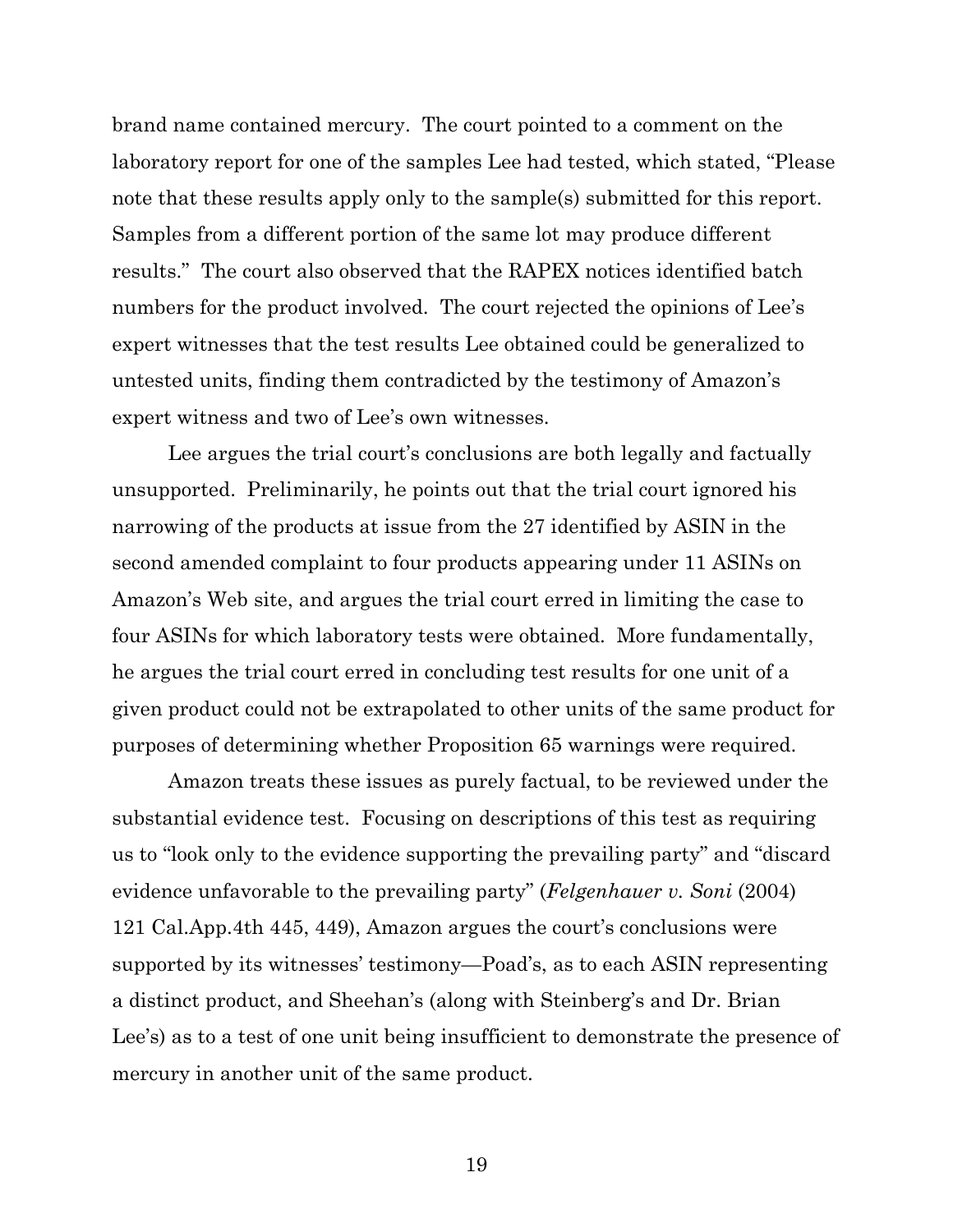brand name contained mercury. The court pointed to a comment on the laboratory report for one of the samples Lee had tested, which stated, "Please note that these results apply only to the sample(s) submitted for this report. Samples from a different portion of the same lot may produce different results." The court also observed that the RAPEX notices identified batch numbers for the product involved. The court rejected the opinions of Lee's expert witnesses that the test results Lee obtained could be generalized to untested units, finding them contradicted by the testimony of Amazon's expert witness and two of Lee's own witnesses.

Lee argues the trial court's conclusions are both legally and factually unsupported. Preliminarily, he points out that the trial court ignored his narrowing of the products at issue from the 27 identified by ASIN in the second amended complaint to four products appearing under 11 ASINs on Amazon's Web site, and argues the trial court erred in limiting the case to four ASINs for which laboratory tests were obtained. More fundamentally, he argues the trial court erred in concluding test results for one unit of a given product could not be extrapolated to other units of the same product for purposes of determining whether Proposition 65 warnings were required.

Amazon treats these issues as purely factual, to be reviewed under the substantial evidence test. Focusing on descriptions of this test as requiring us to "look only to the evidence supporting the prevailing party" and "discard evidence unfavorable to the prevailing party" (*Felgenhauer v. Soni* (2004) 121 Cal.App.4th 445, 449), Amazon argues the court's conclusions were supported by its witnesses' testimony—Poad's, as to each ASIN representing a distinct product, and Sheehan's (along with Steinberg's and Dr. Brian Lee's) as to a test of one unit being insufficient to demonstrate the presence of mercury in another unit of the same product.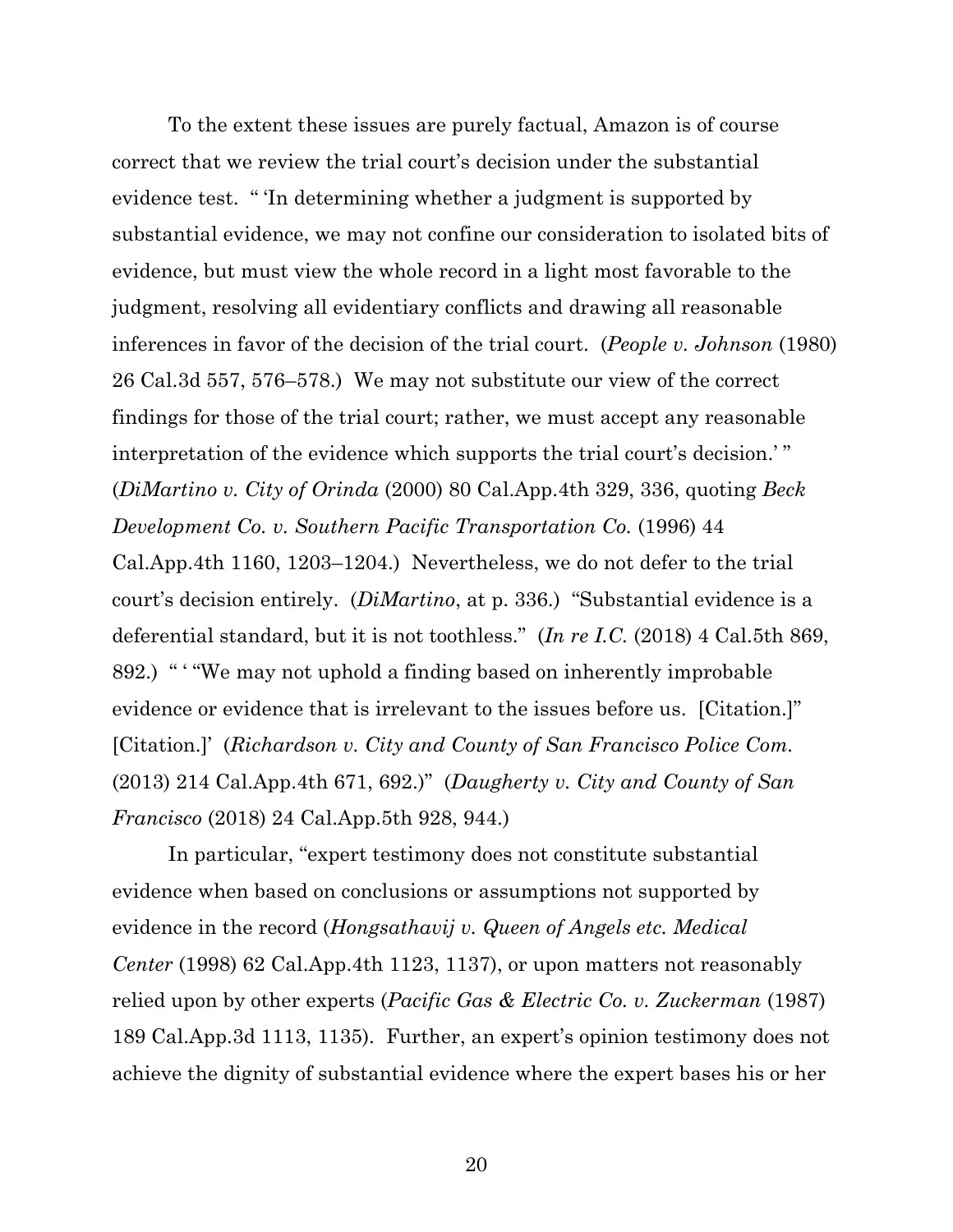To the extent these issues are purely factual, Amazon is of course correct that we review the trial court's decision under the substantial evidence test. " 'In determining whether a judgment is supported by substantial evidence, we may not confine our consideration to isolated bits of evidence, but must view the whole record in a light most favorable to the judgment, resolving all evidentiary conflicts and drawing all reasonable inferences in favor of the decision of the trial court. (*People v. Johnson* (1980) 26 Cal.3d 557, 576–578.) We may not substitute our view of the correct findings for those of the trial court; rather, we must accept any reasonable interpretation of the evidence which supports the trial court's decision.' " (*DiMartino v. City of Orinda* (2000) 80 Cal.App.4th 329, 336, quoting *Beck Development Co. v. Southern Pacific Transportation Co.* (1996) 44 Cal.App.4th 1160, 1203–1204.) Nevertheless, we do not defer to the trial court's decision entirely. (*DiMartino*, at p. 336.) "Substantial evidence is a deferential standard, but it is not toothless." (*In re I.C.* (2018) 4 Cal.5th 869, 892.) " ' "We may not uphold a finding based on inherently improbable evidence or evidence that is irrelevant to the issues before us. [Citation.]" [Citation.]' (*Richardson v. City and County of San Francisco Police Com.* (2013) 214 Cal.App.4th 671, 692.)" (*Daugherty v. City and County of San Francisco* (2018) 24 Cal.App.5th 928, 944.)

In particular, "expert testimony does not constitute substantial evidence when based on conclusions or assumptions not supported by evidence in the record (*Hongsathavij v. Queen of Angels etc. Medical Center* (1998) 62 Cal.App.4th 1123, 1137), or upon matters not reasonably relied upon by other experts (*Pacific Gas & Electric Co. v. Zuckerman* (1987) 189 Cal.App.3d 1113, 1135). Further, an expert's opinion testimony does not achieve the dignity of substantial evidence where the expert bases his or her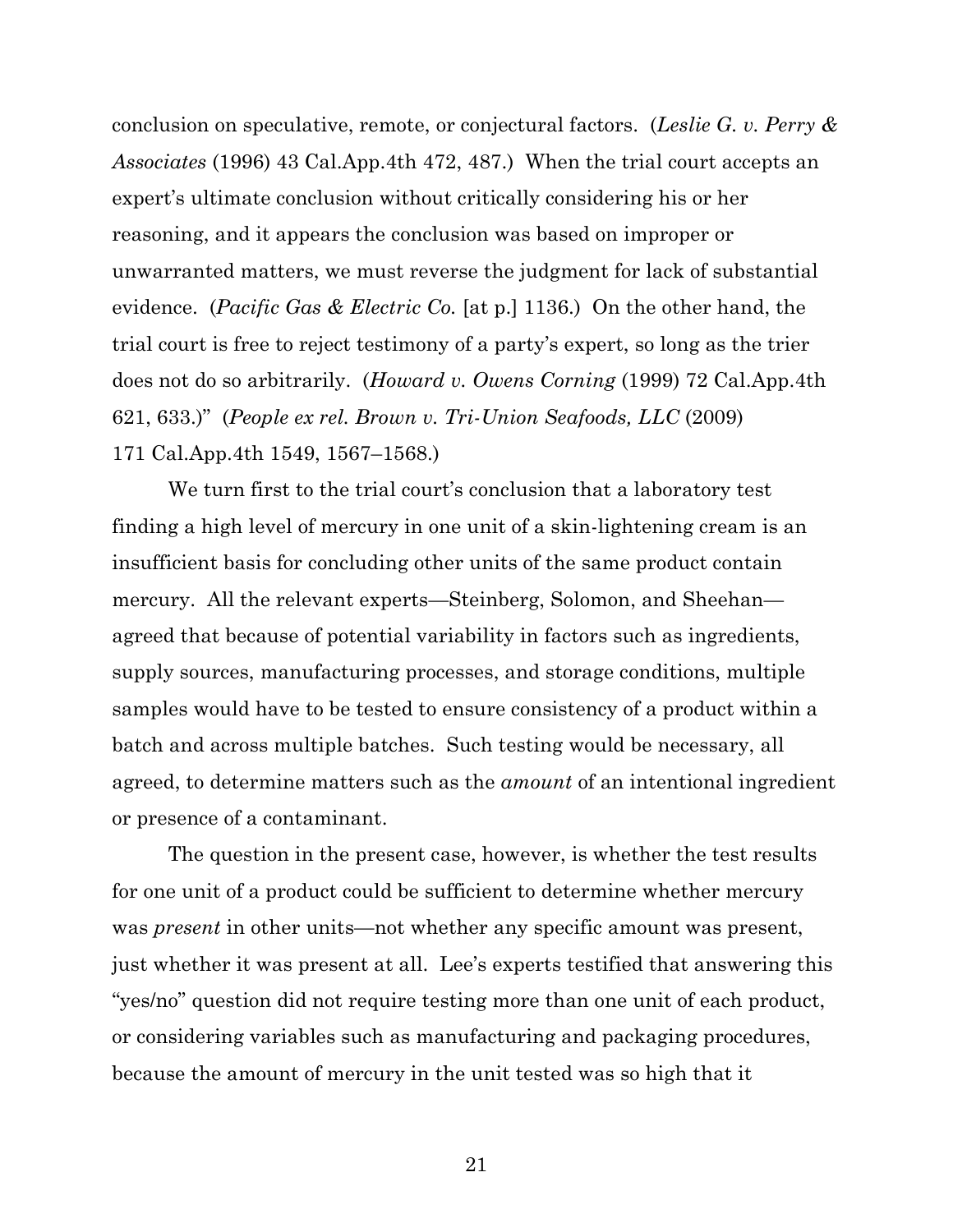conclusion on speculative, remote, or conjectural factors. (*Leslie G. v. Perry & Associates* (1996) 43 Cal.App.4th 472, 487.) When the trial court accepts an expert's ultimate conclusion without critically considering his or her reasoning, and it appears the conclusion was based on improper or unwarranted matters, we must reverse the judgment for lack of substantial evidence. (*Pacific Gas & Electric Co.* [at p.] 1136.) On the other hand, the trial court is free to reject testimony of a party's expert, so long as the trier does not do so arbitrarily. (*Howard v. Owens Corning* (1999) 72 Cal.App.4th 621, 633.)" (*People ex rel. Brown v. Tri-Union Seafoods, LLC* (2009) 171 Cal.App.4th 1549, 1567–1568.)

We turn first to the trial court's conclusion that a laboratory test finding a high level of mercury in one unit of a skin-lightening cream is an insufficient basis for concluding other units of the same product contain mercury. All the relevant experts—Steinberg, Solomon, and Sheehan agreed that because of potential variability in factors such as ingredients, supply sources, manufacturing processes, and storage conditions, multiple samples would have to be tested to ensure consistency of a product within a batch and across multiple batches. Such testing would be necessary, all agreed, to determine matters such as the *amount* of an intentional ingredient or presence of a contaminant.

The question in the present case, however, is whether the test results for one unit of a product could be sufficient to determine whether mercury was *present* in other units—not whether any specific amount was present, just whether it was present at all. Lee's experts testified that answering this "yes/no" question did not require testing more than one unit of each product, or considering variables such as manufacturing and packaging procedures, because the amount of mercury in the unit tested was so high that it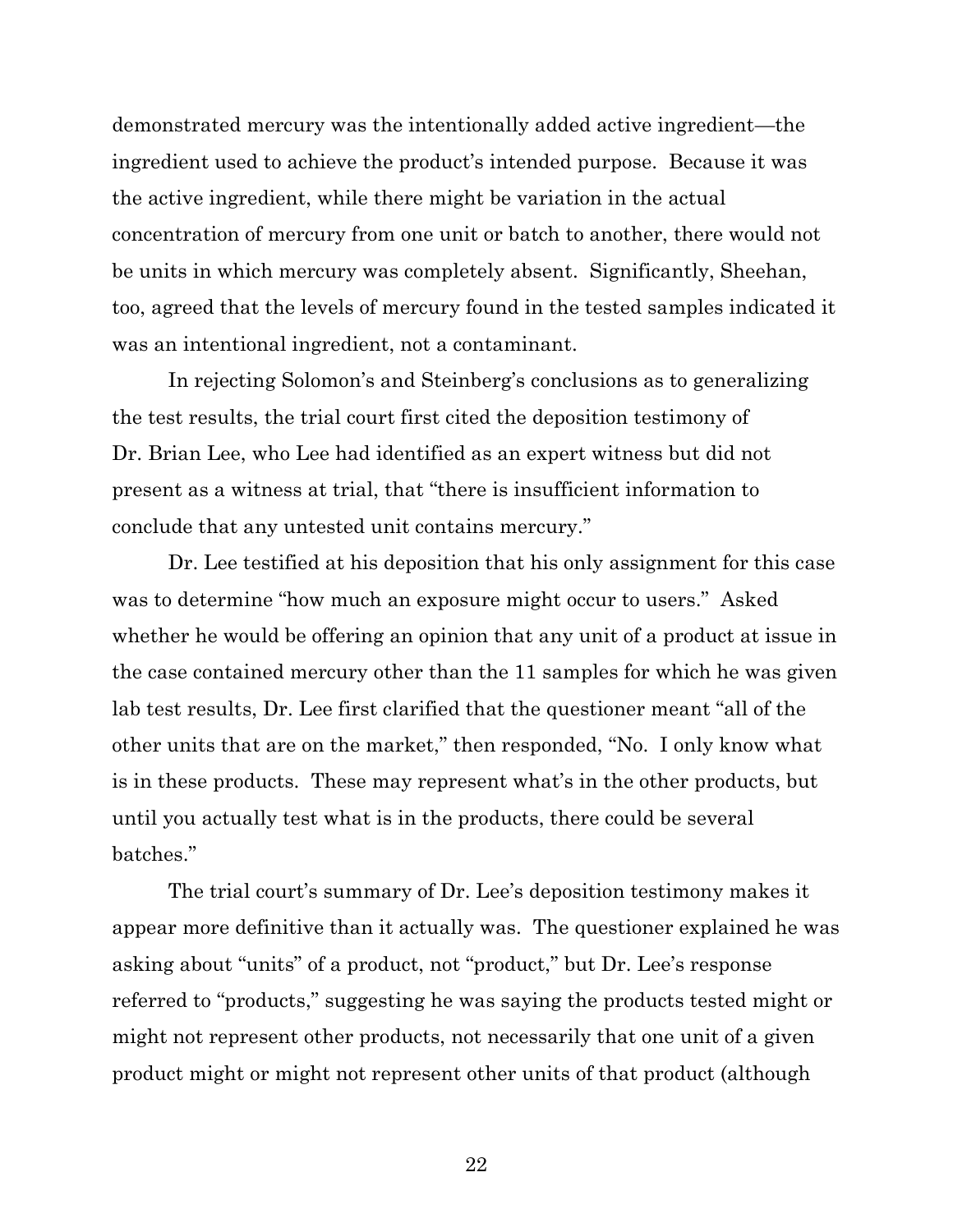demonstrated mercury was the intentionally added active ingredient—the ingredient used to achieve the product's intended purpose. Because it was the active ingredient, while there might be variation in the actual concentration of mercury from one unit or batch to another, there would not be units in which mercury was completely absent. Significantly, Sheehan, too, agreed that the levels of mercury found in the tested samples indicated it was an intentional ingredient, not a contaminant.

In rejecting Solomon's and Steinberg's conclusions as to generalizing the test results, the trial court first cited the deposition testimony of Dr. Brian Lee, who Lee had identified as an expert witness but did not present as a witness at trial, that "there is insufficient information to conclude that any untested unit contains mercury."

Dr. Lee testified at his deposition that his only assignment for this case was to determine "how much an exposure might occur to users." Asked whether he would be offering an opinion that any unit of a product at issue in the case contained mercury other than the 11 samples for which he was given lab test results, Dr. Lee first clarified that the questioner meant "all of the other units that are on the market," then responded, "No. I only know what is in these products. These may represent what's in the other products, but until you actually test what is in the products, there could be several batches."

The trial court's summary of Dr. Lee's deposition testimony makes it appear more definitive than it actually was. The questioner explained he was asking about "units" of a product, not "product," but Dr. Lee's response referred to "products," suggesting he was saying the products tested might or might not represent other products, not necessarily that one unit of a given product might or might not represent other units of that product (although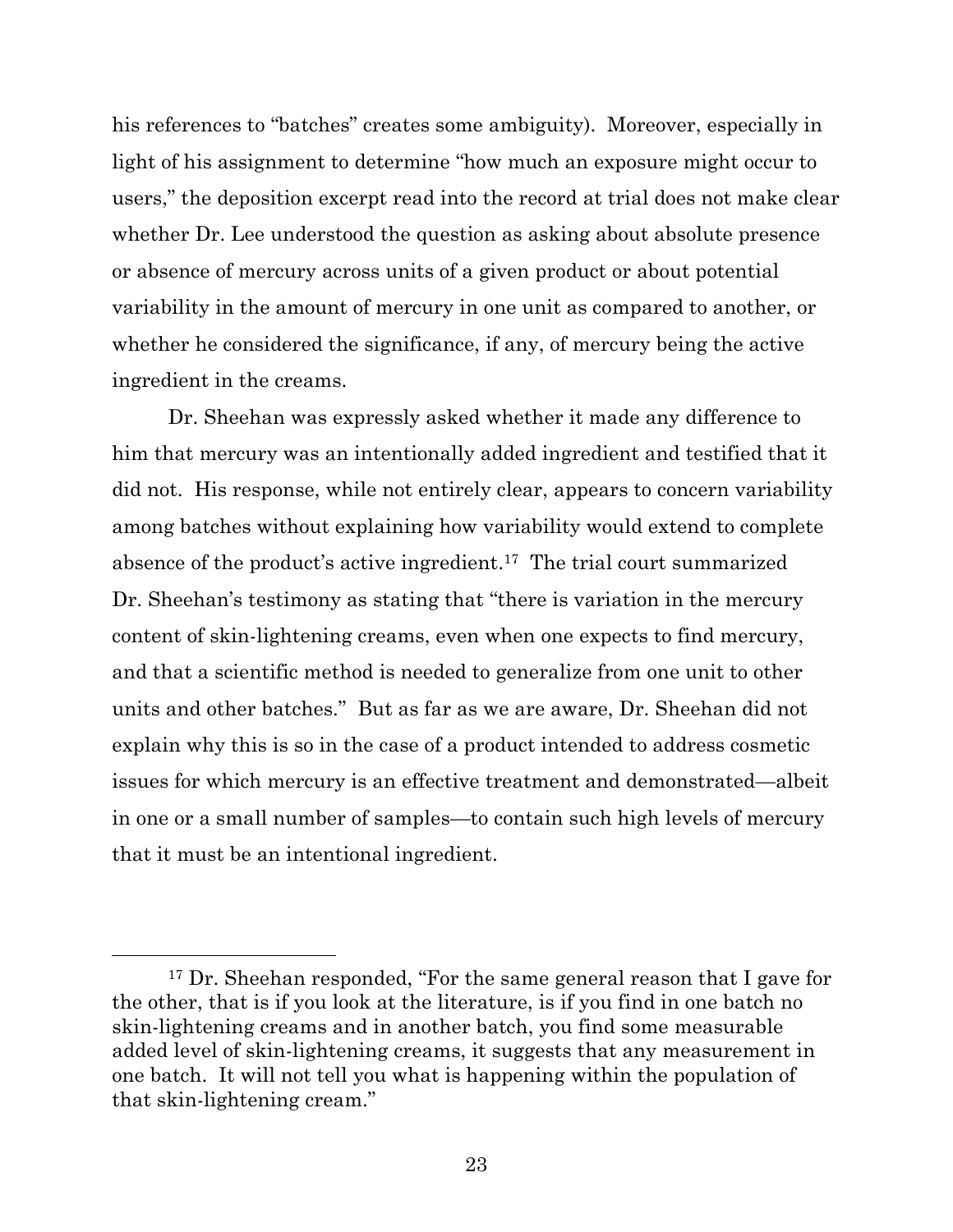his references to "batches" creates some ambiguity). Moreover, especially in light of his assignment to determine "how much an exposure might occur to users," the deposition excerpt read into the record at trial does not make clear whether Dr. Lee understood the question as asking about absolute presence or absence of mercury across units of a given product or about potential variability in the amount of mercury in one unit as compared to another, or whether he considered the significance, if any, of mercury being the active ingredient in the creams.

Dr. Sheehan was expressly asked whether it made any difference to him that mercury was an intentionally added ingredient and testified that it did not. His response, while not entirely clear, appears to concern variability among batches without explaining how variability would extend to complete absence of the product's active ingredient.<sup>17</sup> The trial court summarized Dr. Sheehan's testimony as stating that "there is variation in the mercury content of skin-lightening creams, even when one expects to find mercury, and that a scientific method is needed to generalize from one unit to other units and other batches." But as far as we are aware, Dr. Sheehan did not explain why this is so in the case of a product intended to address cosmetic issues for which mercury is an effective treatment and demonstrated—albeit in one or a small number of samples—to contain such high levels of mercury that it must be an intentional ingredient.

<sup>17</sup> Dr. Sheehan responded, "For the same general reason that I gave for the other, that is if you look at the literature, is if you find in one batch no skin-lightening creams and in another batch, you find some measurable added level of skin-lightening creams, it suggests that any measurement in one batch. It will not tell you what is happening within the population of that skin-lightening cream."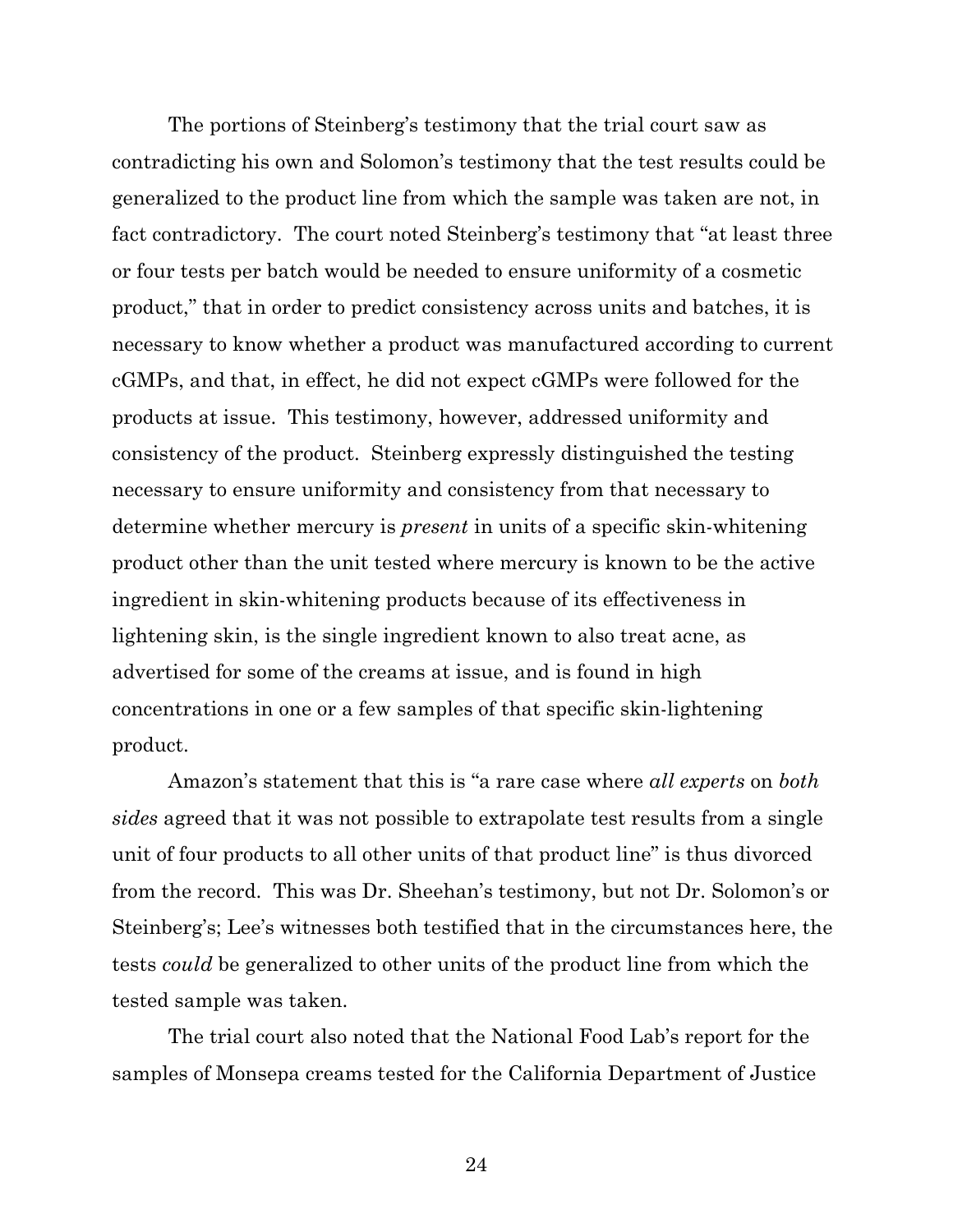The portions of Steinberg's testimony that the trial court saw as contradicting his own and Solomon's testimony that the test results could be generalized to the product line from which the sample was taken are not, in fact contradictory. The court noted Steinberg's testimony that "at least three or four tests per batch would be needed to ensure uniformity of a cosmetic product," that in order to predict consistency across units and batches, it is necessary to know whether a product was manufactured according to current cGMPs, and that, in effect, he did not expect cGMPs were followed for the products at issue. This testimony, however, addressed uniformity and consistency of the product. Steinberg expressly distinguished the testing necessary to ensure uniformity and consistency from that necessary to determine whether mercury is *present* in units of a specific skin-whitening product other than the unit tested where mercury is known to be the active ingredient in skin-whitening products because of its effectiveness in lightening skin, is the single ingredient known to also treat acne, as advertised for some of the creams at issue, and is found in high concentrations in one or a few samples of that specific skin-lightening product.

Amazon's statement that this is "a rare case where *all experts* on *both sides* agreed that it was not possible to extrapolate test results from a single unit of four products to all other units of that product line" is thus divorced from the record. This was Dr. Sheehan's testimony, but not Dr. Solomon's or Steinberg's; Lee's witnesses both testified that in the circumstances here, the tests *could* be generalized to other units of the product line from which the tested sample was taken.

The trial court also noted that the National Food Lab's report for the samples of Monsepa creams tested for the California Department of Justice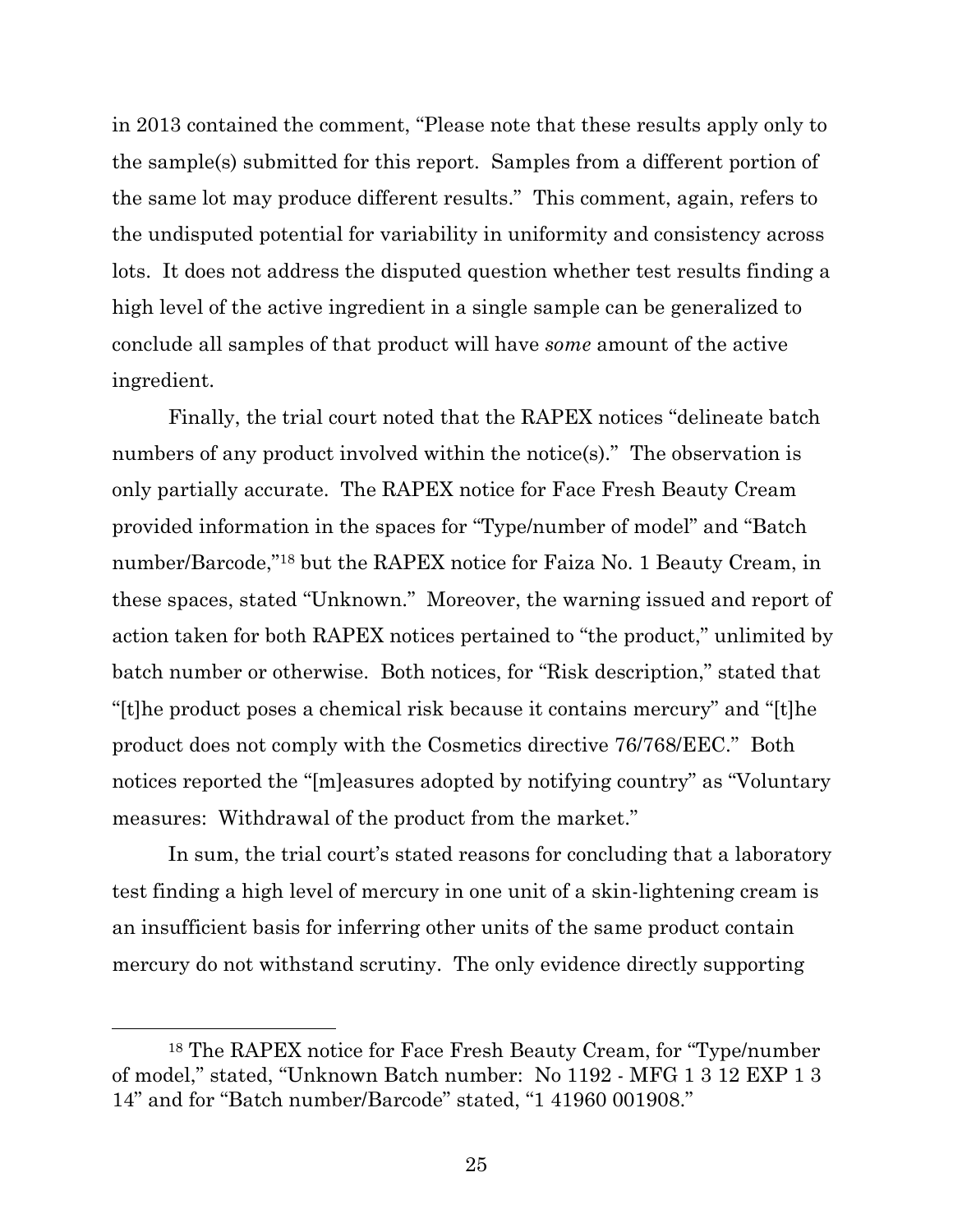in 2013 contained the comment, "Please note that these results apply only to the sample(s) submitted for this report. Samples from a different portion of the same lot may produce different results." This comment, again, refers to the undisputed potential for variability in uniformity and consistency across lots. It does not address the disputed question whether test results finding a high level of the active ingredient in a single sample can be generalized to conclude all samples of that product will have *some* amount of the active ingredient.

Finally, the trial court noted that the RAPEX notices "delineate batch numbers of any product involved within the notice(s)." The observation is only partially accurate. The RAPEX notice for Face Fresh Beauty Cream provided information in the spaces for "Type/number of model" and "Batch number/Barcode," <sup>18</sup> but the RAPEX notice for Faiza No. 1 Beauty Cream, in these spaces, stated "Unknown." Moreover, the warning issued and report of action taken for both RAPEX notices pertained to "the product," unlimited by batch number or otherwise. Both notices, for "Risk description," stated that "[t]he product poses a chemical risk because it contains mercury" and "[t]he product does not comply with the Cosmetics directive 76/768/EEC." Both notices reported the "[m]easures adopted by notifying country" as "Voluntary measures: Withdrawal of the product from the market."

In sum, the trial court's stated reasons for concluding that a laboratory test finding a high level of mercury in one unit of a skin-lightening cream is an insufficient basis for inferring other units of the same product contain mercury do not withstand scrutiny. The only evidence directly supporting

<sup>18</sup> The RAPEX notice for Face Fresh Beauty Cream, for "Type/number of model," stated, "Unknown Batch number: No 1192 - MFG 1 3 12 EXP 1 3 14" and for "Batch number/Barcode" stated, "1 41960 001908."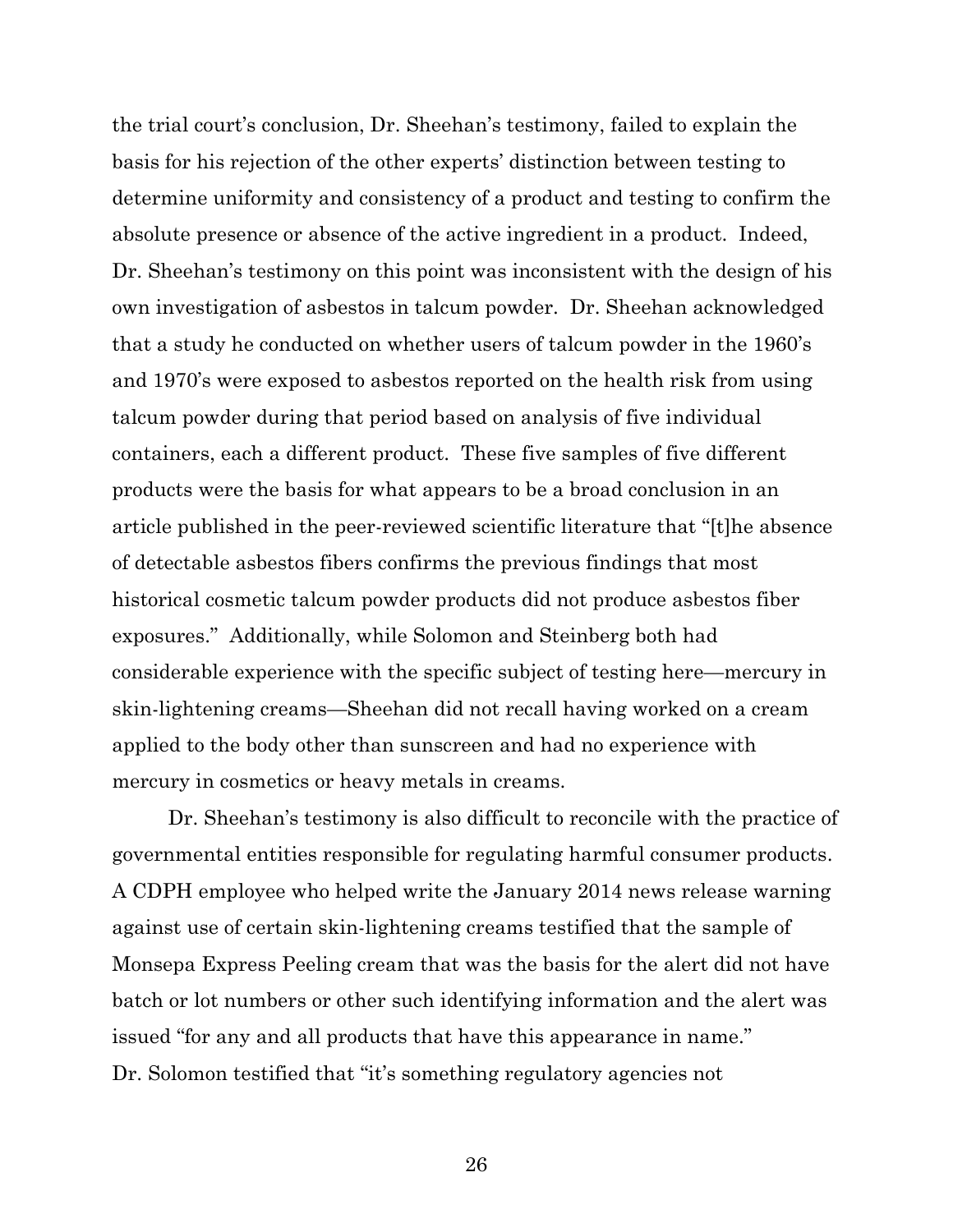the trial court's conclusion, Dr. Sheehan's testimony, failed to explain the basis for his rejection of the other experts' distinction between testing to determine uniformity and consistency of a product and testing to confirm the absolute presence or absence of the active ingredient in a product. Indeed, Dr. Sheehan's testimony on this point was inconsistent with the design of his own investigation of asbestos in talcum powder. Dr. Sheehan acknowledged that a study he conducted on whether users of talcum powder in the 1960's and 1970's were exposed to asbestos reported on the health risk from using talcum powder during that period based on analysis of five individual containers, each a different product. These five samples of five different products were the basis for what appears to be a broad conclusion in an article published in the peer-reviewed scientific literature that "[t]he absence of detectable asbestos fibers confirms the previous findings that most historical cosmetic talcum powder products did not produce asbestos fiber exposures." Additionally, while Solomon and Steinberg both had considerable experience with the specific subject of testing here—mercury in skin-lightening creams—Sheehan did not recall having worked on a cream applied to the body other than sunscreen and had no experience with mercury in cosmetics or heavy metals in creams.

Dr. Sheehan's testimony is also difficult to reconcile with the practice of governmental entities responsible for regulating harmful consumer products. A CDPH employee who helped write the January 2014 news release warning against use of certain skin-lightening creams testified that the sample of Monsepa Express Peeling cream that was the basis for the alert did not have batch or lot numbers or other such identifying information and the alert was issued "for any and all products that have this appearance in name." Dr. Solomon testified that "it's something regulatory agencies not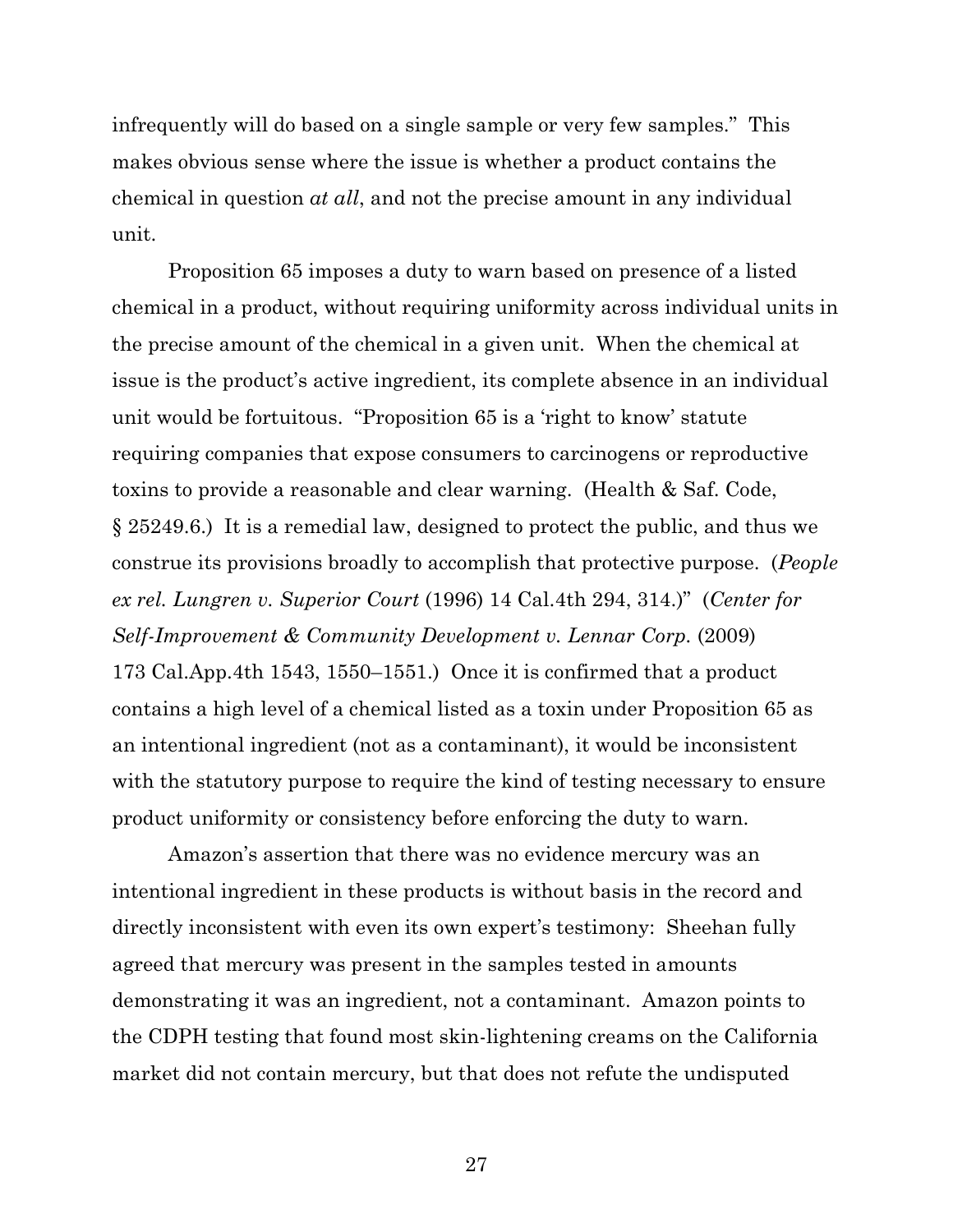infrequently will do based on a single sample or very few samples." This makes obvious sense where the issue is whether a product contains the chemical in question *at all*, and not the precise amount in any individual unit.

Proposition 65 imposes a duty to warn based on presence of a listed chemical in a product, without requiring uniformity across individual units in the precise amount of the chemical in a given unit. When the chemical at issue is the product's active ingredient, its complete absence in an individual unit would be fortuitous. "Proposition 65 is a 'right to know' statute requiring companies that expose consumers to carcinogens or reproductive toxins to provide a reasonable and clear warning. (Health & Saf. Code, § 25249.6.) It is a remedial law, designed to protect the public, and thus we construe its provisions broadly to accomplish that protective purpose. (*People ex rel. Lungren v. Superior Court* (1996) 14 Cal.4th 294, 314.)" (*Center for Self-Improvement & Community Development v. Lennar Corp.* (2009) 173 Cal.App.4th 1543, 1550–1551.) Once it is confirmed that a product contains a high level of a chemical listed as a toxin under Proposition 65 as an intentional ingredient (not as a contaminant), it would be inconsistent with the statutory purpose to require the kind of testing necessary to ensure product uniformity or consistency before enforcing the duty to warn.

Amazon's assertion that there was no evidence mercury was an intentional ingredient in these products is without basis in the record and directly inconsistent with even its own expert's testimony: Sheehan fully agreed that mercury was present in the samples tested in amounts demonstrating it was an ingredient, not a contaminant. Amazon points to the CDPH testing that found most skin-lightening creams on the California market did not contain mercury, but that does not refute the undisputed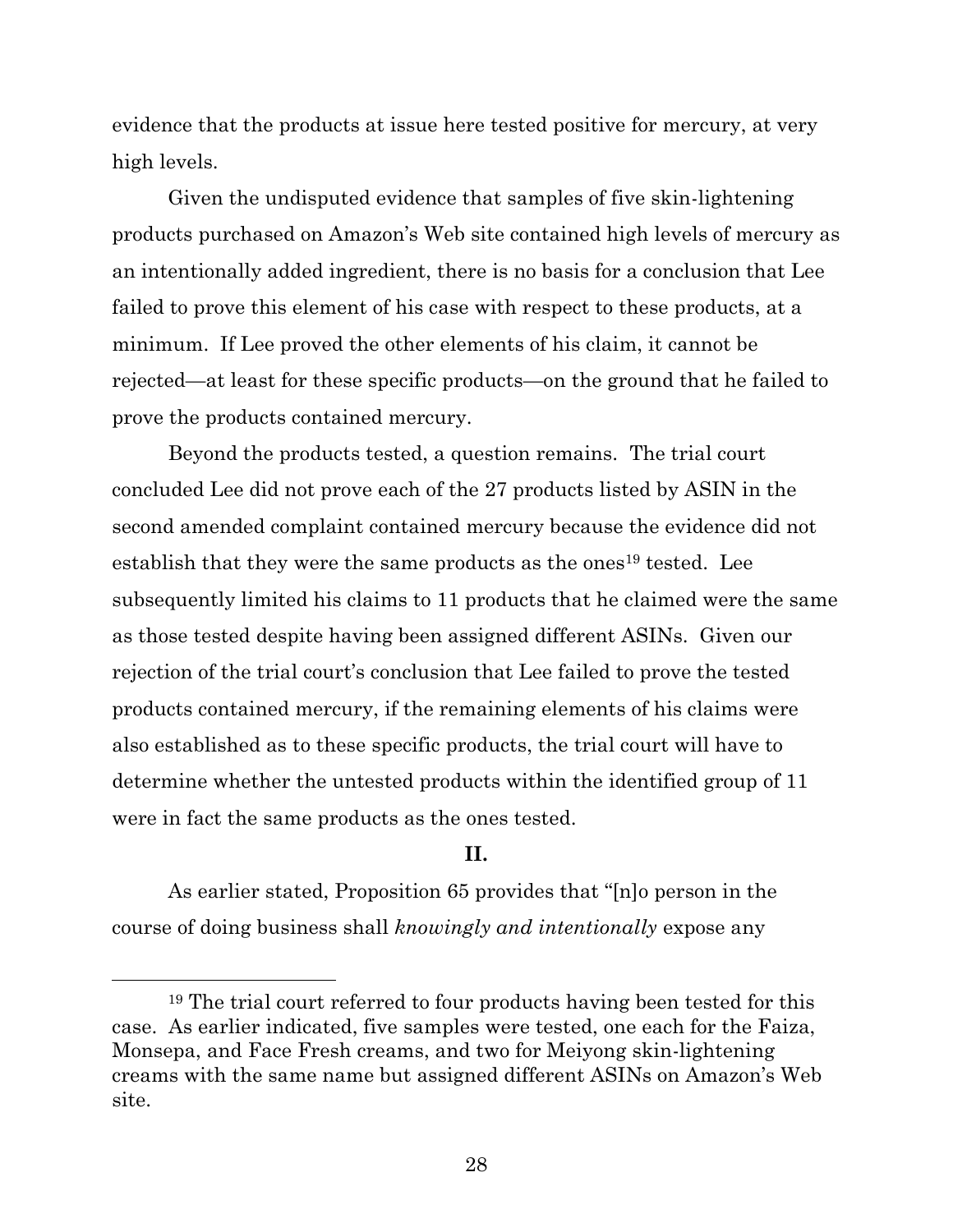evidence that the products at issue here tested positive for mercury, at very high levels.

Given the undisputed evidence that samples of five skin-lightening products purchased on Amazon's Web site contained high levels of mercury as an intentionally added ingredient, there is no basis for a conclusion that Lee failed to prove this element of his case with respect to these products, at a minimum. If Lee proved the other elements of his claim, it cannot be rejected—at least for these specific products—on the ground that he failed to prove the products contained mercury.

Beyond the products tested, a question remains. The trial court concluded Lee did not prove each of the 27 products listed by ASIN in the second amended complaint contained mercury because the evidence did not establish that they were the same products as the ones<sup>19</sup> tested. Lee subsequently limited his claims to 11 products that he claimed were the same as those tested despite having been assigned different ASINs. Given our rejection of the trial court's conclusion that Lee failed to prove the tested products contained mercury, if the remaining elements of his claims were also established as to these specific products, the trial court will have to determine whether the untested products within the identified group of 11 were in fact the same products as the ones tested.

## **II.**

As earlier stated, Proposition 65 provides that "[n]o person in the course of doing business shall *knowingly and intentionally* expose any

<sup>19</sup> The trial court referred to four products having been tested for this case. As earlier indicated, five samples were tested, one each for the Faiza, Monsepa, and Face Fresh creams, and two for Meiyong skin-lightening creams with the same name but assigned different ASINs on Amazon's Web site.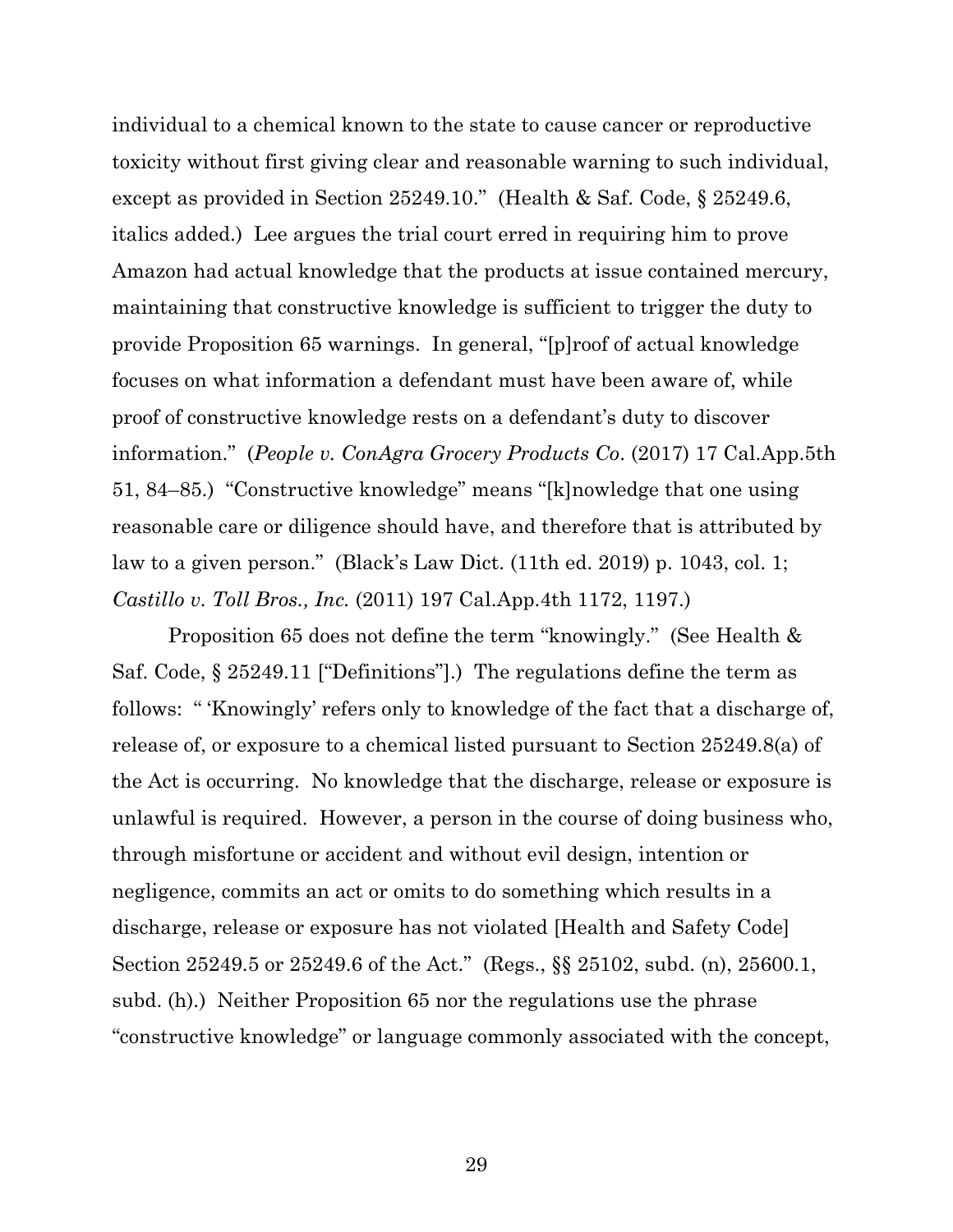individual to a chemical known to the state to cause cancer or reproductive toxicity without first giving clear and reasonable warning to such individual, except as provided in Section 25249.10." (Health & Saf. Code, § 25249.6, italics added.) Lee argues the trial court erred in requiring him to prove Amazon had actual knowledge that the products at issue contained mercury, maintaining that constructive knowledge is sufficient to trigger the duty to provide Proposition 65 warnings. In general, "[p]roof of actual knowledge focuses on what information a defendant must have been aware of, while proof of constructive knowledge rests on a defendant's duty to discover information." (*People v. ConAgra Grocery Products Co*. (2017) 17 Cal.App.5th 51, 84–85.) "Constructive knowledge" means "[k]nowledge that one using reasonable care or diligence should have, and therefore that is attributed by law to a given person." (Black's Law Dict. (11th ed. 2019) p. 1043, col. 1; *Castillo v. Toll Bros., Inc.* (2011) 197 Cal.App.4th 1172, 1197.)

Proposition 65 does not define the term "knowingly." (See Health & Saf. Code, § 25249.11 ["Definitions"].) The regulations define the term as follows: " 'Knowingly' refers only to knowledge of the fact that a discharge of, release of, or exposure to a chemical listed pursuant to Section 25249.8(a) of the Act is occurring. No knowledge that the discharge, release or exposure is unlawful is required. However, a person in the course of doing business who, through misfortune or accident and without evil design, intention or negligence, commits an act or omits to do something which results in a discharge, release or exposure has not violated [Health and Safety Code] Section 25249.5 or 25249.6 of the Act." (Regs., §§ 25102, subd. (n), 25600.1, subd. (h).) Neither Proposition 65 nor the regulations use the phrase "constructive knowledge" or language commonly associated with the concept,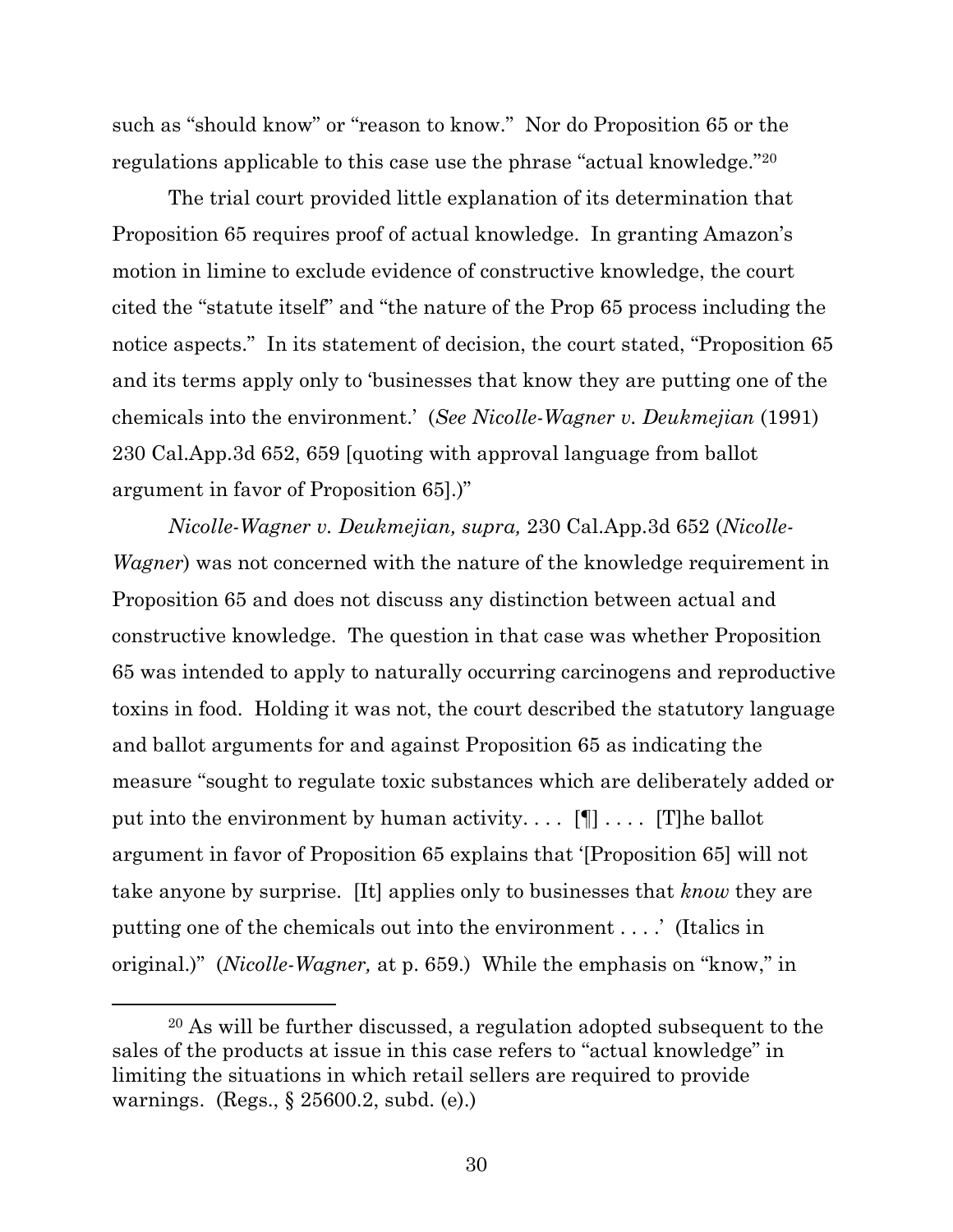such as "should know" or "reason to know." Nor do Proposition 65 or the regulations applicable to this case use the phrase "actual knowledge."<sup>20</sup>

The trial court provided little explanation of its determination that Proposition 65 requires proof of actual knowledge. In granting Amazon's motion in limine to exclude evidence of constructive knowledge, the court cited the "statute itself" and "the nature of the Prop 65 process including the notice aspects." In its statement of decision, the court stated, "Proposition 65 and its terms apply only to 'businesses that know they are putting one of the chemicals into the environment.' (*See Nicolle-Wagner v. Deukmejian* (1991) 230 Cal.App.3d 652, 659 [quoting with approval language from ballot argument in favor of Proposition 65].)"

*Nicolle-Wagner v. Deukmejian, supra,* 230 Cal.App.3d 652 (*Nicolle-Wagner*) was not concerned with the nature of the knowledge requirement in Proposition 65 and does not discuss any distinction between actual and constructive knowledge. The question in that case was whether Proposition 65 was intended to apply to naturally occurring carcinogens and reproductive toxins in food. Holding it was not, the court described the statutory language and ballot arguments for and against Proposition 65 as indicating the measure "sought to regulate toxic substances which are deliberately added or put into the environment by human activity....  $[\P]$ .... [T]he ballot argument in favor of Proposition 65 explains that '[Proposition 65] will not take anyone by surprise. [It] applies only to businesses that *know* they are putting one of the chemicals out into the environment . . . .' (Italics in original.)" (*Nicolle-Wagner,* at p. 659.) While the emphasis on "know," in

<sup>20</sup> As will be further discussed, a regulation adopted subsequent to the sales of the products at issue in this case refers to "actual knowledge" in limiting the situations in which retail sellers are required to provide warnings. (Regs., § 25600.2, subd. (e).)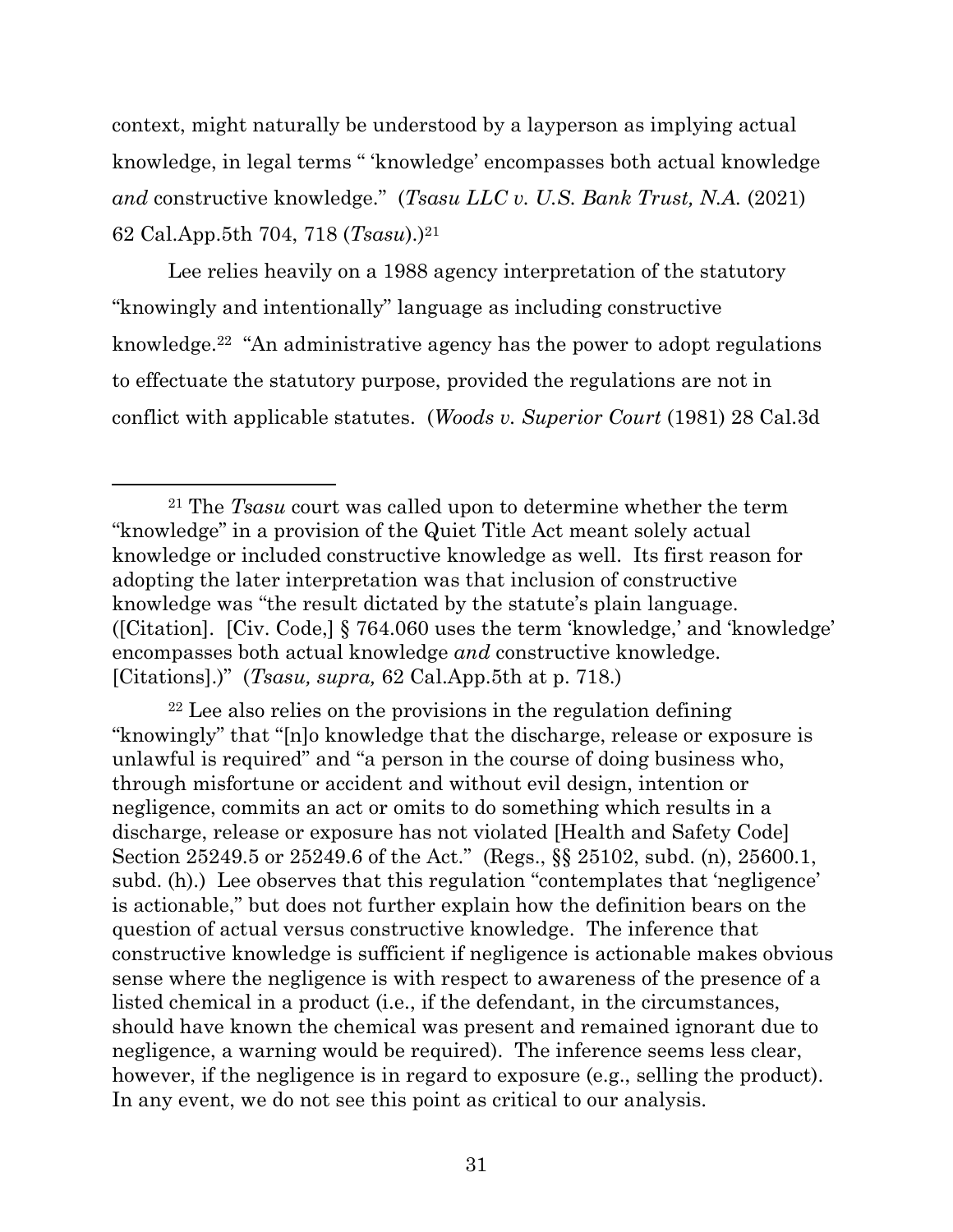context, might naturally be understood by a layperson as implying actual knowledge, in legal terms " 'knowledge' encompasses both actual knowledge *and* constructive knowledge." (*Tsasu LLC v. U.S. Bank Trust, N.A.* (2021) 62 Cal.App.5th 704, 718 (*Tsasu*).)<sup>21</sup>

Lee relies heavily on a 1988 agency interpretation of the statutory "knowingly and intentionally" language as including constructive knowledge.<sup>22</sup> "An administrative agency has the power to adopt regulations to effectuate the statutory purpose, provided the regulations are not in conflict with applicable statutes. (*Woods v. Superior Court* (1981) 28 Cal.3d

<sup>22</sup> Lee also relies on the provisions in the regulation defining "knowingly" that "[n]o knowledge that the discharge, release or exposure is unlawful is required" and "a person in the course of doing business who, through misfortune or accident and without evil design, intention or negligence, commits an act or omits to do something which results in a discharge, release or exposure has not violated [Health and Safety Code] Section 25249.5 or 25249.6 of the Act." (Regs., §§ 25102, subd. (n), 25600.1, subd. (h).) Lee observes that this regulation "contemplates that 'negligence' is actionable," but does not further explain how the definition bears on the question of actual versus constructive knowledge. The inference that constructive knowledge is sufficient if negligence is actionable makes obvious sense where the negligence is with respect to awareness of the presence of a listed chemical in a product (i.e., if the defendant, in the circumstances, should have known the chemical was present and remained ignorant due to negligence, a warning would be required). The inference seems less clear, however, if the negligence is in regard to exposure (e.g., selling the product). In any event, we do not see this point as critical to our analysis.

<sup>21</sup> The *Tsasu* court was called upon to determine whether the term "knowledge" in a provision of the Quiet Title Act meant solely actual knowledge or included constructive knowledge as well. Its first reason for adopting the later interpretation was that inclusion of constructive knowledge was "the result dictated by the statute's plain language. ([Citation]. [Civ. Code,] § 764.060 uses the term 'knowledge,' and 'knowledge' encompasses both actual knowledge *and* constructive knowledge. [Citations].)" (*Tsasu, supra,* 62 Cal.App.5th at p. 718.)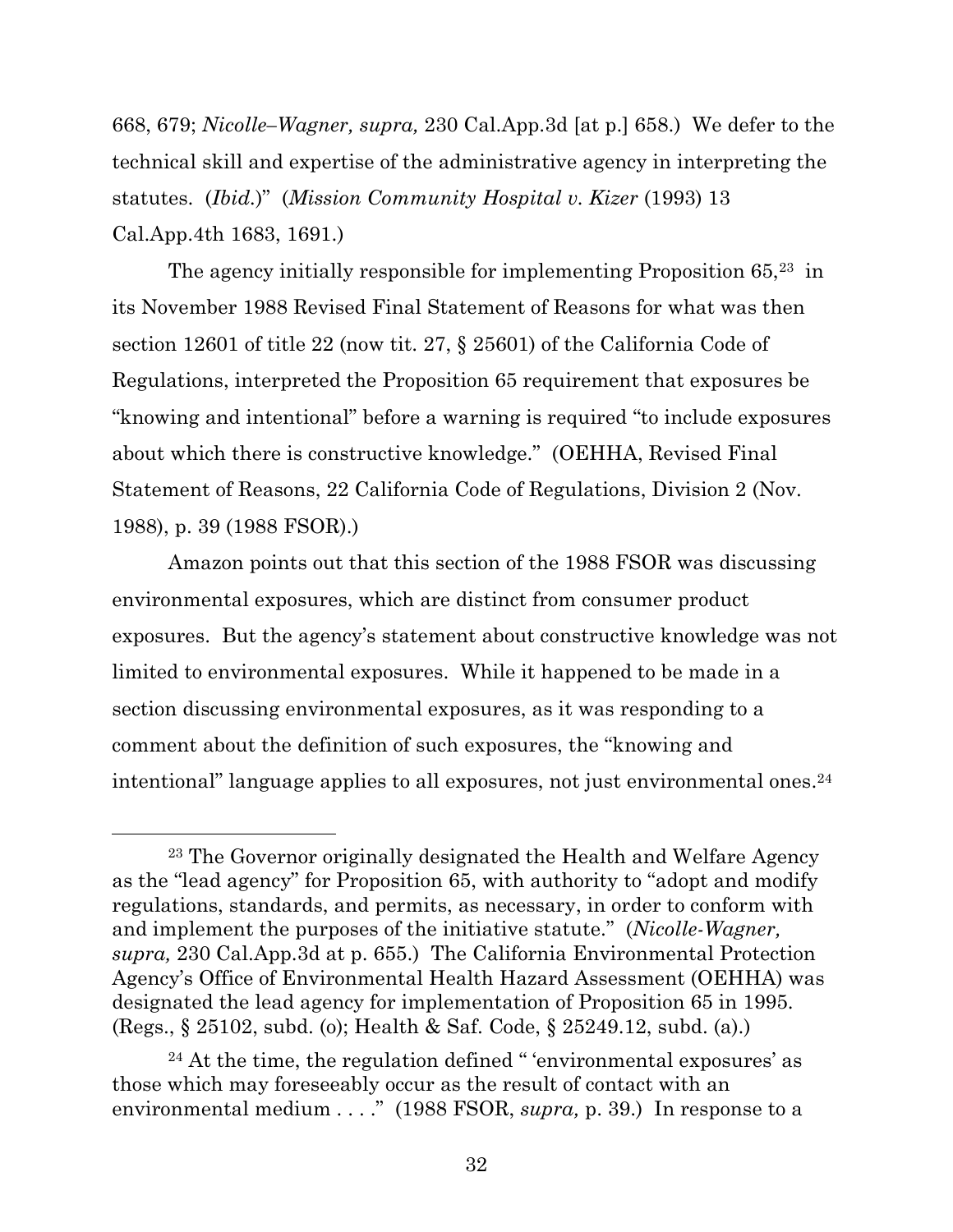668, 679; *Nicolle–Wagner, supra,* 230 Cal.App.3d [at p.] 658.) We defer to the technical skill and expertise of the administrative agency in interpreting the statutes. (*Ibid.*)" (*Mission Community Hospital v. Kizer* (1993) 13 Cal.App.4th 1683, 1691.)

The agency initially responsible for implementing Proposition  $65<sup>23</sup>$  in its November 1988 Revised Final Statement of Reasons for what was then section 12601 of title 22 (now tit. 27, § 25601) of the California Code of Regulations, interpreted the Proposition 65 requirement that exposures be "knowing and intentional" before a warning is required "to include exposures about which there is constructive knowledge." (OEHHA, Revised Final Statement of Reasons, 22 California Code of Regulations, Division 2 (Nov. 1988), p. 39 (1988 FSOR).)

Amazon points out that this section of the 1988 FSOR was discussing environmental exposures, which are distinct from consumer product exposures. But the agency's statement about constructive knowledge was not limited to environmental exposures. While it happened to be made in a section discussing environmental exposures, as it was responding to a comment about the definition of such exposures, the "knowing and intentional" language applies to all exposures, not just environmental ones.<sup>24</sup>

<sup>23</sup> The Governor originally designated the Health and Welfare Agency as the "lead agency" for Proposition 65, with authority to "adopt and modify regulations, standards, and permits, as necessary, in order to conform with and implement the purposes of the initiative statute." (*Nicolle-Wagner, supra,* 230 Cal.App.3d at p. 655.) The California Environmental Protection Agency's Office of Environmental Health Hazard Assessment (OEHHA) was designated the lead agency for implementation of Proposition 65 in 1995. (Regs., § 25102, subd. (o); Health & Saf. Code, § 25249.12, subd. (a).)

 $24$  At the time, the regulation defined " 'environmental exposures' as those which may foreseeably occur as the result of contact with an environmental medium . . . ." (1988 FSOR, *supra,* p. 39.) In response to a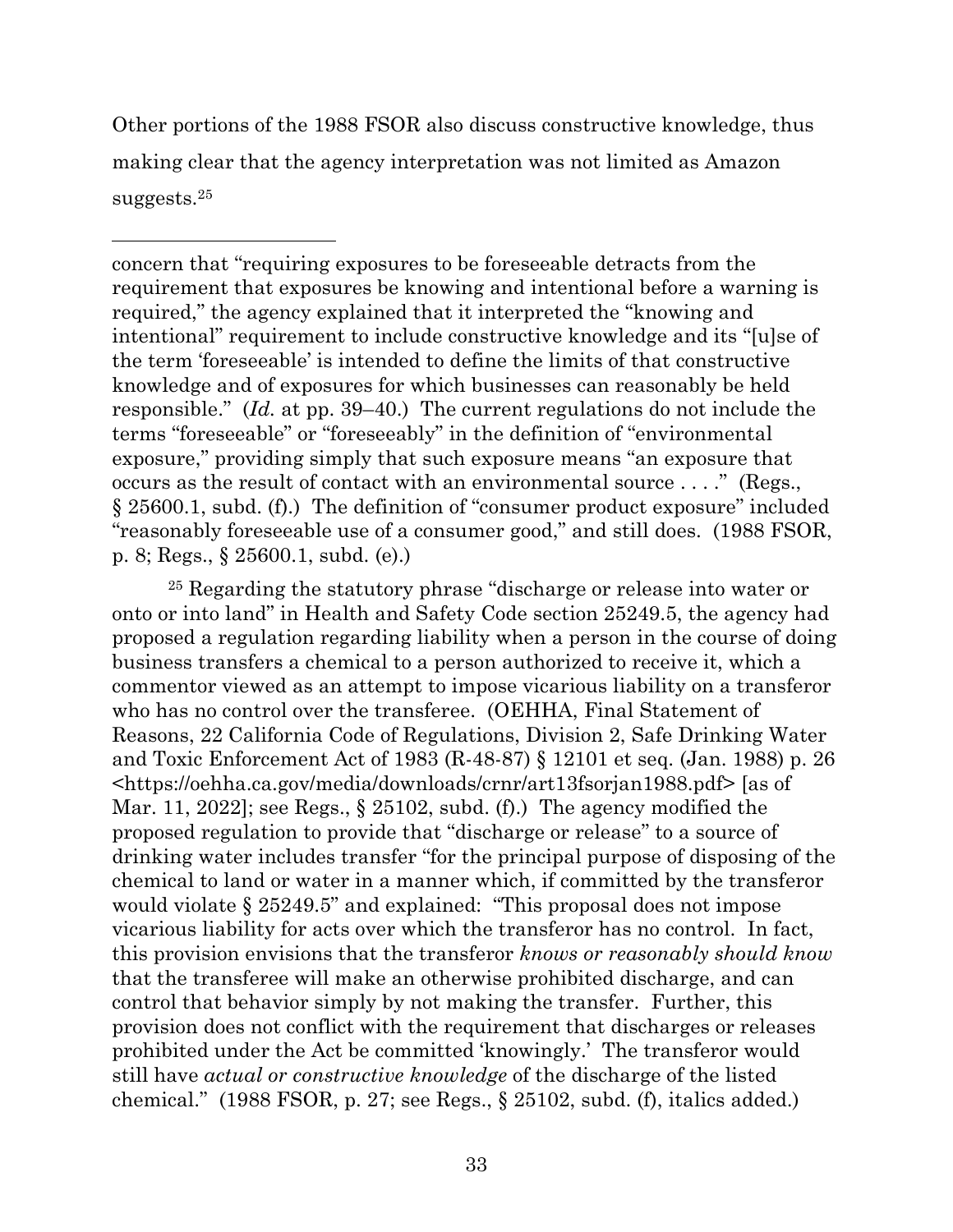Other portions of the 1988 FSOR also discuss constructive knowledge, thus making clear that the agency interpretation was not limited as Amazon suggests.<sup>25</sup>

concern that "requiring exposures to be foreseeable detracts from the requirement that exposures be knowing and intentional before a warning is required," the agency explained that it interpreted the "knowing and intentional" requirement to include constructive knowledge and its "[u]se of the term 'foreseeable' is intended to define the limits of that constructive knowledge and of exposures for which businesses can reasonably be held responsible." (*Id.* at pp. 39–40.) The current regulations do not include the terms "foreseeable" or "foreseeably" in the definition of "environmental exposure," providing simply that such exposure means "an exposure that occurs as the result of contact with an environmental source . . . ." (Regs., § 25600.1, subd. (f).) The definition of "consumer product exposure" included "reasonably foreseeable use of a consumer good," and still does. (1988 FSOR, p. 8; Regs., § 25600.1, subd. (e).)

<sup>25</sup> Regarding the statutory phrase "discharge or release into water or onto or into land" in Health and Safety Code section 25249.5, the agency had proposed a regulation regarding liability when a person in the course of doing business transfers a chemical to a person authorized to receive it, which a commentor viewed as an attempt to impose vicarious liability on a transferor who has no control over the transferee. (OEHHA, Final Statement of Reasons, 22 California Code of Regulations, Division 2, Safe Drinking Water and Toxic Enforcement Act of 1983 (R-48-87) § 12101 et seq. (Jan. 1988) p. 26 <https://oehha.ca.gov/media/downloads/crnr/art13fsorjan1988.pdf> [as of Mar. 11, 2022]; see Regs.,  $\S 25102$ , subd. (f).) The agency modified the proposed regulation to provide that "discharge or release" to a source of drinking water includes transfer "for the principal purpose of disposing of the chemical to land or water in a manner which, if committed by the transferor would violate § 25249.5" and explained: "This proposal does not impose vicarious liability for acts over which the transferor has no control. In fact, this provision envisions that the transferor *knows or reasonably should know* that the transferee will make an otherwise prohibited discharge, and can control that behavior simply by not making the transfer. Further, this provision does not conflict with the requirement that discharges or releases prohibited under the Act be committed 'knowingly.' The transferor would still have *actual or constructive knowledge* of the discharge of the listed chemical." (1988 FSOR, p. 27; see Regs., § 25102, subd. (f), italics added.)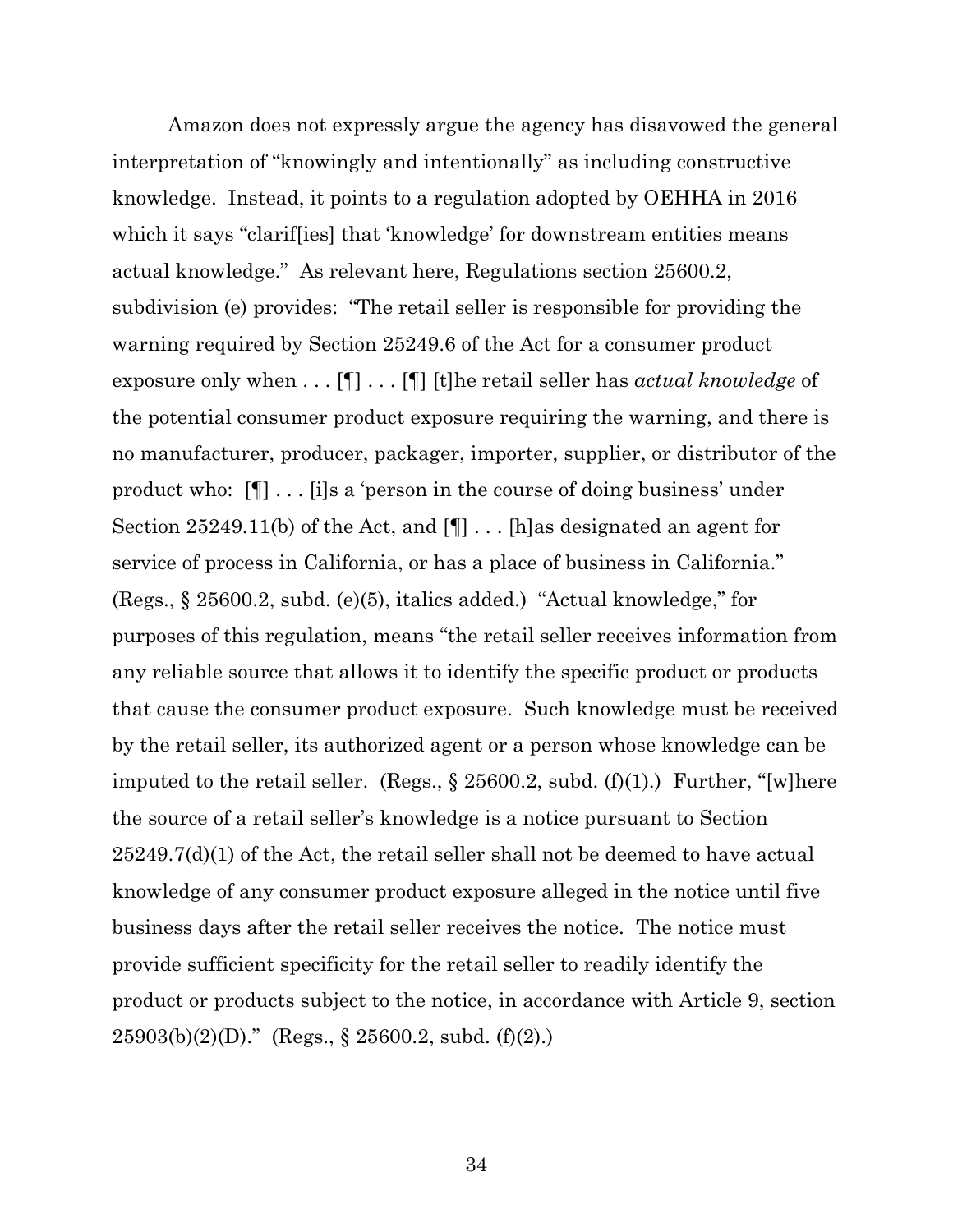Amazon does not expressly argue the agency has disavowed the general interpretation of "knowingly and intentionally" as including constructive knowledge. Instead, it points to a regulation adopted by OEHHA in 2016 which it says "clariffies] that 'knowledge' for downstream entities means actual knowledge." As relevant here, Regulations section 25600.2, subdivision (e) provides: "The retail seller is responsible for providing the warning required by Section 25249.6 of the Act for a consumer product exposure only when . . . [¶] . . . [¶] [t]he retail seller has *actual knowledge* of the potential consumer product exposure requiring the warning, and there is no manufacturer, producer, packager, importer, supplier, or distributor of the product who: [¶] . . . [i]s a 'person in the course of doing business' under Section 25249.11(b) of the Act, and [¶] . . . [h]as designated an agent for service of process in California, or has a place of business in California." (Regs., § 25600.2, subd. (e)(5), italics added.) "Actual knowledge," for purposes of this regulation, means "the retail seller receives information from any reliable source that allows it to identify the specific product or products that cause the consumer product exposure. Such knowledge must be received by the retail seller, its authorized agent or a person whose knowledge can be imputed to the retail seller. (Regs.,  $\S 25600.2$ , subd. (f)(1).) Further, "[w]here the source of a retail seller's knowledge is a notice pursuant to Section 25249.7(d)(1) of the Act, the retail seller shall not be deemed to have actual knowledge of any consumer product exposure alleged in the notice until five business days after the retail seller receives the notice. The notice must provide sufficient specificity for the retail seller to readily identify the product or products subject to the notice, in accordance with Article 9, section  $25903(b)(2)(D)$ ." (Regs., § 25600.2, subd. (f)(2).)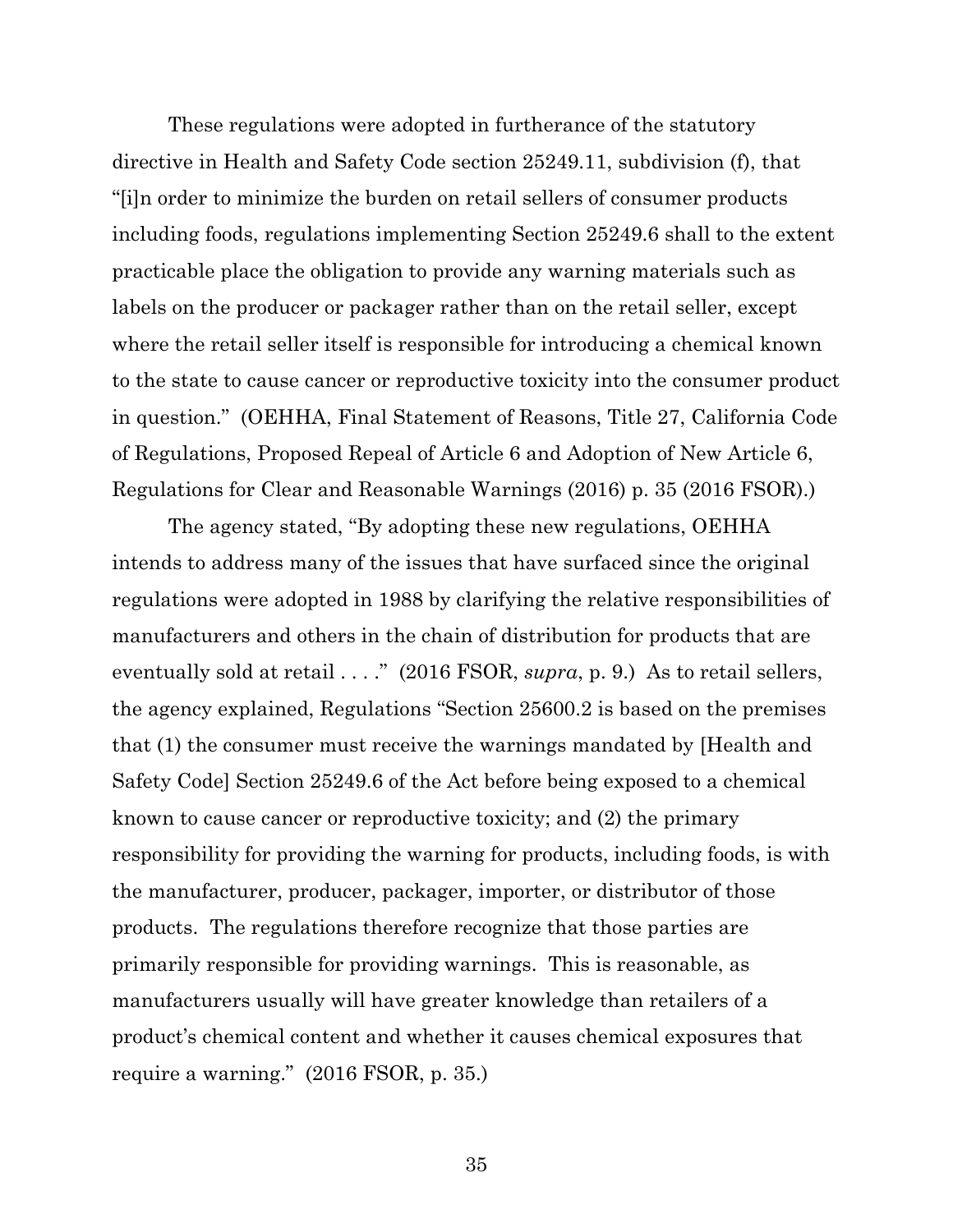These regulations were adopted in furtherance of the statutory directive in Health and Safety Code section 25249.11, subdivision (f), that "[i]n order to minimize the burden on retail sellers of consumer products including foods, regulations implementing Section 25249.6 shall to the extent practicable place the obligation to provide any warning materials such as labels on the producer or packager rather than on the retail seller, except where the retail seller itself is responsible for introducing a chemical known to the state to cause cancer or reproductive toxicity into the consumer product in question." (OEHHA, Final Statement of Reasons, Title 27, California Code of Regulations, Proposed Repeal of Article 6 and Adoption of New Article 6, Regulations for Clear and Reasonable Warnings (2016) p. 35 (2016 FSOR).)

The agency stated, "By adopting these new regulations, OEHHA intends to address many of the issues that have surfaced since the original regulations were adopted in 1988 by clarifying the relative responsibilities of manufacturers and others in the chain of distribution for products that are eventually sold at retail . . . ." (2016 FSOR, *supra*, p. 9.) As to retail sellers, the agency explained, Regulations "Section 25600.2 is based on the premises that (1) the consumer must receive the warnings mandated by [Health and Safety Code] Section 25249.6 of the Act before being exposed to a chemical known to cause cancer or reproductive toxicity; and (2) the primary responsibility for providing the warning for products, including foods, is with the manufacturer, producer, packager, importer, or distributor of those products. The regulations therefore recognize that those parties are primarily responsible for providing warnings. This is reasonable, as manufacturers usually will have greater knowledge than retailers of a product's chemical content and whether it causes chemical exposures that require a warning." (2016 FSOR, p. 35.)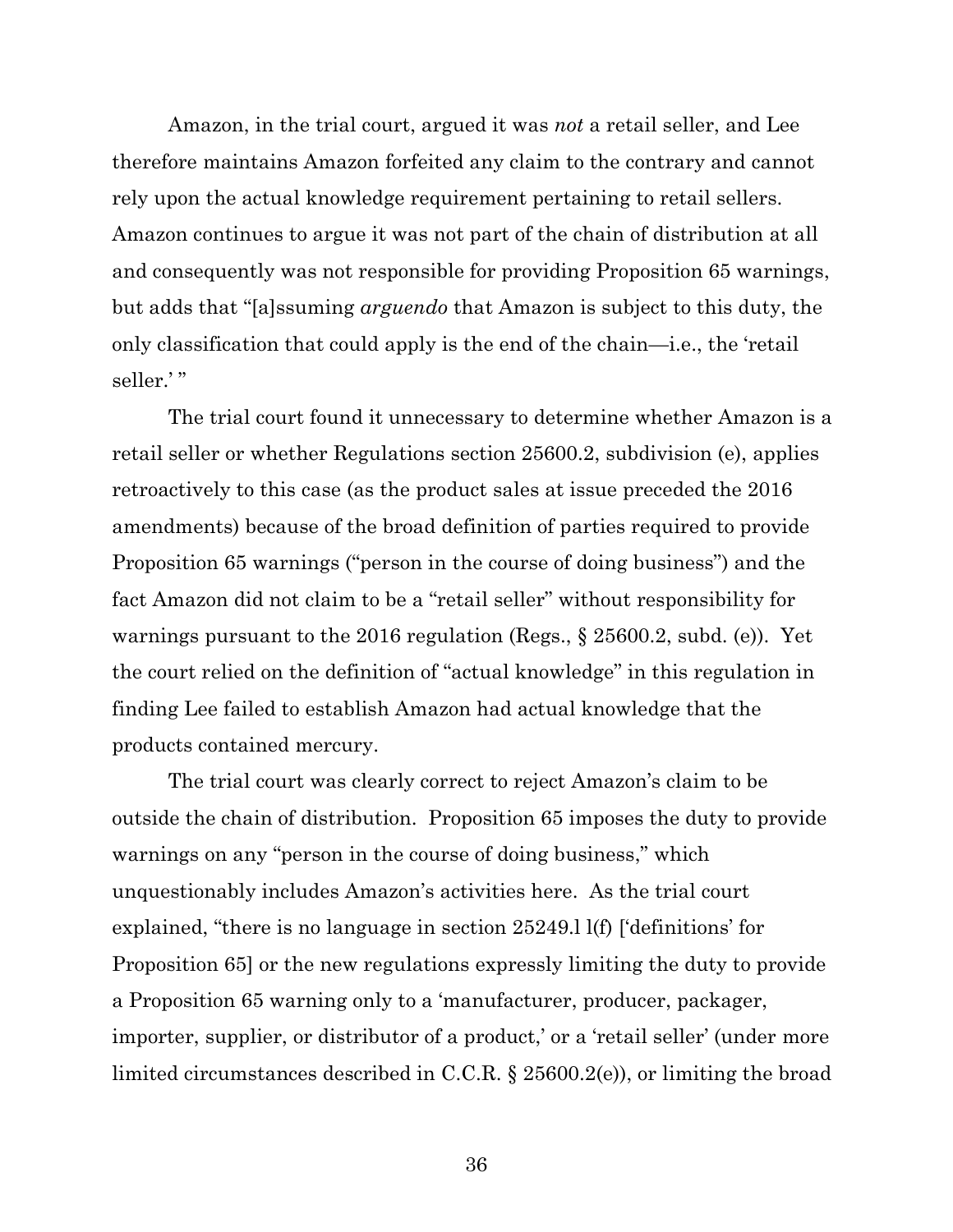Amazon, in the trial court, argued it was *not* a retail seller, and Lee therefore maintains Amazon forfeited any claim to the contrary and cannot rely upon the actual knowledge requirement pertaining to retail sellers. Amazon continues to argue it was not part of the chain of distribution at all and consequently was not responsible for providing Proposition 65 warnings, but adds that "[a]ssuming *arguendo* that Amazon is subject to this duty, the only classification that could apply is the end of the chain—i.e., the 'retail seller.'"

The trial court found it unnecessary to determine whether Amazon is a retail seller or whether Regulations section 25600.2, subdivision (e), applies retroactively to this case (as the product sales at issue preceded the 2016 amendments) because of the broad definition of parties required to provide Proposition 65 warnings ("person in the course of doing business") and the fact Amazon did not claim to be a "retail seller" without responsibility for warnings pursuant to the 2016 regulation (Regs., § 25600.2, subd. (e)). Yet the court relied on the definition of "actual knowledge" in this regulation in finding Lee failed to establish Amazon had actual knowledge that the products contained mercury.

The trial court was clearly correct to reject Amazon's claim to be outside the chain of distribution. Proposition 65 imposes the duty to provide warnings on any "person in the course of doing business," which unquestionably includes Amazon's activities here. As the trial court explained, "there is no language in section 25249.l l(f) ['definitions' for Proposition 65] or the new regulations expressly limiting the duty to provide a Proposition 65 warning only to a 'manufacturer, producer, packager, importer, supplier, or distributor of a product,' or a 'retail seller' (under more limited circumstances described in C.C.R. § 25600.2(e)), or limiting the broad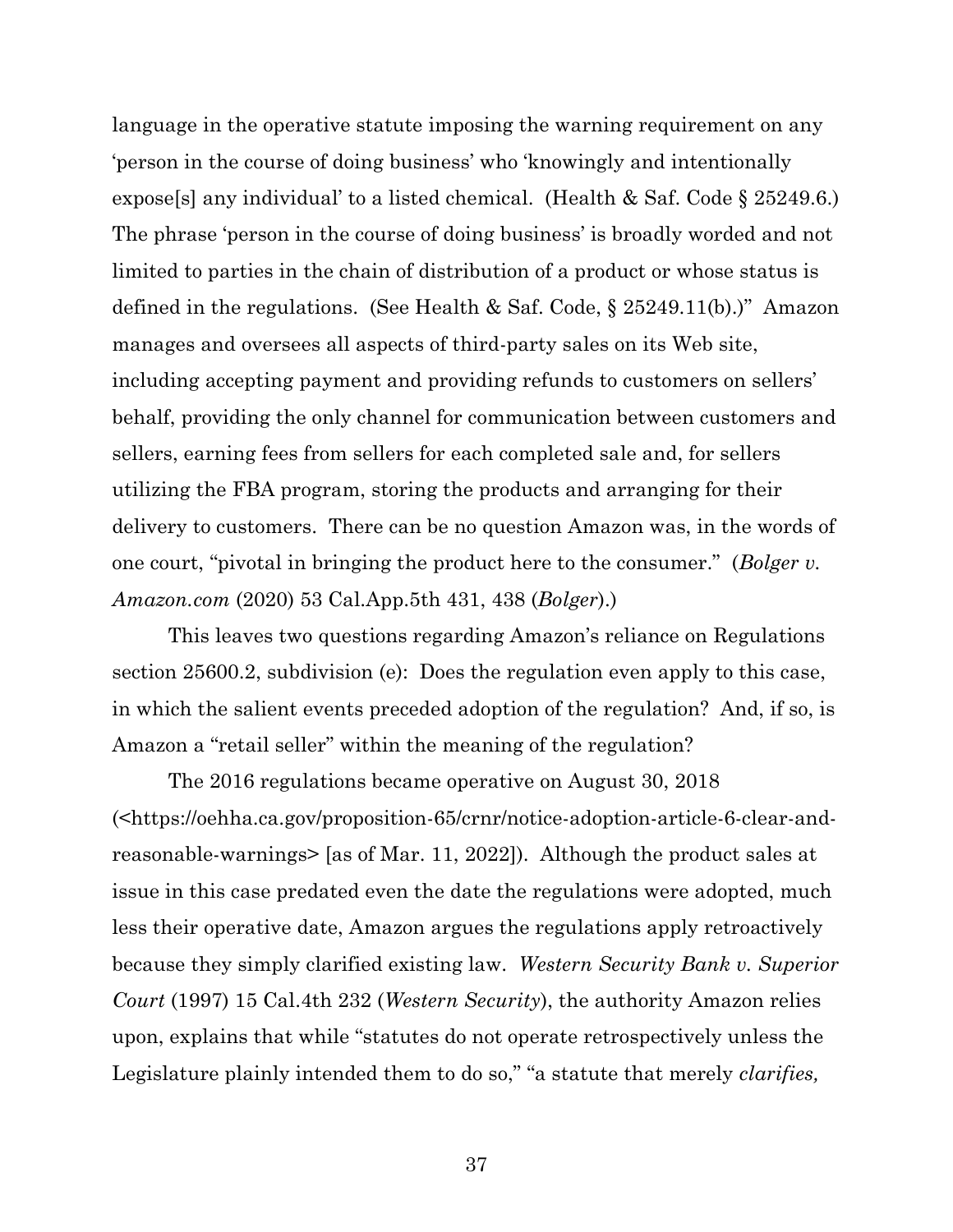language in the operative statute imposing the warning requirement on any 'person in the course of doing business' who 'knowingly and intentionally expose[s] any individual' to a listed chemical. (Health & Saf. Code § 25249.6.) The phrase 'person in the course of doing business' is broadly worded and not limited to parties in the chain of distribution of a product or whose status is defined in the regulations. (See Health & Saf. Code, § 25249.11(b).)" Amazon manages and oversees all aspects of third-party sales on its Web site, including accepting payment and providing refunds to customers on sellers' behalf, providing the only channel for communication between customers and sellers, earning fees from sellers for each completed sale and, for sellers utilizing the FBA program, storing the products and arranging for their delivery to customers. There can be no question Amazon was, in the words of one court, "pivotal in bringing the product here to the consumer." (*Bolger v. Amazon.com* (2020) 53 Cal.App.5th 431, 438 (*Bolger*).)

This leaves two questions regarding Amazon's reliance on Regulations section 25600.2, subdivision (e): Does the regulation even apply to this case, in which the salient events preceded adoption of the regulation? And, if so, is Amazon a "retail seller" within the meaning of the regulation?

The 2016 regulations became operative on August 30, 2018 (<https://oehha.ca.gov/proposition-65/crnr/notice-adoption-article-6-clear-andreasonable-warnings> [as of Mar. 11, 2022]). Although the product sales at issue in this case predated even the date the regulations were adopted, much less their operative date, Amazon argues the regulations apply retroactively because they simply clarified existing law. *Western Security Bank v. Superior Court* (1997) 15 Cal.4th 232 (*Western Security*), the authority Amazon relies upon, explains that while "statutes do not operate retrospectively unless the Legislature plainly intended them to do so," "a statute that merely *clarifies,*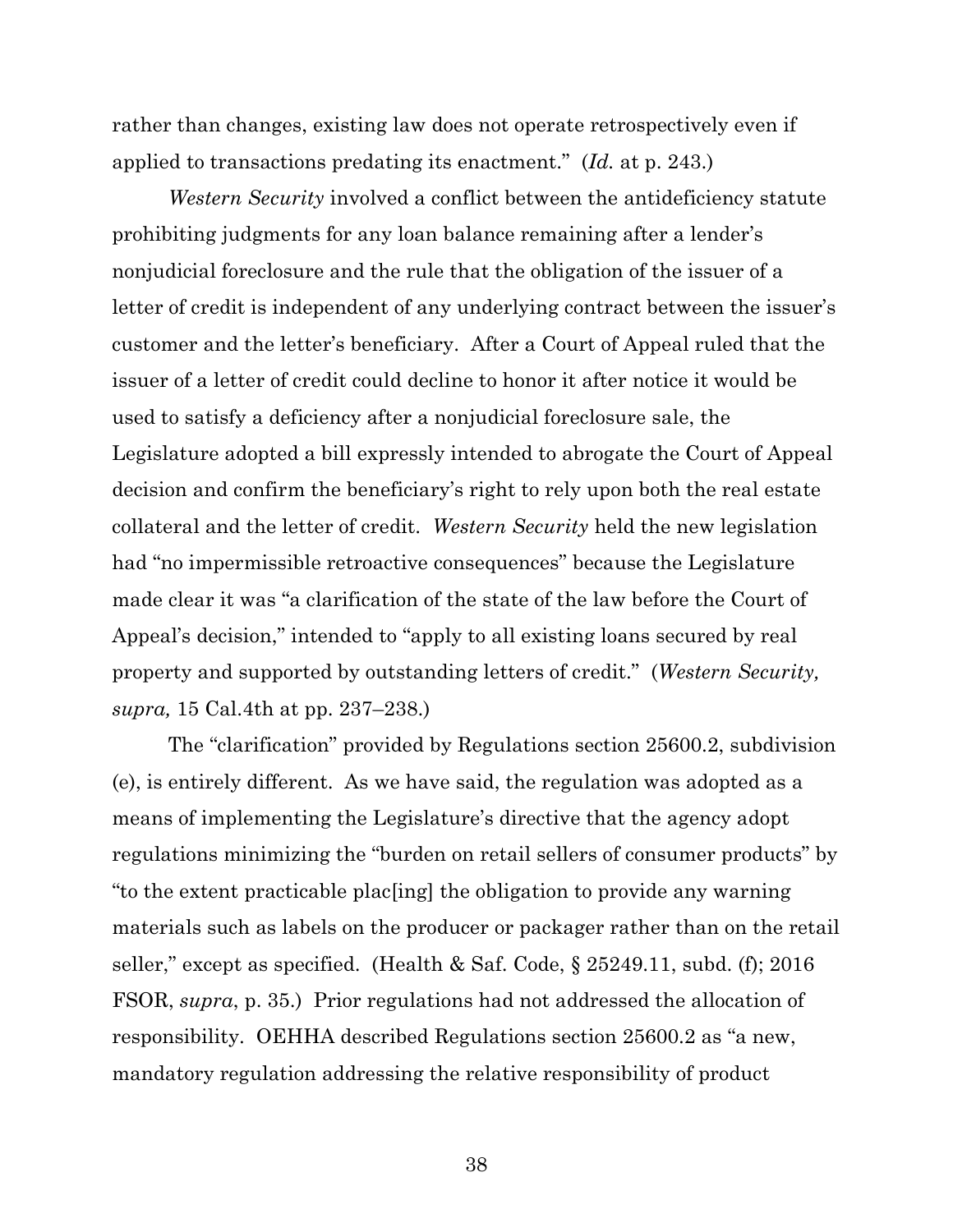rather than changes, existing law does not operate retrospectively even if applied to transactions predating its enactment." (*Id.* at p. 243.)

*Western Security* involved a conflict between the antideficiency statute prohibiting judgments for any loan balance remaining after a lender's nonjudicial foreclosure and the rule that the obligation of the issuer of a letter of credit is independent of any underlying contract between the issuer's customer and the letter's beneficiary. After a Court of Appeal ruled that the issuer of a letter of credit could decline to honor it after notice it would be used to satisfy a deficiency after a nonjudicial foreclosure sale, the Legislature adopted a bill expressly intended to abrogate the Court of Appeal decision and confirm the beneficiary's right to rely upon both the real estate collateral and the letter of credit. *Western Security* held the new legislation had "no impermissible retroactive consequences" because the Legislature made clear it was "a clarification of the state of the law before the Court of Appeal's decision," intended to "apply to all existing loans secured by real property and supported by outstanding letters of credit." (*Western Security, supra,* 15 Cal.4th at pp. 237–238.)

The "clarification" provided by Regulations section 25600.2, subdivision (e), is entirely different. As we have said, the regulation was adopted as a means of implementing the Legislature's directive that the agency adopt regulations minimizing the "burden on retail sellers of consumer products" by "to the extent practicable plac[ing] the obligation to provide any warning materials such as labels on the producer or packager rather than on the retail seller," except as specified. (Health & Saf. Code, § 25249.11, subd. (f); 2016 FSOR, *supra*, p. 35.) Prior regulations had not addressed the allocation of responsibility. OEHHA described Regulations section 25600.2 as "a new, mandatory regulation addressing the relative responsibility of product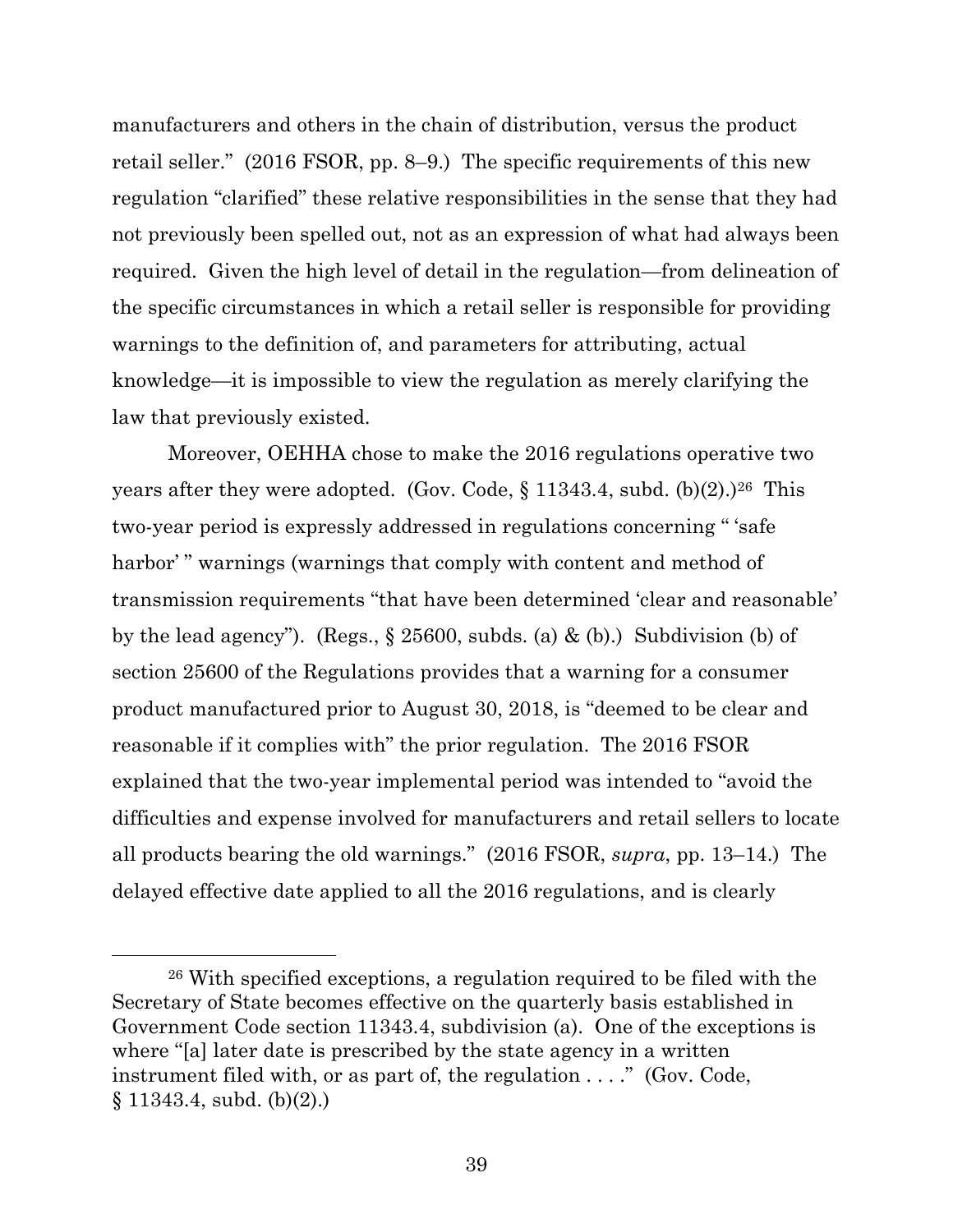manufacturers and others in the chain of distribution, versus the product retail seller." (2016 FSOR, pp. 8–9.) The specific requirements of this new regulation "clarified" these relative responsibilities in the sense that they had not previously been spelled out, not as an expression of what had always been required. Given the high level of detail in the regulation—from delineation of the specific circumstances in which a retail seller is responsible for providing warnings to the definition of, and parameters for attributing, actual knowledge—it is impossible to view the regulation as merely clarifying the law that previously existed.

Moreover, OEHHA chose to make the 2016 regulations operative two years after they were adopted. (Gov. Code,  $\S$  11343.4, subd. (b)(2).)<sup>26</sup> This two-year period is expressly addressed in regulations concerning " 'safe harbor'" warnings (warnings that comply with content and method of transmission requirements "that have been determined 'clear and reasonable' by the lead agency"). (Regs.,  $\S 25600$ , subds. (a) & (b).) Subdivision (b) of section 25600 of the Regulations provides that a warning for a consumer product manufactured prior to August 30, 2018, is "deemed to be clear and reasonable if it complies with" the prior regulation. The 2016 FSOR explained that the two-year implemental period was intended to "avoid the difficulties and expense involved for manufacturers and retail sellers to locate all products bearing the old warnings." (2016 FSOR, *supra*, pp. 13–14.) The delayed effective date applied to all the 2016 regulations, and is clearly

<sup>26</sup> With specified exceptions, a regulation required to be filed with the Secretary of State becomes effective on the quarterly basis established in Government Code section 11343.4, subdivision (a). One of the exceptions is where "[a] later date is prescribed by the state agency in a written instrument filed with, or as part of, the regulation . . . ." (Gov. Code,  $§ 11343.4, subd. (b)(2).)$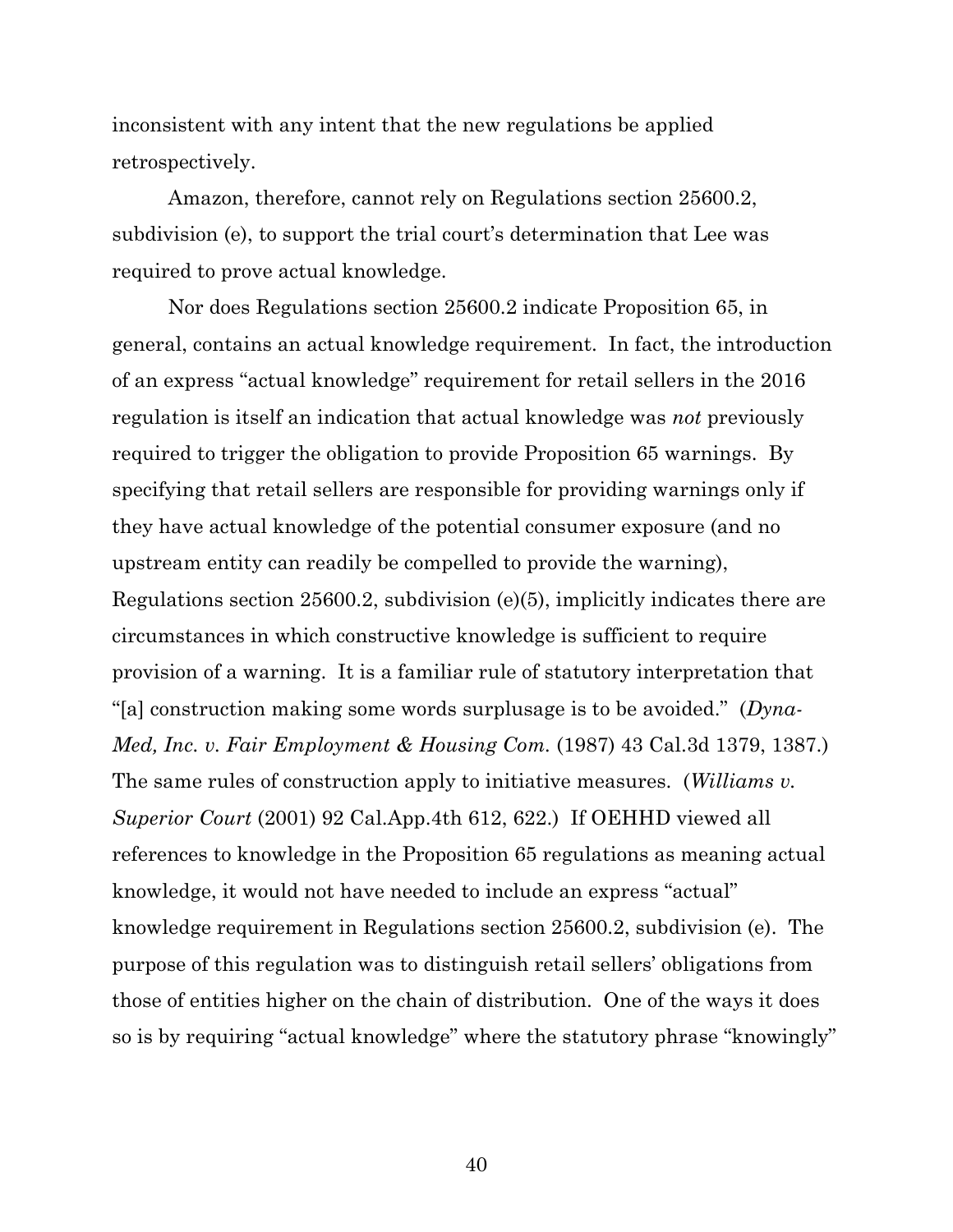inconsistent with any intent that the new regulations be applied retrospectively.

Amazon, therefore, cannot rely on Regulations section 25600.2, subdivision (e), to support the trial court's determination that Lee was required to prove actual knowledge.

Nor does Regulations section 25600.2 indicate Proposition 65, in general, contains an actual knowledge requirement. In fact, the introduction of an express "actual knowledge" requirement for retail sellers in the 2016 regulation is itself an indication that actual knowledge was *not* previously required to trigger the obligation to provide Proposition 65 warnings. By specifying that retail sellers are responsible for providing warnings only if they have actual knowledge of the potential consumer exposure (and no upstream entity can readily be compelled to provide the warning), Regulations section 25600.2, subdivision (e)(5), implicitly indicates there are circumstances in which constructive knowledge is sufficient to require provision of a warning. It is a familiar rule of statutory interpretation that "[a] construction making some words surplusage is to be avoided." (*Dyna-Med, Inc. v. Fair Employment & Housing Com.* (1987) 43 Cal.3d 1379, 1387.) The same rules of construction apply to initiative measures. (*Williams v. Superior Court* (2001) 92 Cal.App.4th 612, 622.) If OEHHD viewed all references to knowledge in the Proposition 65 regulations as meaning actual knowledge, it would not have needed to include an express "actual" knowledge requirement in Regulations section 25600.2, subdivision (e). The purpose of this regulation was to distinguish retail sellers' obligations from those of entities higher on the chain of distribution. One of the ways it does so is by requiring "actual knowledge" where the statutory phrase "knowingly"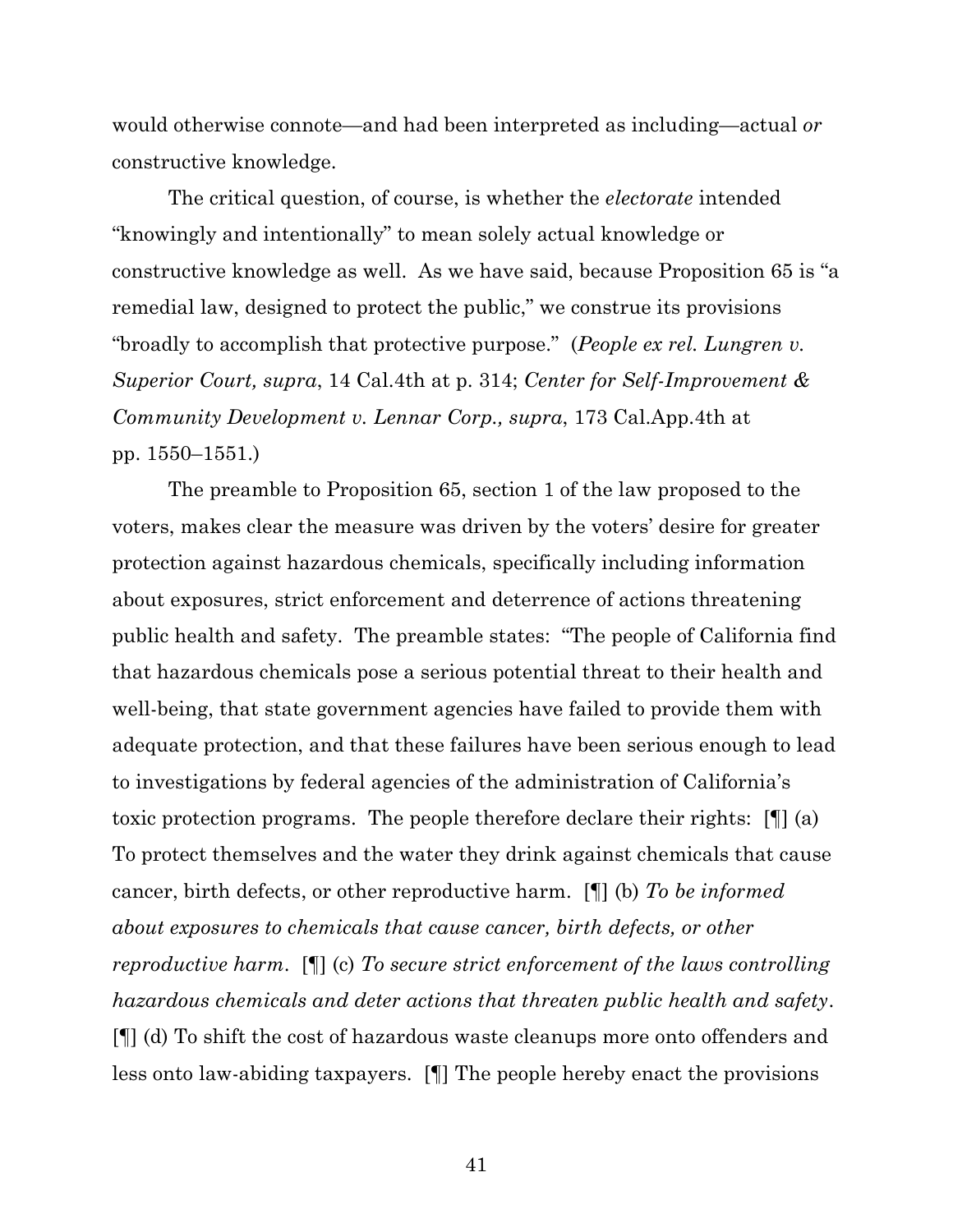would otherwise connote—and had been interpreted as including—actual *or* constructive knowledge.

The critical question, of course, is whether the *electorate* intended "knowingly and intentionally" to mean solely actual knowledge or constructive knowledge as well. As we have said, because Proposition 65 is "a remedial law, designed to protect the public," we construe its provisions "broadly to accomplish that protective purpose." (*People ex rel. Lungren v. Superior Court, supra*, 14 Cal.4th at p. 314; *Center for Self-Improvement & Community Development v. Lennar Corp., supra*, 173 Cal.App.4th at pp. 1550–1551.)

The preamble to Proposition 65, section 1 of the law proposed to the voters, makes clear the measure was driven by the voters' desire for greater protection against hazardous chemicals, specifically including information about exposures, strict enforcement and deterrence of actions threatening public health and safety. The preamble states: "The people of California find that hazardous chemicals pose a serious potential threat to their health and well-being, that state government agencies have failed to provide them with adequate protection, and that these failures have been serious enough to lead to investigations by federal agencies of the administration of California's toxic protection programs. The people therefore declare their rights: [¶] (a) To protect themselves and the water they drink against chemicals that cause cancer, birth defects, or other reproductive harm. [¶] (b) *To be informed about exposures to chemicals that cause cancer, birth defects, or other reproductive harm*. [¶] (c) *To secure strict enforcement of the laws controlling hazardous chemicals and deter actions that threaten public health and safety*. [¶] (d) To shift the cost of hazardous waste cleanups more onto offenders and less onto law-abiding taxpayers. [¶] The people hereby enact the provisions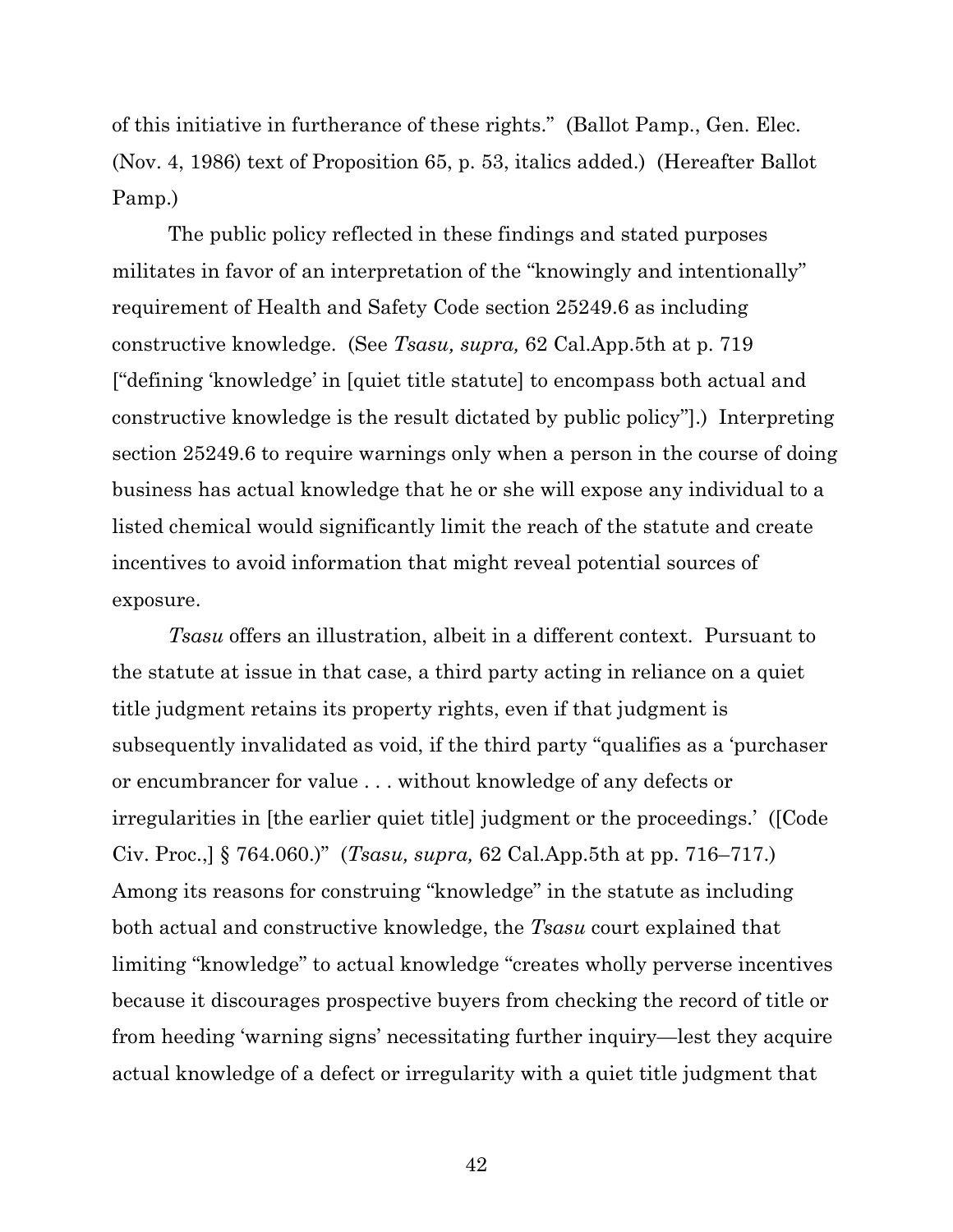of this initiative in furtherance of these rights." (Ballot Pamp., Gen. Elec. (Nov. 4, 1986) text of Proposition 65, p. 53, italics added.) (Hereafter Ballot Pamp.)

The public policy reflected in these findings and stated purposes militates in favor of an interpretation of the "knowingly and intentionally" requirement of Health and Safety Code section 25249.6 as including constructive knowledge. (See *Tsasu, supra,* 62 Cal.App.5th at p. 719 ["defining 'knowledge' in [quiet title statute] to encompass both actual and constructive knowledge is the result dictated by public policy"].) Interpreting section 25249.6 to require warnings only when a person in the course of doing business has actual knowledge that he or she will expose any individual to a listed chemical would significantly limit the reach of the statute and create incentives to avoid information that might reveal potential sources of exposure.

*Tsasu* offers an illustration, albeit in a different context. Pursuant to the statute at issue in that case, a third party acting in reliance on a quiet title judgment retains its property rights, even if that judgment is subsequently invalidated as void, if the third party "qualifies as a 'purchaser or encumbrancer for value . . . without knowledge of any defects or irregularities in [the earlier quiet title] judgment or the proceedings.' ([Code Civ. Proc.,] § 764.060.)" (*Tsasu, supra,* 62 Cal.App.5th at pp. 716–717.) Among its reasons for construing "knowledge" in the statute as including both actual and constructive knowledge, the *Tsasu* court explained that limiting "knowledge" to actual knowledge "creates wholly perverse incentives because it discourages prospective buyers from checking the record of title or from heeding 'warning signs' necessitating further inquiry—lest they acquire actual knowledge of a defect or irregularity with a quiet title judgment that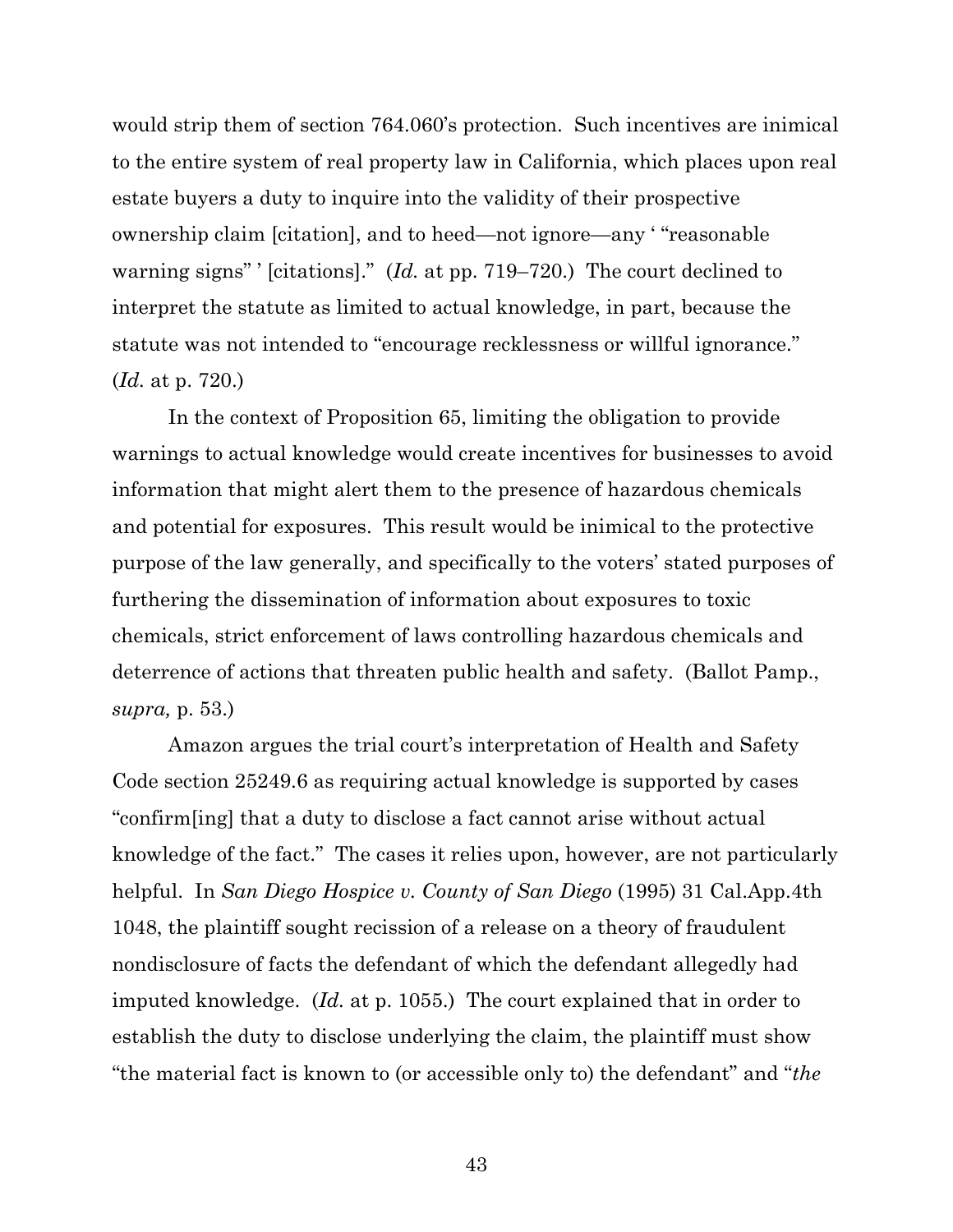would strip them of section 764.060's protection. Such incentives are inimical to the entire system of real property law in California, which places upon real estate buyers a duty to inquire into the validity of their prospective ownership claim [citation], and to heed—not ignore—any ' "reasonable warning signs" ' [citations]." (*Id.* at pp. 719–720.) The court declined to interpret the statute as limited to actual knowledge, in part, because the statute was not intended to "encourage recklessness or willful ignorance." (*Id.* at p. 720.)

In the context of Proposition 65, limiting the obligation to provide warnings to actual knowledge would create incentives for businesses to avoid information that might alert them to the presence of hazardous chemicals and potential for exposures. This result would be inimical to the protective purpose of the law generally, and specifically to the voters' stated purposes of furthering the dissemination of information about exposures to toxic chemicals, strict enforcement of laws controlling hazardous chemicals and deterrence of actions that threaten public health and safety. (Ballot Pamp., *supra,* p. 53.)

Amazon argues the trial court's interpretation of Health and Safety Code section 25249.6 as requiring actual knowledge is supported by cases "confirm[ing] that a duty to disclose a fact cannot arise without actual knowledge of the fact." The cases it relies upon, however, are not particularly helpful. In *San Diego Hospice v. County of San Diego* (1995) 31 Cal.App.4th 1048, the plaintiff sought recission of a release on a theory of fraudulent nondisclosure of facts the defendant of which the defendant allegedly had imputed knowledge. (*Id.* at p. 1055.) The court explained that in order to establish the duty to disclose underlying the claim, the plaintiff must show "the material fact is known to (or accessible only to) the defendant" and "*the*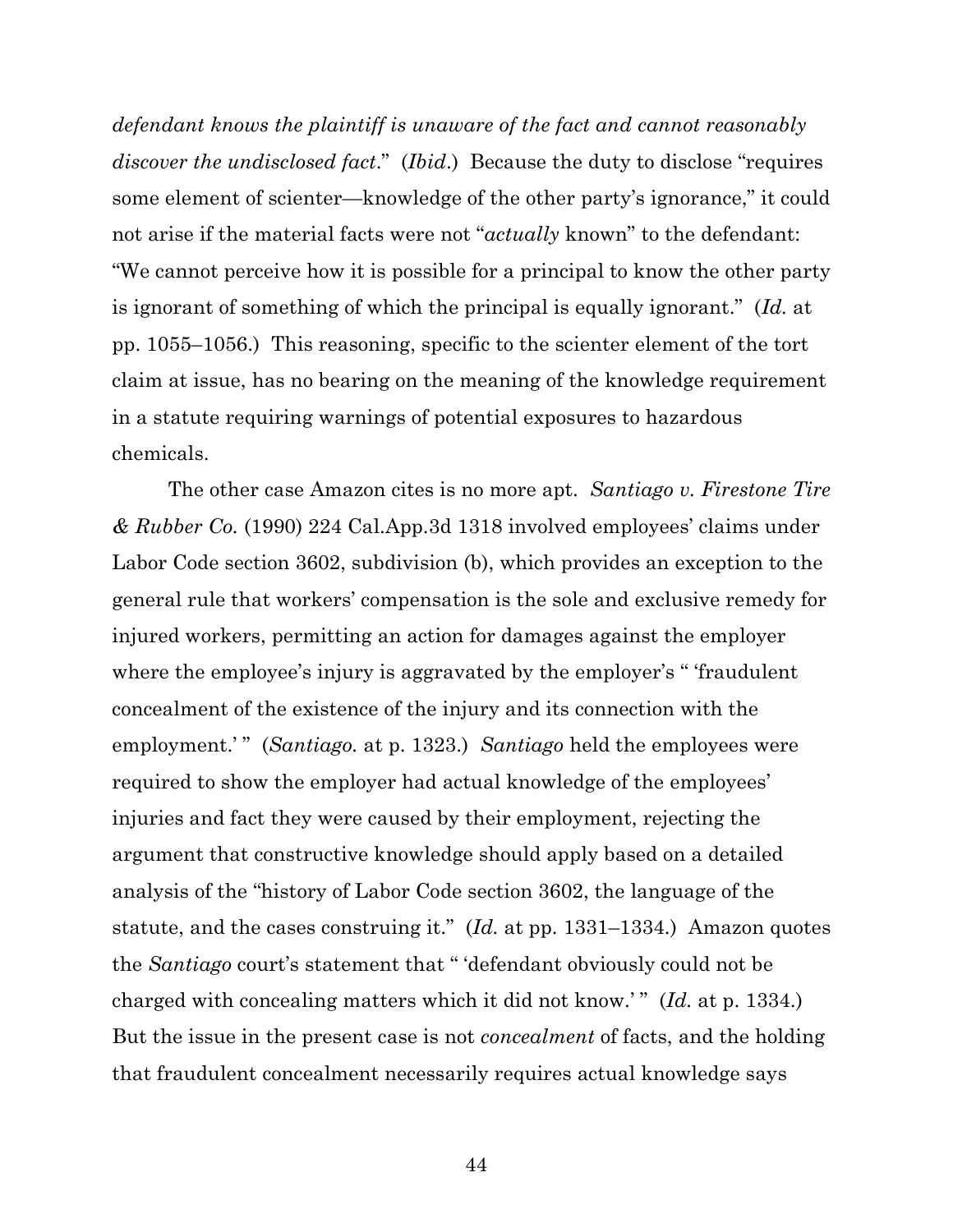*defendant knows the plaintiff is unaware of the fact and cannot reasonably discover the undisclosed fact*." (*Ibid*.) Because the duty to disclose "requires some element of scienter—knowledge of the other party's ignorance," it could not arise if the material facts were not "*actually* known" to the defendant: "We cannot perceive how it is possible for a principal to know the other party is ignorant of something of which the principal is equally ignorant." (*Id.* at pp. 1055–1056.) This reasoning, specific to the scienter element of the tort claim at issue, has no bearing on the meaning of the knowledge requirement in a statute requiring warnings of potential exposures to hazardous chemicals.

The other case Amazon cites is no more apt. *Santiago v. Firestone Tire & Rubber Co.* (1990) 224 Cal.App.3d 1318 involved employees' claims under Labor Code section 3602, subdivision (b), which provides an exception to the general rule that workers' compensation is the sole and exclusive remedy for injured workers, permitting an action for damages against the employer where the employee's injury is aggravated by the employer's " 'fraudulent concealment of the existence of the injury and its connection with the employment.'" *(Santiago.* at p. 1323.) *Santiago* held the employees were required to show the employer had actual knowledge of the employees' injuries and fact they were caused by their employment, rejecting the argument that constructive knowledge should apply based on a detailed analysis of the "history of Labor Code section 3602, the language of the statute, and the cases construing it." (*Id.* at pp. 1331–1334.) Amazon quotes the *Santiago* court's statement that " 'defendant obviously could not be charged with concealing matters which it did not know.'" (*Id.* at p. 1334.) But the issue in the present case is not *concealment* of facts, and the holding that fraudulent concealment necessarily requires actual knowledge says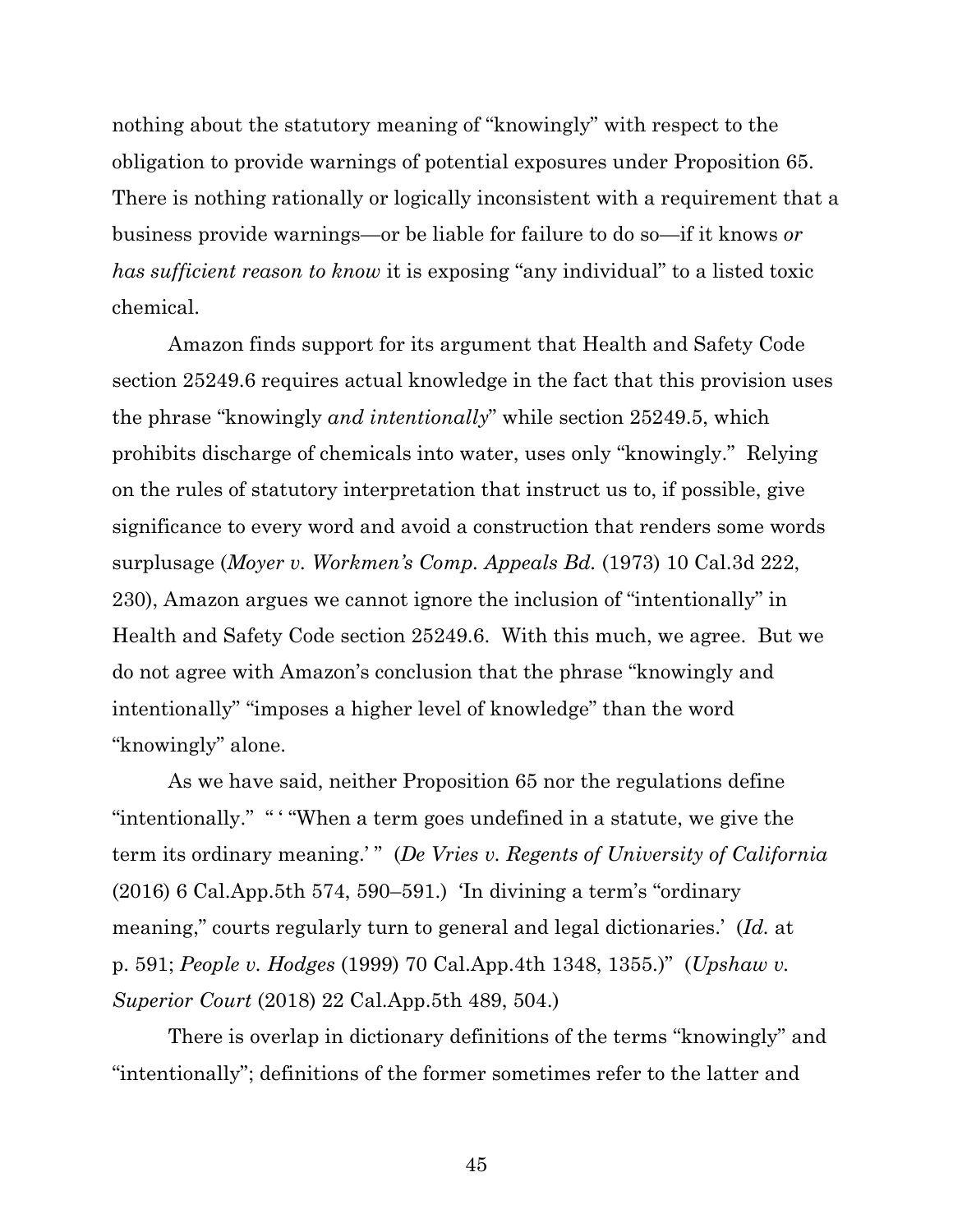nothing about the statutory meaning of "knowingly" with respect to the obligation to provide warnings of potential exposures under Proposition 65. There is nothing rationally or logically inconsistent with a requirement that a business provide warnings—or be liable for failure to do so—if it knows *or has sufficient reason to know* it is exposing "any individual" to a listed toxic chemical.

Amazon finds support for its argument that Health and Safety Code section 25249.6 requires actual knowledge in the fact that this provision uses the phrase "knowingly *and intentionally*" while section 25249.5, which prohibits discharge of chemicals into water, uses only "knowingly." Relying on the rules of statutory interpretation that instruct us to, if possible, give significance to every word and avoid a construction that renders some words surplusage (*Moyer v. Workmen's Comp. Appeals Bd.* (1973) 10 Cal.3d 222, 230), Amazon argues we cannot ignore the inclusion of "intentionally" in Health and Safety Code section 25249.6. With this much, we agree. But we do not agree with Amazon's conclusion that the phrase "knowingly and intentionally" "imposes a higher level of knowledge" than the word "knowingly" alone.

As we have said, neither Proposition 65 nor the regulations define "intentionally." " ' "When a term goes undefined in a statute, we give the term its ordinary meaning.' " (*De Vries v. Regents of University of California* (2016) 6 Cal.App.5th 574, 590–591.) 'In divining a term's "ordinary meaning," courts regularly turn to general and legal dictionaries.' (*Id.* at p. 591; *People v. Hodges* (1999) 70 Cal.App.4th 1348, 1355.)" (*Upshaw v. Superior Court* (2018) 22 Cal.App.5th 489, 504.)

There is overlap in dictionary definitions of the terms "knowingly" and "intentionally"; definitions of the former sometimes refer to the latter and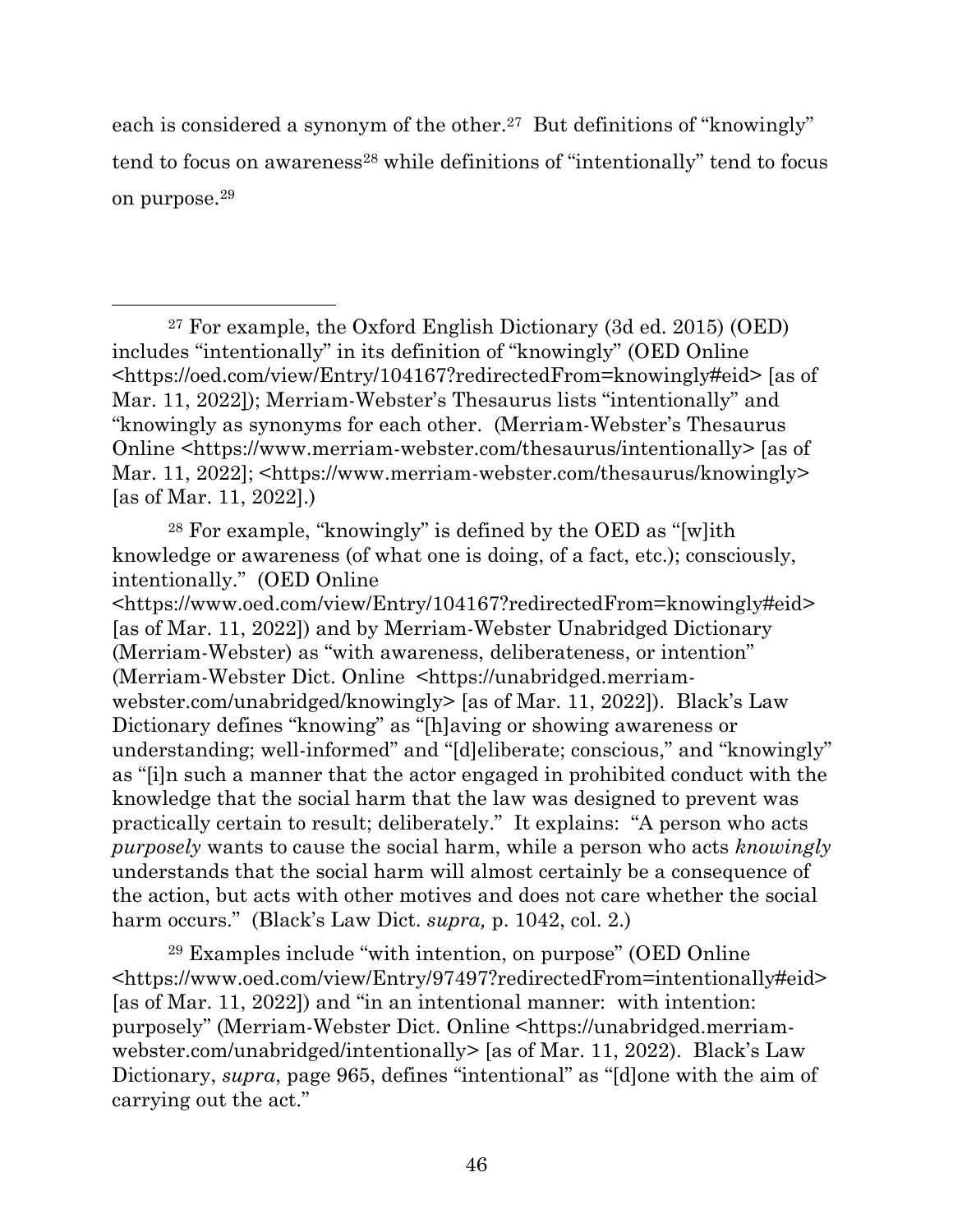each is considered a synonym of the other.<sup>27</sup> But definitions of "knowingly" tend to focus on awareness<sup>28</sup> while definitions of "intentionally" tend to focus on purpose.<sup>29</sup>

<sup>27</sup> For example, the Oxford English Dictionary (3d ed. 2015) (OED) includes "intentionally" in its definition of "knowingly" (OED Online <https://oed.com/view/Entry/104167?redirectedFrom=knowingly#eid> [as of Mar. 11, 2022]); Merriam-Webster's Thesaurus lists "intentionally" and "knowingly as synonyms for each other. (Merriam-Webster's Thesaurus Online <https://www.merriam-webster.com/thesaurus/intentionally> [as of Mar. 11, 2022]; <https://www.merriam-webster.com/thesaurus/knowingly> [as of Mar. 11, 2022].)

<sup>28</sup> For example, "knowingly" is defined by the OED as "[w]ith knowledge or awareness (of what one is doing, of a fact, etc.); consciously, intentionally." (OED Online <https://www.oed.com/view/Entry/104167?redirectedFrom=knowingly#eid> [as of Mar. 11, 2022]) and by Merriam-Webster Unabridged Dictionary (Merriam-Webster) as "with awareness, deliberateness, or intention" (Merriam-Webster Dict. Online <https://unabridged.merriamwebster.com/unabridged/knowingly> [as of Mar. 11, 2022]). Black's Law Dictionary defines "knowing" as "[h]aving or showing awareness or understanding; well-informed" and "[d]eliberate; conscious," and "knowingly" as "[i]n such a manner that the actor engaged in prohibited conduct with the knowledge that the social harm that the law was designed to prevent was practically certain to result; deliberately." It explains: "A person who acts *purposely* wants to cause the social harm, while a person who acts *knowingly* understands that the social harm will almost certainly be a consequence of the action, but acts with other motives and does not care whether the social harm occurs." (Black's Law Dict. *supra,* p. 1042, col. 2.)

 $29$  Examples include "with intention, on purpose" (OED Online <https://www.oed.com/view/Entry/97497?redirectedFrom=intentionally#eid> [as of Mar. 11, 2022]) and "in an intentional manner: with intention: purposely" (Merriam-Webster Dict. Online <https://unabridged.merriamwebster.com/unabridged/intentionally> [as of Mar. 11, 2022). Black's Law Dictionary, *supra*, page 965, defines "intentional" as "[d]one with the aim of carrying out the act."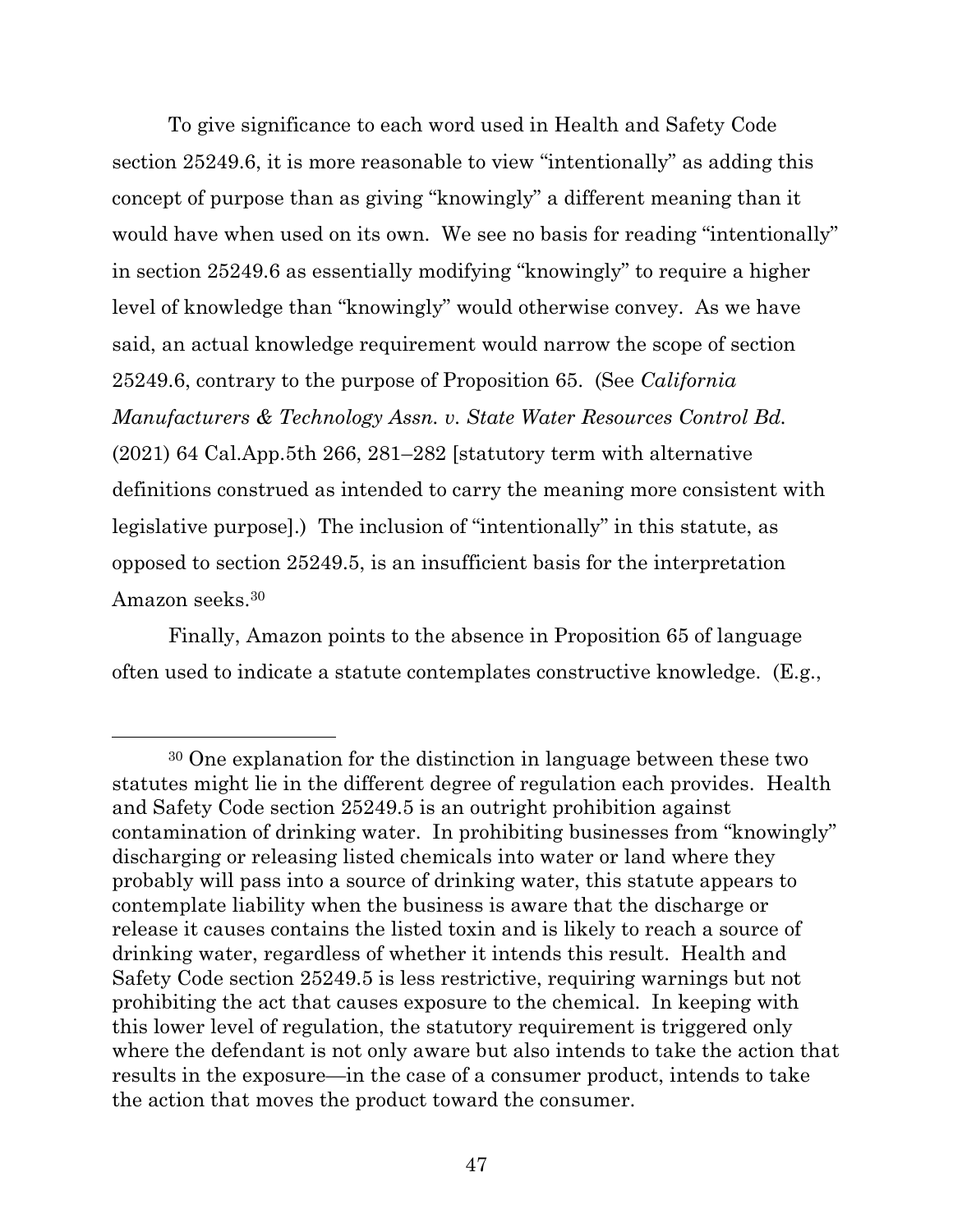To give significance to each word used in Health and Safety Code section 25249.6, it is more reasonable to view "intentionally" as adding this concept of purpose than as giving "knowingly" a different meaning than it would have when used on its own. We see no basis for reading "intentionally" in section 25249.6 as essentially modifying "knowingly" to require a higher level of knowledge than "knowingly" would otherwise convey. As we have said, an actual knowledge requirement would narrow the scope of section 25249.6, contrary to the purpose of Proposition 65. (See *California Manufacturers & Technology Assn. v. State Water Resources Control Bd.*  (2021) 64 Cal.App.5th 266, 281–282 [statutory term with alternative definitions construed as intended to carry the meaning more consistent with legislative purpose].) The inclusion of "intentionally" in this statute, as opposed to section 25249.5, is an insufficient basis for the interpretation Amazon seeks.<sup>30</sup>

Finally, Amazon points to the absence in Proposition 65 of language often used to indicate a statute contemplates constructive knowledge. (E.g.,

<sup>30</sup> One explanation for the distinction in language between these two statutes might lie in the different degree of regulation each provides. Health and Safety Code section 25249.5 is an outright prohibition against contamination of drinking water. In prohibiting businesses from "knowingly" discharging or releasing listed chemicals into water or land where they probably will pass into a source of drinking water, this statute appears to contemplate liability when the business is aware that the discharge or release it causes contains the listed toxin and is likely to reach a source of drinking water, regardless of whether it intends this result. Health and Safety Code section 25249.5 is less restrictive, requiring warnings but not prohibiting the act that causes exposure to the chemical. In keeping with this lower level of regulation, the statutory requirement is triggered only where the defendant is not only aware but also intends to take the action that results in the exposure—in the case of a consumer product, intends to take the action that moves the product toward the consumer.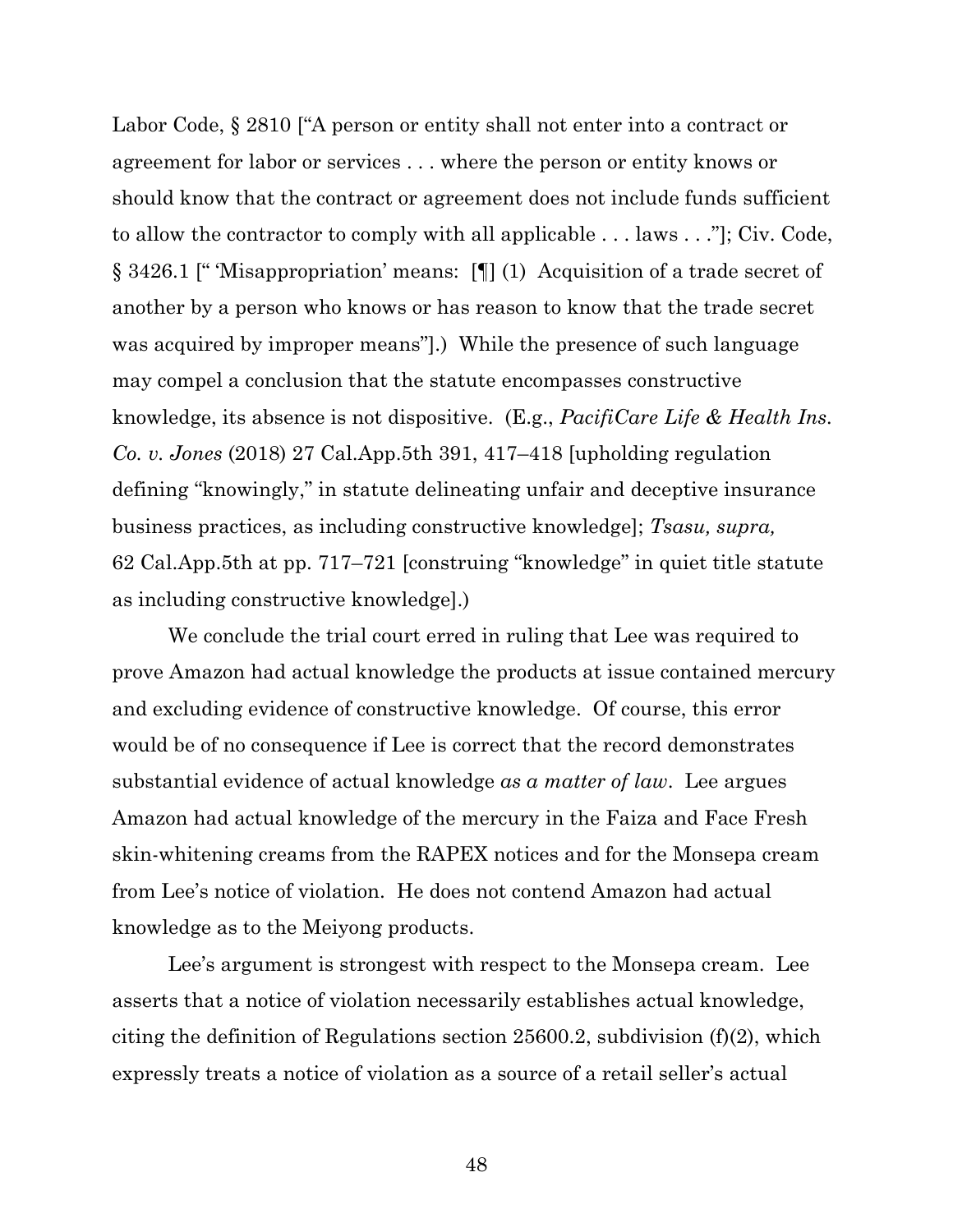Labor Code,  $\S 2810$  ["A person or entity shall not enter into a contract or agreement for labor or services . . . where the person or entity knows or should know that the contract or agreement does not include funds sufficient to allow the contractor to comply with all applicable . . . laws . . ."]; Civ. Code, § 3426.1 [" 'Misappropriation' means: [¶] (1) Acquisition of a trade secret of another by a person who knows or has reason to know that the trade secret was acquired by improper means"].) While the presence of such language may compel a conclusion that the statute encompasses constructive knowledge, its absence is not dispositive. (E.g., *PacifiCare Life & Health Ins. Co. v. Jones* (2018) 27 Cal.App.5th 391, 417–418 [upholding regulation defining "knowingly," in statute delineating unfair and deceptive insurance business practices, as including constructive knowledge]; *Tsasu, supra,*  62 Cal.App.5th at pp. 717–721 [construing "knowledge" in quiet title statute as including constructive knowledge].)

We conclude the trial court erred in ruling that Lee was required to prove Amazon had actual knowledge the products at issue contained mercury and excluding evidence of constructive knowledge. Of course, this error would be of no consequence if Lee is correct that the record demonstrates substantial evidence of actual knowledge *as a matter of law*. Lee argues Amazon had actual knowledge of the mercury in the Faiza and Face Fresh skin-whitening creams from the RAPEX notices and for the Monsepa cream from Lee's notice of violation. He does not contend Amazon had actual knowledge as to the Meiyong products.

Lee's argument is strongest with respect to the Monsepa cream. Lee asserts that a notice of violation necessarily establishes actual knowledge, citing the definition of Regulations section 25600.2, subdivision (f)(2), which expressly treats a notice of violation as a source of a retail seller's actual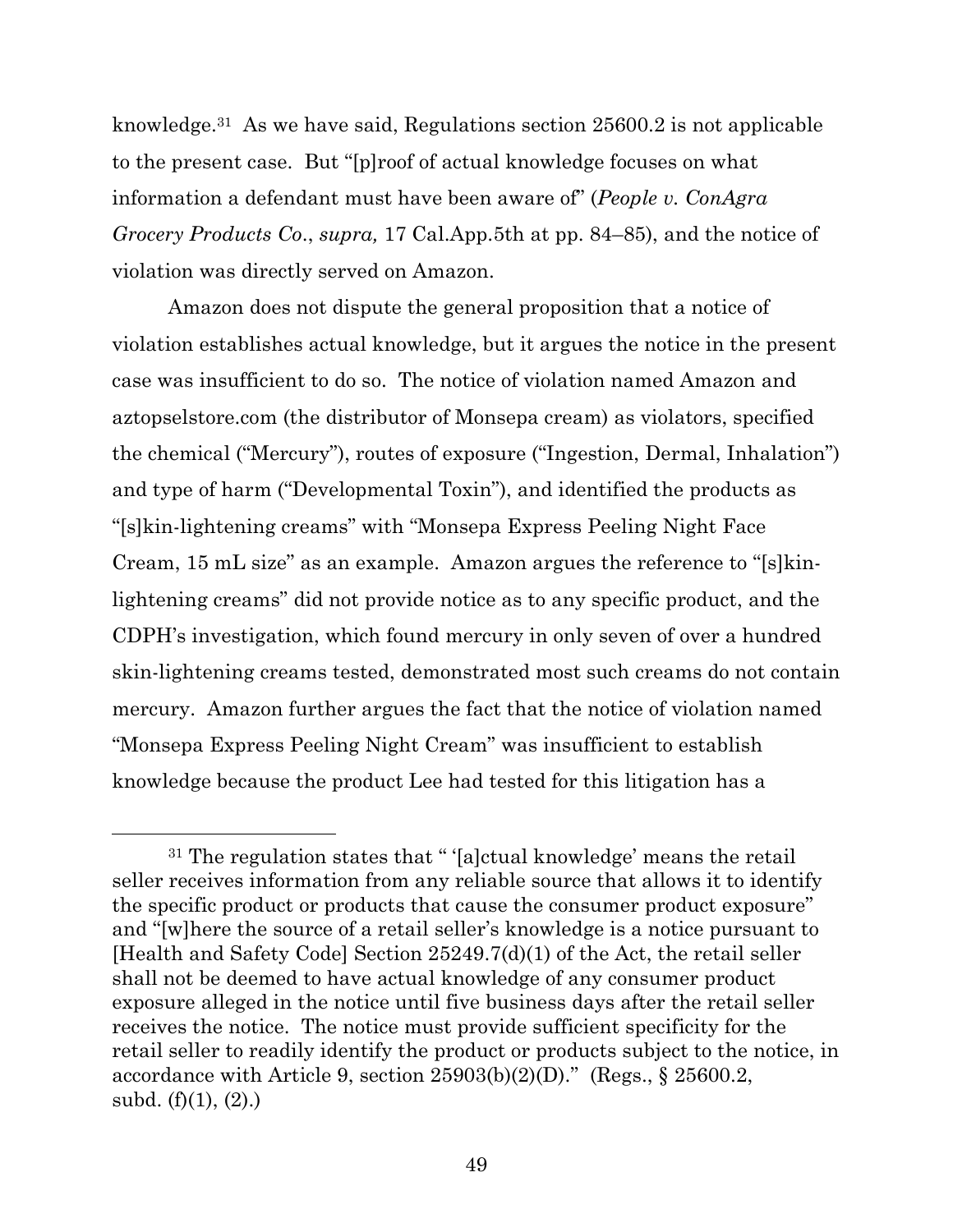knowledge.31 As we have said, Regulations section 25600.2 is not applicable to the present case. But "[p]roof of actual knowledge focuses on what information a defendant must have been aware of" (*People v. ConAgra Grocery Products Co*., *supra,* 17 Cal.App.5th at pp. 84–85), and the notice of violation was directly served on Amazon.

Amazon does not dispute the general proposition that a notice of violation establishes actual knowledge, but it argues the notice in the present case was insufficient to do so. The notice of violation named Amazon and aztopselstore.com (the distributor of Monsepa cream) as violators, specified the chemical ("Mercury"), routes of exposure ("Ingestion, Dermal, Inhalation") and type of harm ("Developmental Toxin"), and identified the products as "[s]kin-lightening creams" with "Monsepa Express Peeling Night Face Cream, 15 mL size" as an example. Amazon argues the reference to "[s]kinlightening creams" did not provide notice as to any specific product, and the CDPH's investigation, which found mercury in only seven of over a hundred skin-lightening creams tested, demonstrated most such creams do not contain mercury. Amazon further argues the fact that the notice of violation named "Monsepa Express Peeling Night Cream" was insufficient to establish knowledge because the product Lee had tested for this litigation has a

<sup>31</sup> The regulation states that " '[a]ctual knowledge' means the retail seller receives information from any reliable source that allows it to identify the specific product or products that cause the consumer product exposure" and "[w]here the source of a retail seller's knowledge is a notice pursuant to [Health and Safety Code] Section 25249.7(d)(1) of the Act, the retail seller shall not be deemed to have actual knowledge of any consumer product exposure alleged in the notice until five business days after the retail seller receives the notice. The notice must provide sufficient specificity for the retail seller to readily identify the product or products subject to the notice, in accordance with Article 9, section  $25903(b)(2)(D)$ ." (Regs., § 25600.2, subd. (f)(1), (2).)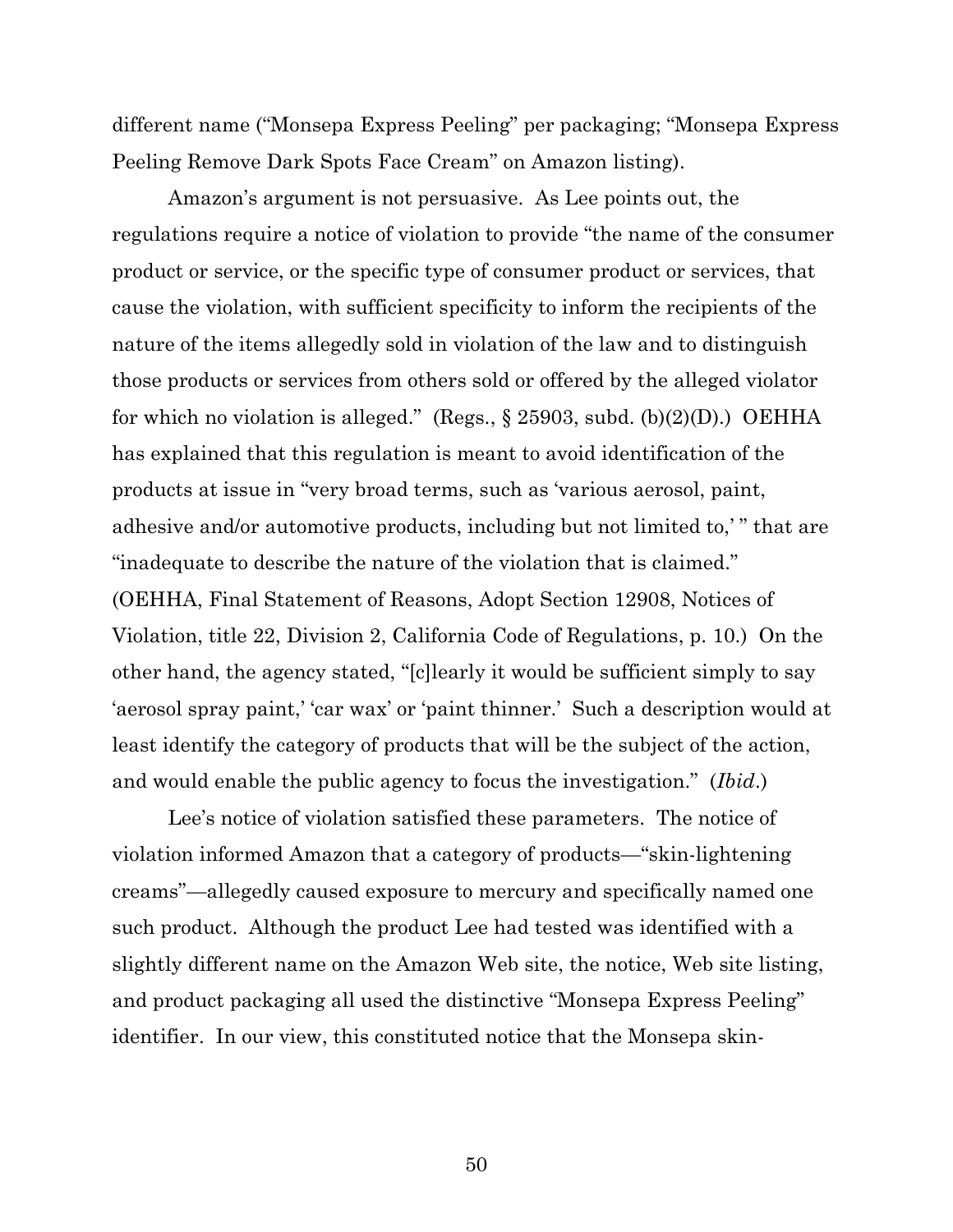different name ("Monsepa Express Peeling" per packaging; "Monsepa Express Peeling Remove Dark Spots Face Cream" on Amazon listing).

Amazon's argument is not persuasive. As Lee points out, the regulations require a notice of violation to provide "the name of the consumer product or service, or the specific type of consumer product or services, that cause the violation, with sufficient specificity to inform the recipients of the nature of the items allegedly sold in violation of the law and to distinguish those products or services from others sold or offered by the alleged violator for which no violation is alleged." (Regs.,  $\S$  25903, subd. (b)(2)(D).) OEHHA has explained that this regulation is meant to avoid identification of the products at issue in "very broad terms, such as 'various aerosol, paint, adhesive and/or automotive products, including but not limited to,' " that are "inadequate to describe the nature of the violation that is claimed." (OEHHA, Final Statement of Reasons, Adopt Section 12908, Notices of Violation, title 22, Division 2, California Code of Regulations, p. 10.) On the other hand, the agency stated, "[c]learly it would be sufficient simply to say 'aerosol spray paint,' 'car wax' or 'paint thinner.' Such a description would at least identify the category of products that will be the subject of the action, and would enable the public agency to focus the investigation." (*Ibid*.)

Lee's notice of violation satisfied these parameters. The notice of violation informed Amazon that a category of products—"skin-lightening creams"—allegedly caused exposure to mercury and specifically named one such product. Although the product Lee had tested was identified with a slightly different name on the Amazon Web site, the notice, Web site listing, and product packaging all used the distinctive "Monsepa Express Peeling" identifier. In our view, this constituted notice that the Monsepa skin-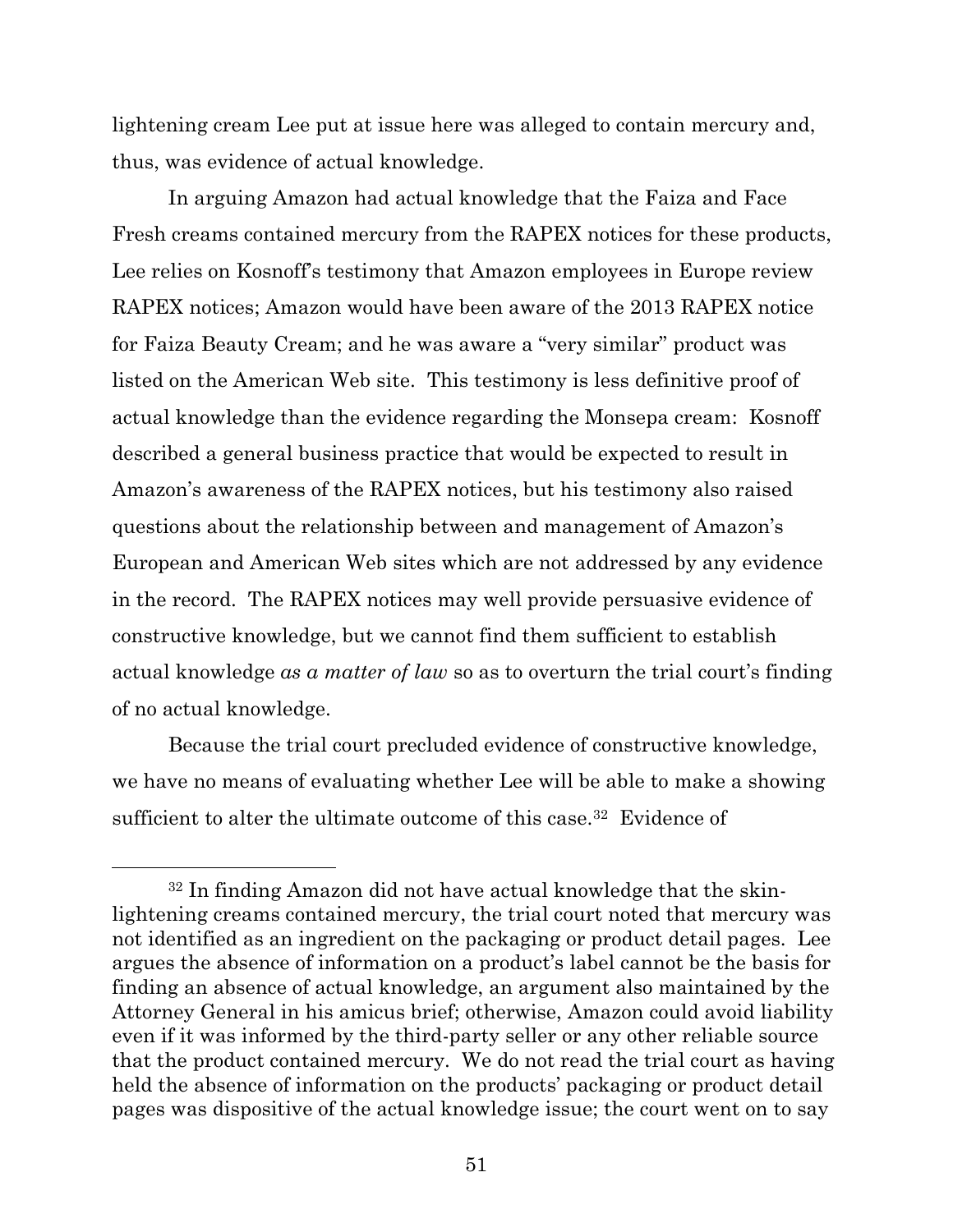lightening cream Lee put at issue here was alleged to contain mercury and, thus, was evidence of actual knowledge.

In arguing Amazon had actual knowledge that the Faiza and Face Fresh creams contained mercury from the RAPEX notices for these products, Lee relies on Kosnoff's testimony that Amazon employees in Europe review RAPEX notices; Amazon would have been aware of the 2013 RAPEX notice for Faiza Beauty Cream; and he was aware a "very similar" product was listed on the American Web site. This testimony is less definitive proof of actual knowledge than the evidence regarding the Monsepa cream: Kosnoff described a general business practice that would be expected to result in Amazon's awareness of the RAPEX notices, but his testimony also raised questions about the relationship between and management of Amazon's European and American Web sites which are not addressed by any evidence in the record. The RAPEX notices may well provide persuasive evidence of constructive knowledge, but we cannot find them sufficient to establish actual knowledge *as a matter of law* so as to overturn the trial court's finding of no actual knowledge.

Because the trial court precluded evidence of constructive knowledge, we have no means of evaluating whether Lee will be able to make a showing sufficient to alter the ultimate outcome of this case.<sup>32</sup> Evidence of

<sup>32</sup> In finding Amazon did not have actual knowledge that the skinlightening creams contained mercury, the trial court noted that mercury was not identified as an ingredient on the packaging or product detail pages. Lee argues the absence of information on a product's label cannot be the basis for finding an absence of actual knowledge, an argument also maintained by the Attorney General in his amicus brief; otherwise, Amazon could avoid liability even if it was informed by the third-party seller or any other reliable source that the product contained mercury. We do not read the trial court as having held the absence of information on the products' packaging or product detail pages was dispositive of the actual knowledge issue; the court went on to say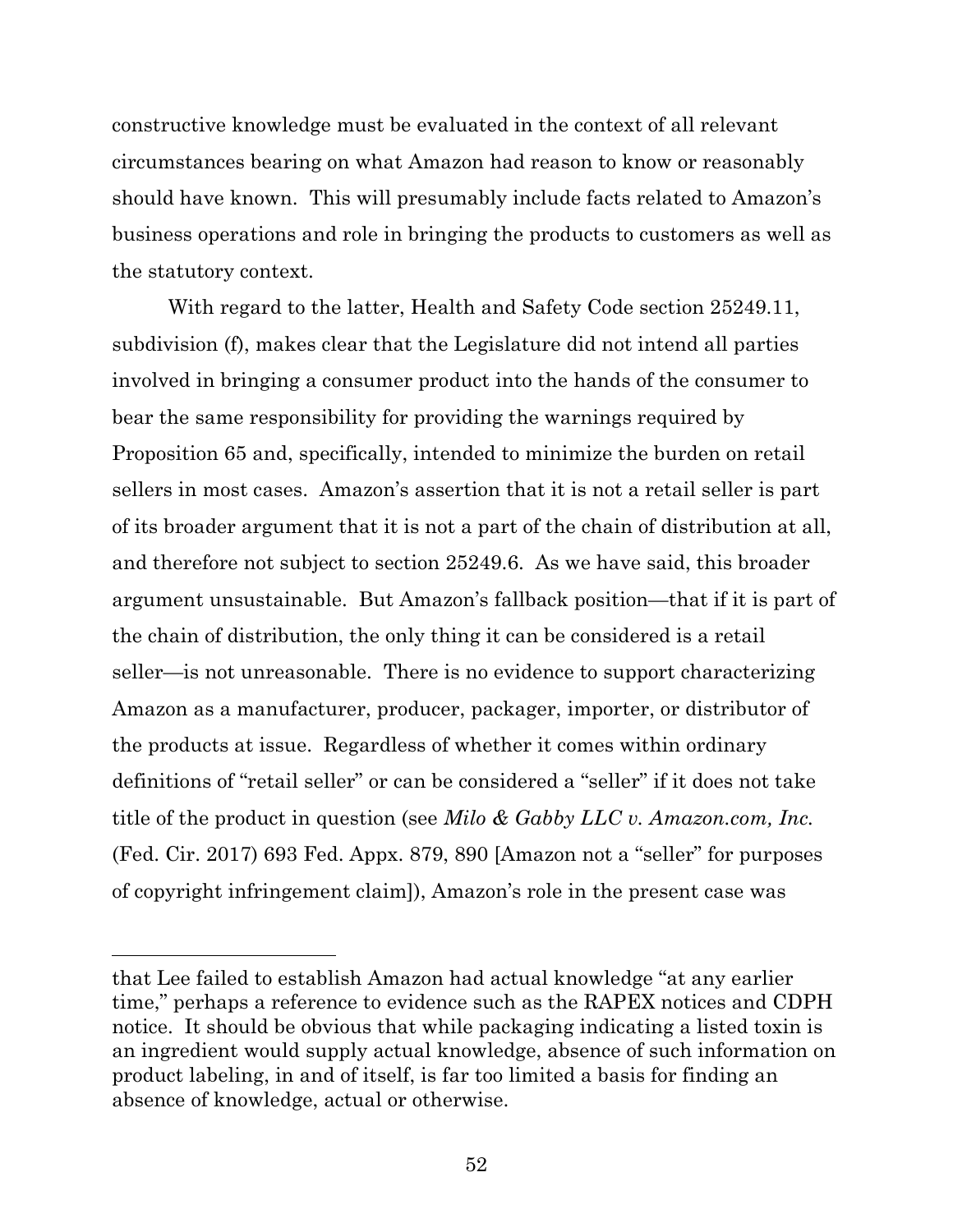constructive knowledge must be evaluated in the context of all relevant circumstances bearing on what Amazon had reason to know or reasonably should have known. This will presumably include facts related to Amazon's business operations and role in bringing the products to customers as well as the statutory context.

With regard to the latter, Health and Safety Code section 25249.11, subdivision (f), makes clear that the Legislature did not intend all parties involved in bringing a consumer product into the hands of the consumer to bear the same responsibility for providing the warnings required by Proposition 65 and, specifically, intended to minimize the burden on retail sellers in most cases. Amazon's assertion that it is not a retail seller is part of its broader argument that it is not a part of the chain of distribution at all, and therefore not subject to section 25249.6. As we have said, this broader argument unsustainable. But Amazon's fallback position—that if it is part of the chain of distribution, the only thing it can be considered is a retail seller—is not unreasonable. There is no evidence to support characterizing Amazon as a manufacturer, producer, packager, importer, or distributor of the products at issue. Regardless of whether it comes within ordinary definitions of "retail seller" or can be considered a "seller" if it does not take title of the product in question (see *Milo & Gabby LLC v. Amazon.com, Inc.*  (Fed. Cir. 2017) 693 Fed. Appx. 879, 890 [Amazon not a "seller" for purposes of copyright infringement claim]), Amazon's role in the present case was

that Lee failed to establish Amazon had actual knowledge "at any earlier time," perhaps a reference to evidence such as the RAPEX notices and CDPH notice. It should be obvious that while packaging indicating a listed toxin is an ingredient would supply actual knowledge, absence of such information on product labeling, in and of itself, is far too limited a basis for finding an absence of knowledge, actual or otherwise.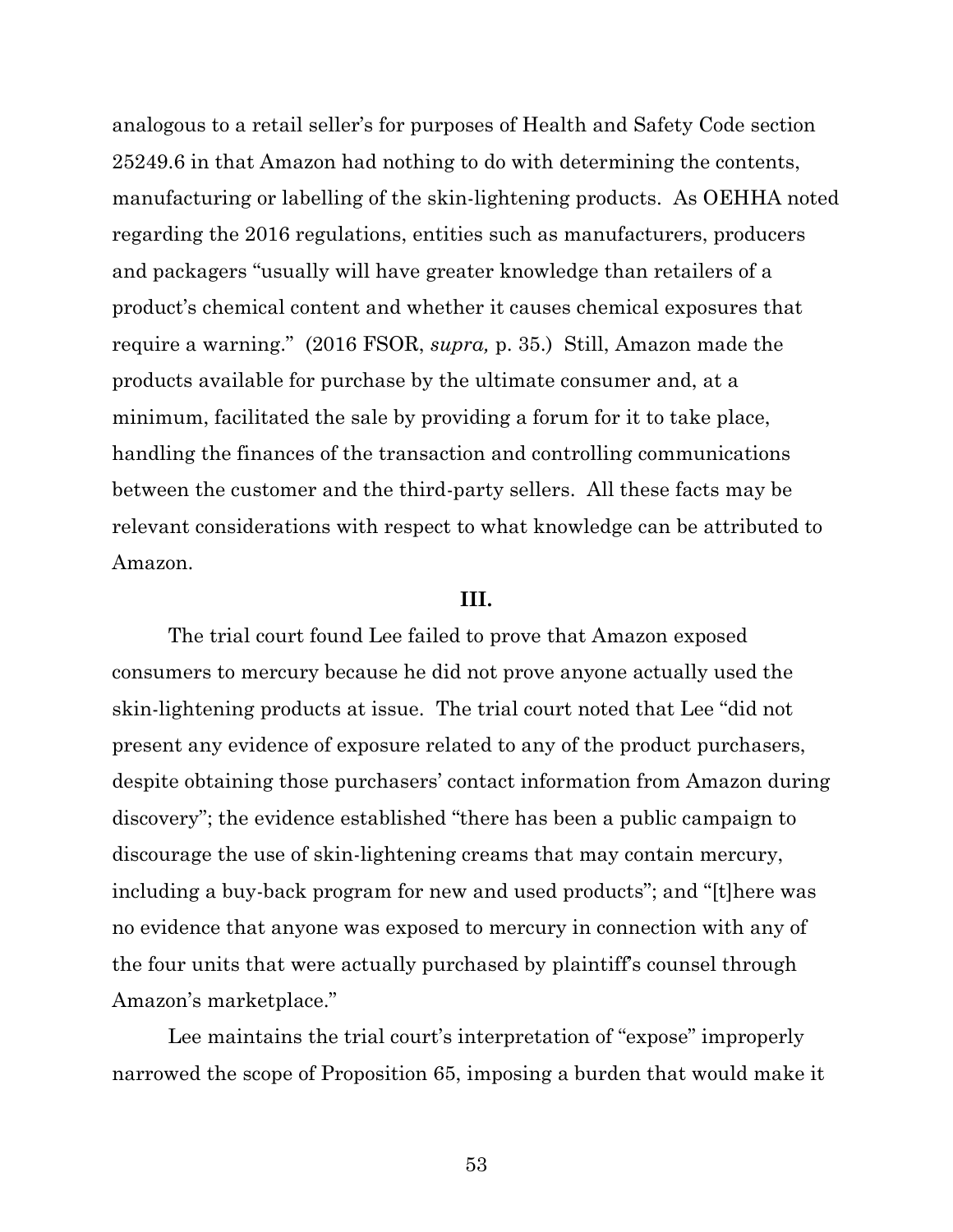analogous to a retail seller's for purposes of Health and Safety Code section 25249.6 in that Amazon had nothing to do with determining the contents, manufacturing or labelling of the skin-lightening products. As OEHHA noted regarding the 2016 regulations, entities such as manufacturers, producers and packagers "usually will have greater knowledge than retailers of a product's chemical content and whether it causes chemical exposures that require a warning." (2016 FSOR, *supra,* p. 35.) Still, Amazon made the products available for purchase by the ultimate consumer and, at a minimum, facilitated the sale by providing a forum for it to take place, handling the finances of the transaction and controlling communications between the customer and the third-party sellers. All these facts may be relevant considerations with respect to what knowledge can be attributed to Amazon.

## **III.**

The trial court found Lee failed to prove that Amazon exposed consumers to mercury because he did not prove anyone actually used the skin-lightening products at issue. The trial court noted that Lee "did not present any evidence of exposure related to any of the product purchasers, despite obtaining those purchasers' contact information from Amazon during discovery"; the evidence established "there has been a public campaign to discourage the use of skin-lightening creams that may contain mercury, including a buy-back program for new and used products"; and "[t]here was no evidence that anyone was exposed to mercury in connection with any of the four units that were actually purchased by plaintiff's counsel through Amazon's marketplace."

Lee maintains the trial court's interpretation of "expose" improperly narrowed the scope of Proposition 65, imposing a burden that would make it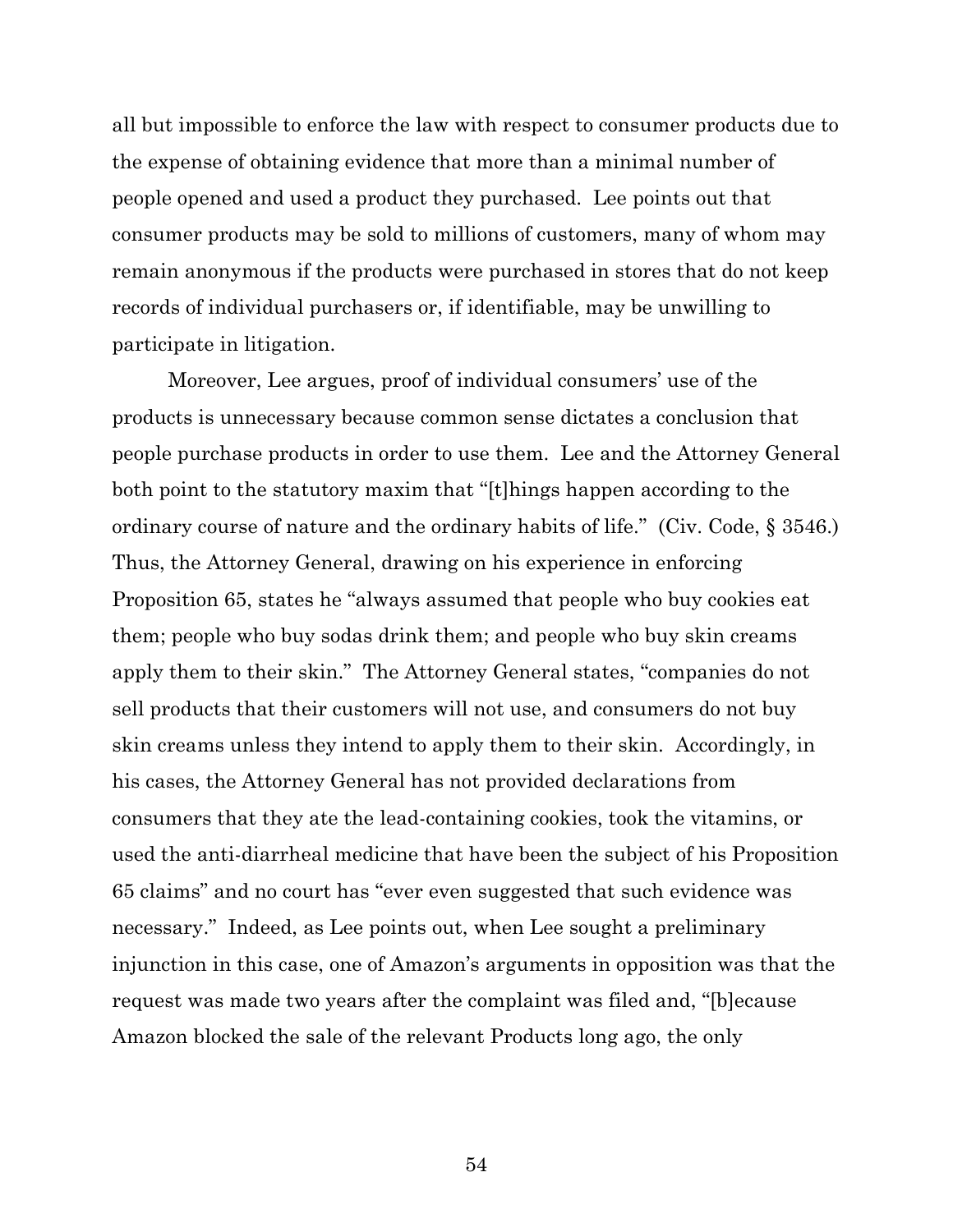all but impossible to enforce the law with respect to consumer products due to the expense of obtaining evidence that more than a minimal number of people opened and used a product they purchased. Lee points out that consumer products may be sold to millions of customers, many of whom may remain anonymous if the products were purchased in stores that do not keep records of individual purchasers or, if identifiable, may be unwilling to participate in litigation.

Moreover, Lee argues, proof of individual consumers' use of the products is unnecessary because common sense dictates a conclusion that people purchase products in order to use them. Lee and the Attorney General both point to the statutory maxim that "[t]hings happen according to the ordinary course of nature and the ordinary habits of life." (Civ. Code, § 3546.) Thus, the Attorney General, drawing on his experience in enforcing Proposition 65, states he "always assumed that people who buy cookies eat them; people who buy sodas drink them; and people who buy skin creams apply them to their skin." The Attorney General states, "companies do not sell products that their customers will not use, and consumers do not buy skin creams unless they intend to apply them to their skin. Accordingly, in his cases, the Attorney General has not provided declarations from consumers that they ate the lead-containing cookies, took the vitamins, or used the anti-diarrheal medicine that have been the subject of his Proposition 65 claims" and no court has "ever even suggested that such evidence was necessary." Indeed, as Lee points out, when Lee sought a preliminary injunction in this case, one of Amazon's arguments in opposition was that the request was made two years after the complaint was filed and, "[b]ecause Amazon blocked the sale of the relevant Products long ago, the only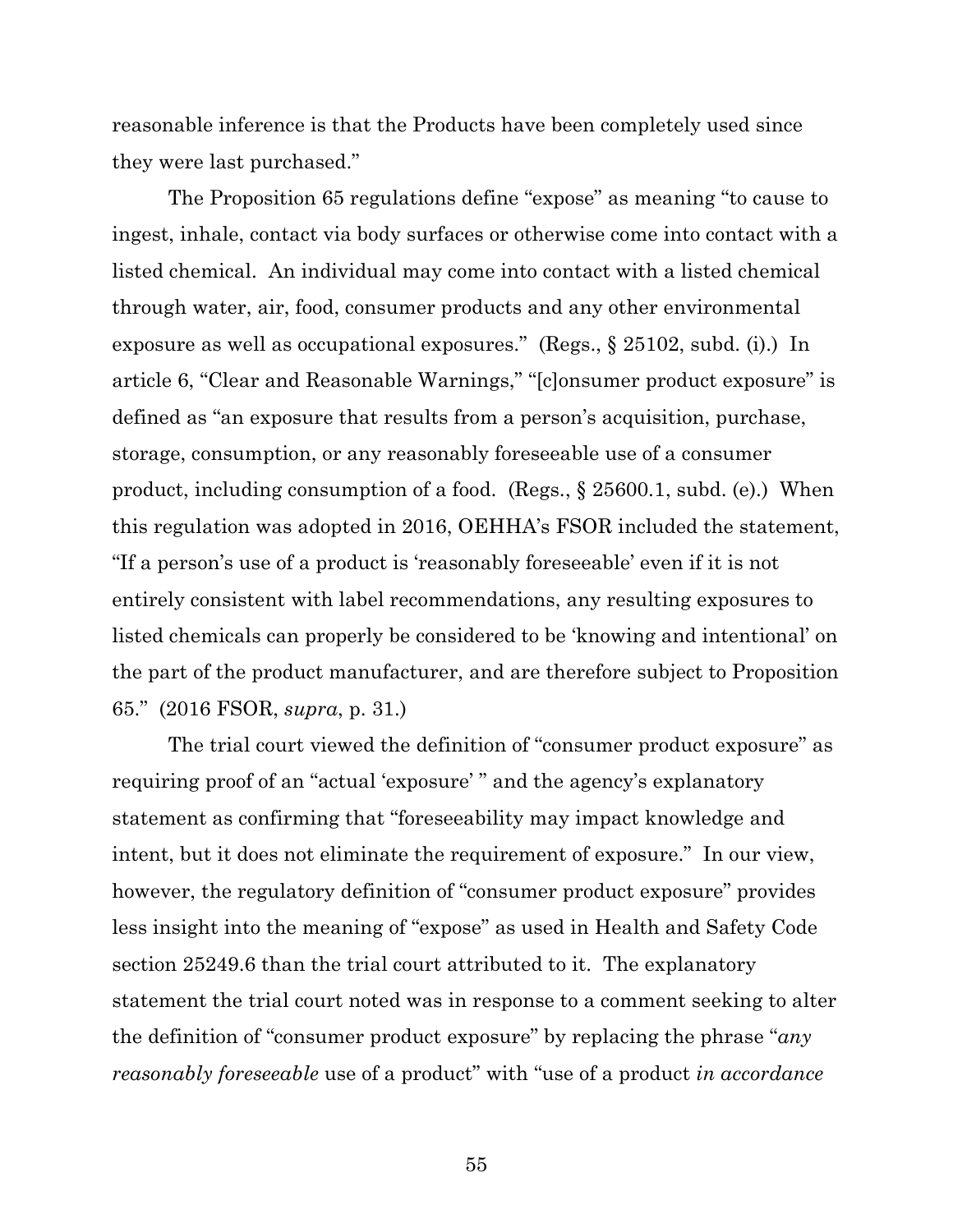reasonable inference is that the Products have been completely used since they were last purchased."

The Proposition 65 regulations define "expose" as meaning "to cause to ingest, inhale, contact via body surfaces or otherwise come into contact with a listed chemical. An individual may come into contact with a listed chemical through water, air, food, consumer products and any other environmental exposure as well as occupational exposures." (Regs., § 25102, subd. (i).) In article 6, "Clear and Reasonable Warnings," "[c]onsumer product exposure" is defined as "an exposure that results from a person's acquisition, purchase, storage, consumption, or any reasonably foreseeable use of a consumer product, including consumption of a food. (Regs., § 25600.1, subd. (e).) When this regulation was adopted in 2016, OEHHA's FSOR included the statement, "If a person's use of a product is 'reasonably foreseeable' even if it is not entirely consistent with label recommendations, any resulting exposures to listed chemicals can properly be considered to be 'knowing and intentional' on the part of the product manufacturer, and are therefore subject to Proposition 65." (2016 FSOR, *supra*, p. 31.)

The trial court viewed the definition of "consumer product exposure" as requiring proof of an "actual 'exposure' " and the agency's explanatory statement as confirming that "foreseeability may impact knowledge and intent, but it does not eliminate the requirement of exposure." In our view, however, the regulatory definition of "consumer product exposure" provides less insight into the meaning of "expose" as used in Health and Safety Code section 25249.6 than the trial court attributed to it. The explanatory statement the trial court noted was in response to a comment seeking to alter the definition of "consumer product exposure" by replacing the phrase "*any reasonably foreseeable* use of a product" with "use of a product *in accordance*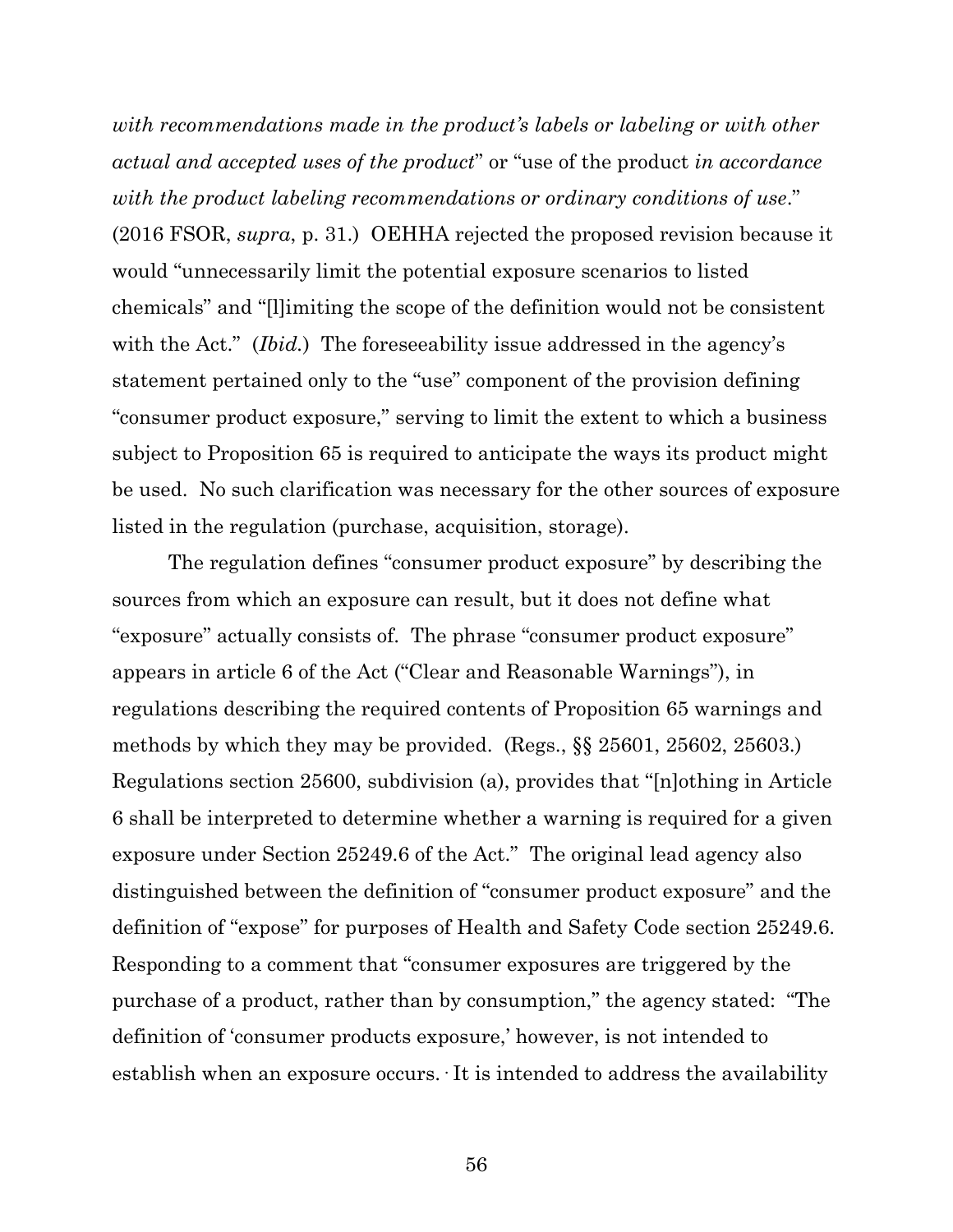*with recommendations made in the product's labels or labeling or with other actual and accepted uses of the product*" or "use of the product *in accordance with the product labeling recommendations or ordinary conditions of use*." (2016 FSOR, *supra*, p. 31.) OEHHA rejected the proposed revision because it would "unnecessarily limit the potential exposure scenarios to listed chemicals" and "[l]imiting the scope of the definition would not be consistent with the Act." *(Ibid.)* The foreseeability issue addressed in the agency's statement pertained only to the "use" component of the provision defining "consumer product exposure," serving to limit the extent to which a business subject to Proposition 65 is required to anticipate the ways its product might be used. No such clarification was necessary for the other sources of exposure listed in the regulation (purchase, acquisition, storage).

The regulation defines "consumer product exposure" by describing the sources from which an exposure can result, but it does not define what "exposure" actually consists of. The phrase "consumer product exposure" appears in article 6 of the Act ("Clear and Reasonable Warnings"), in regulations describing the required contents of Proposition 65 warnings and methods by which they may be provided. (Regs., §§ 25601, 25602, 25603.) Regulations section 25600, subdivision (a), provides that "[n]othing in Article 6 shall be interpreted to determine whether a warning is required for a given exposure under Section 25249.6 of the Act." The original lead agency also distinguished between the definition of "consumer product exposure" and the definition of "expose" for purposes of Health and Safety Code section 25249.6. Responding to a comment that "consumer exposures are triggered by the purchase of a product, rather than by consumption," the agency stated: "The definition of 'consumer products exposure,' however, is not intended to establish when an exposure occurs. It is intended to address the availability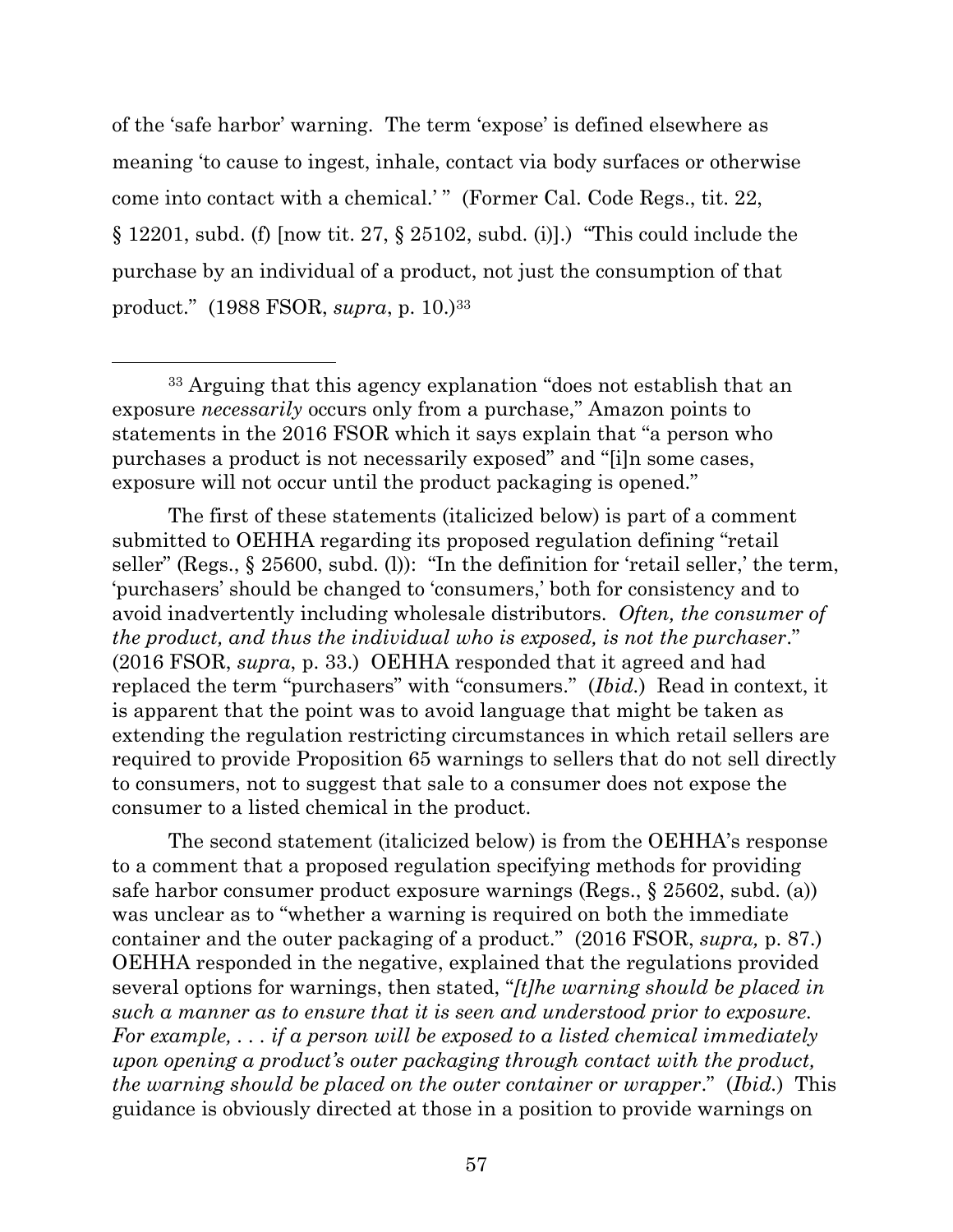of the 'safe harbor' warning. The term 'expose' is defined elsewhere as meaning 'to cause to ingest, inhale, contact via body surfaces or otherwise come into contact with a chemical.'" (Former Cal. Code Regs., tit. 22,  $\S 12201$ , subd. (f) [now tit. 27,  $\S 25102$ , subd. (i)].) "This could include the purchase by an individual of a product, not just the consumption of that product." (1988 FSOR, *supra*, p. 10.)<sup>33</sup>

The first of these statements (italicized below) is part of a comment submitted to OEHHA regarding its proposed regulation defining "retail seller" (Regs., § 25600, subd. (l)): "In the definition for 'retail seller,' the term, 'purchasers' should be changed to 'consumers,' both for consistency and to avoid inadvertently including wholesale distributors. *Often, the consumer of the product, and thus the individual who is exposed, is not the purchaser*." (2016 FSOR, *supra*, p. 33.) OEHHA responded that it agreed and had replaced the term "purchasers" with "consumers." (*Ibid.*) Read in context, it is apparent that the point was to avoid language that might be taken as extending the regulation restricting circumstances in which retail sellers are required to provide Proposition 65 warnings to sellers that do not sell directly to consumers, not to suggest that sale to a consumer does not expose the consumer to a listed chemical in the product.

The second statement (italicized below) is from the OEHHA's response to a comment that a proposed regulation specifying methods for providing safe harbor consumer product exposure warnings (Regs., § 25602, subd. (a)) was unclear as to "whether a warning is required on both the immediate container and the outer packaging of a product." (2016 FSOR, *supra,* p. 87.) OEHHA responded in the negative, explained that the regulations provided several options for warnings, then stated, "*[t]he warning should be placed in such a manner as to ensure that it is seen and understood prior to exposure. For example, . . . if a person will be exposed to a listed chemical immediately upon opening a product's outer packaging through contact with the product, the warning should be placed on the outer container or wrapper*." (*Ibid.*) This guidance is obviously directed at those in a position to provide warnings on

<sup>33</sup> Arguing that this agency explanation "does not establish that an exposure *necessarily* occurs only from a purchase," Amazon points to statements in the 2016 FSOR which it says explain that "a person who purchases a product is not necessarily exposed" and "[i]n some cases, exposure will not occur until the product packaging is opened."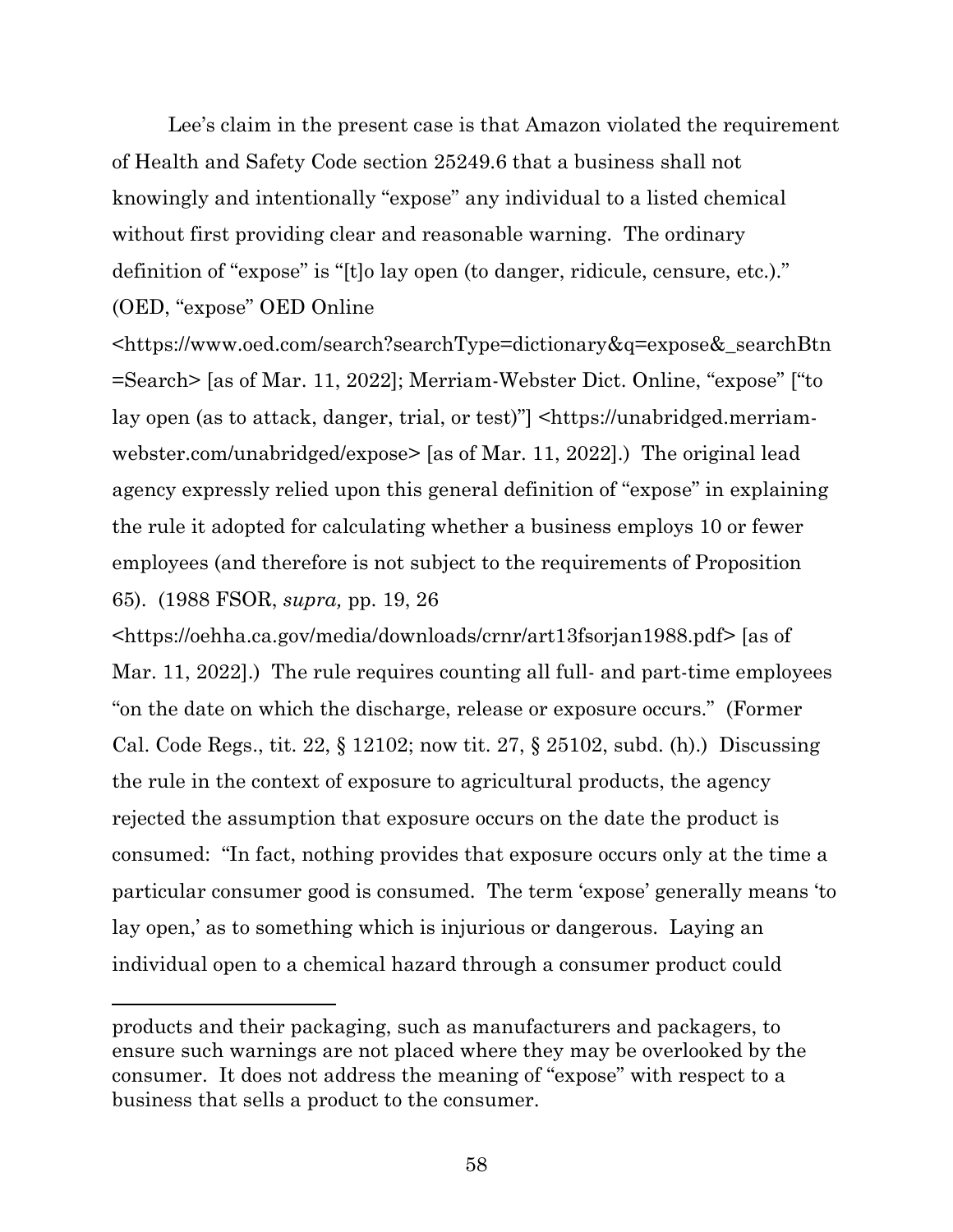Lee's claim in the present case is that Amazon violated the requirement of Health and Safety Code section 25249.6 that a business shall not knowingly and intentionally "expose" any individual to a listed chemical without first providing clear and reasonable warning. The ordinary definition of "expose" is "[t]o lay open (to danger, ridicule, censure, etc.)." (OED, "expose" OED Online

<https://www.oed.com/search?searchType=dictionary&q=expose&\_searchBtn =Search> [as of Mar. 11, 2022]; Merriam-Webster Dict. Online, "expose" ["to lay open (as to attack, danger, trial, or test)"] <https://unabridged.merriamwebster.com/unabridged/expose> [as of Mar. 11, 2022].) The original lead agency expressly relied upon this general definition of "expose" in explaining the rule it adopted for calculating whether a business employs 10 or fewer employees (and therefore is not subject to the requirements of Proposition 65). (1988 FSOR, *supra,* pp. 19, 26

<https://oehha.ca.gov/media/downloads/crnr/art13fsorjan1988.pdf> [as of Mar. 11, 2022].) The rule requires counting all full- and part-time employees "on the date on which the discharge, release or exposure occurs." (Former Cal. Code Regs., tit. 22, § 12102; now tit. 27, § 25102, subd. (h).) Discussing the rule in the context of exposure to agricultural products, the agency rejected the assumption that exposure occurs on the date the product is consumed: "In fact, nothing provides that exposure occurs only at the time a particular consumer good is consumed. The term 'expose' generally means 'to lay open,' as to something which is injurious or dangerous. Laying an individual open to a chemical hazard through a consumer product could

products and their packaging, such as manufacturers and packagers, to ensure such warnings are not placed where they may be overlooked by the consumer. It does not address the meaning of "expose" with respect to a business that sells a product to the consumer.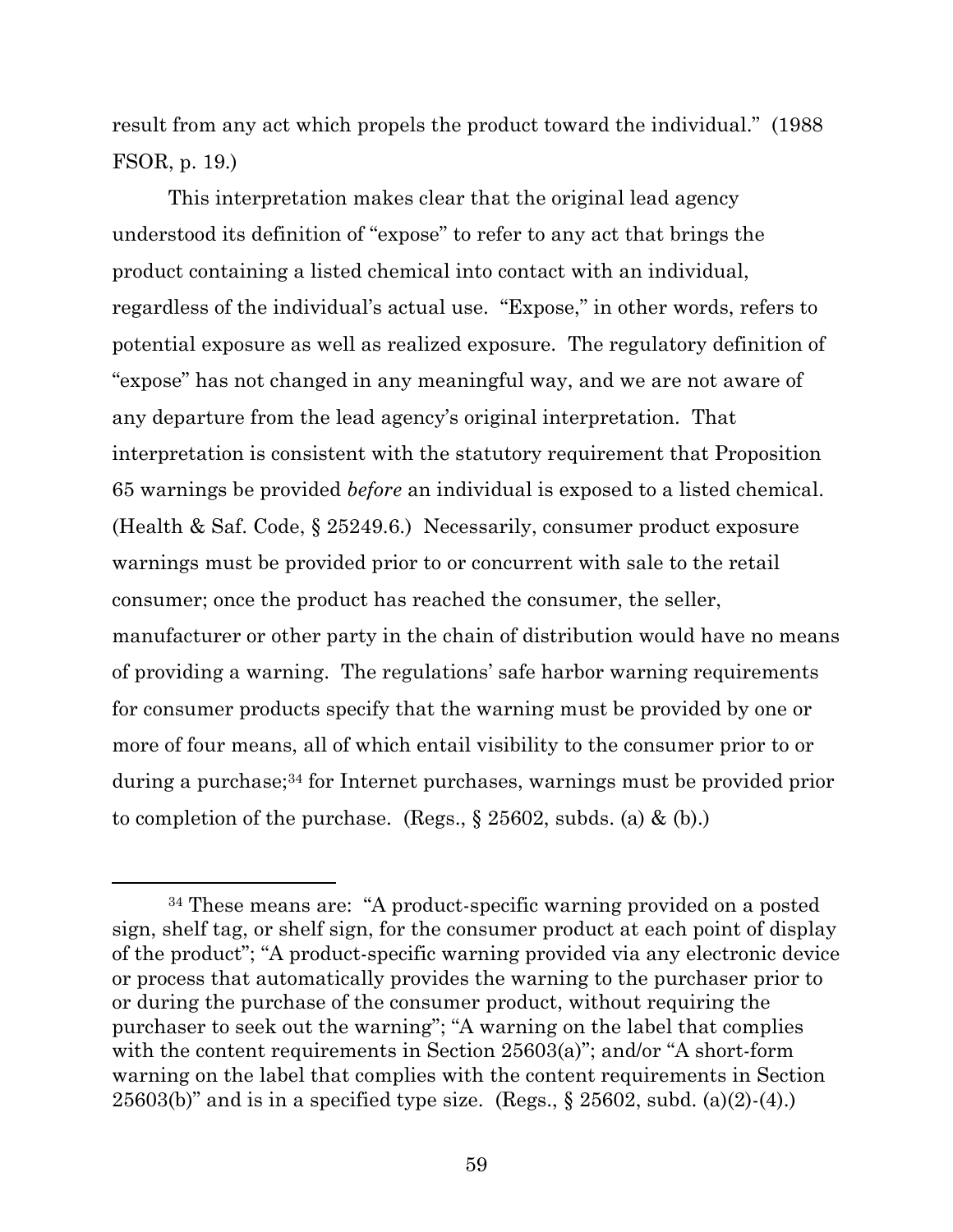result from any act which propels the product toward the individual." (1988 FSOR, p. 19.)

This interpretation makes clear that the original lead agency understood its definition of "expose" to refer to any act that brings the product containing a listed chemical into contact with an individual, regardless of the individual's actual use. "Expose," in other words, refers to potential exposure as well as realized exposure. The regulatory definition of "expose" has not changed in any meaningful way, and we are not aware of any departure from the lead agency's original interpretation. That interpretation is consistent with the statutory requirement that Proposition 65 warnings be provided *before* an individual is exposed to a listed chemical. (Health & Saf. Code, § 25249.6.) Necessarily, consumer product exposure warnings must be provided prior to or concurrent with sale to the retail consumer; once the product has reached the consumer, the seller, manufacturer or other party in the chain of distribution would have no means of providing a warning. The regulations' safe harbor warning requirements for consumer products specify that the warning must be provided by one or more of four means, all of which entail visibility to the consumer prior to or during a purchase;<sup>34</sup> for Internet purchases, warnings must be provided prior to completion of the purchase. (Regs.,  $\S 25602$ , subds. (a) & (b).)

<sup>34</sup> These means are: "A product-specific warning provided on a posted sign, shelf tag, or shelf sign, for the consumer product at each point of display of the product"; "A product-specific warning provided via any electronic device or process that automatically provides the warning to the purchaser prior to or during the purchase of the consumer product, without requiring the purchaser to seek out the warning"; "A warning on the label that complies with the content requirements in Section 25603(a)"; and/or "A short-form warning on the label that complies with the content requirements in Section  $25603(b)$ " and is in a specified type size. (Regs., § 25602, subd. (a)(2)-(4).)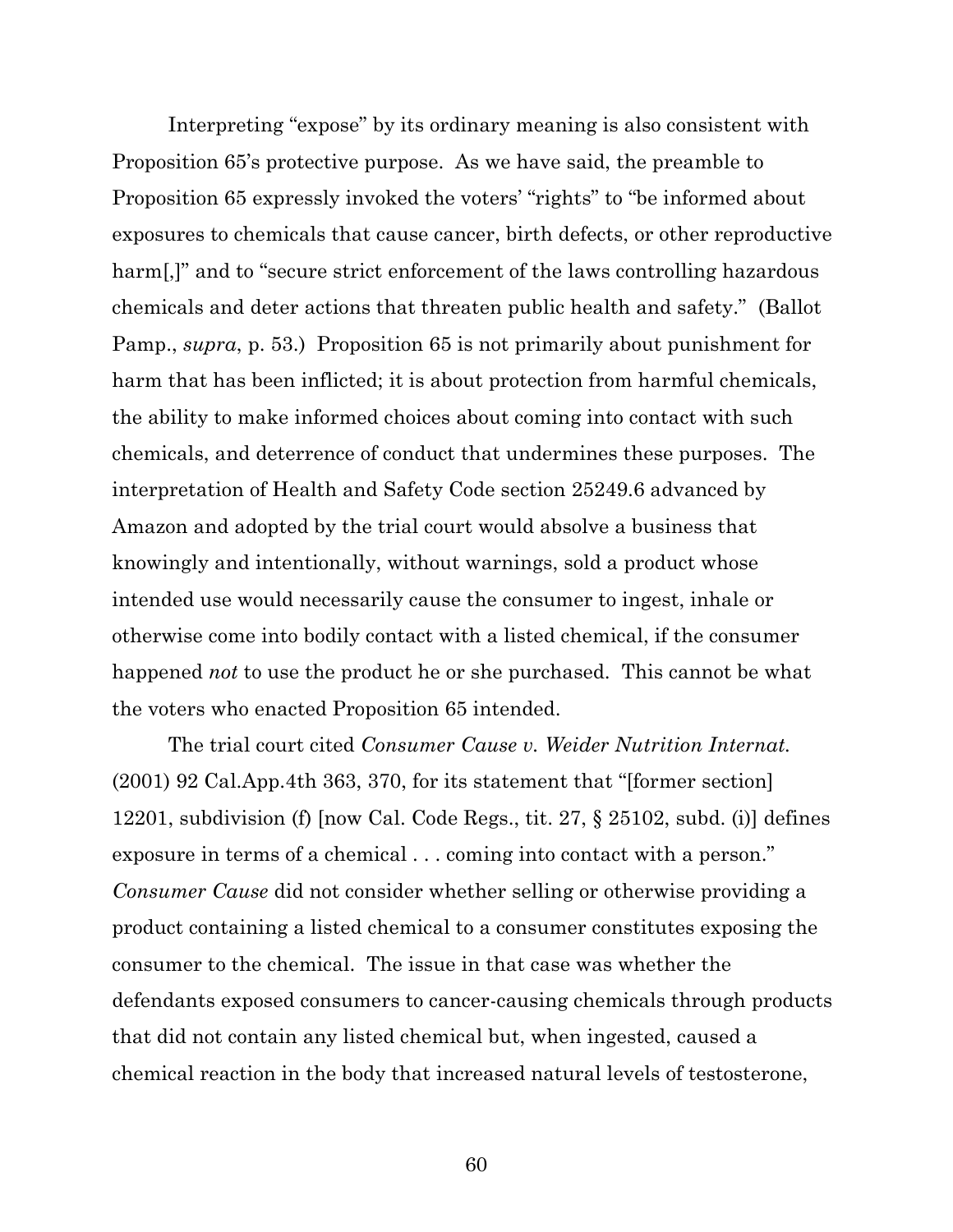Interpreting "expose" by its ordinary meaning is also consistent with Proposition 65's protective purpose. As we have said, the preamble to Proposition 65 expressly invoked the voters' "rights" to "be informed about exposures to chemicals that cause cancer, birth defects, or other reproductive harm[,]" and to "secure strict enforcement of the laws controlling hazardous chemicals and deter actions that threaten public health and safety." (Ballot Pamp., *supra*, p. 53.) Proposition 65 is not primarily about punishment for harm that has been inflicted; it is about protection from harmful chemicals, the ability to make informed choices about coming into contact with such chemicals, and deterrence of conduct that undermines these purposes. The interpretation of Health and Safety Code section 25249.6 advanced by Amazon and adopted by the trial court would absolve a business that knowingly and intentionally, without warnings, sold a product whose intended use would necessarily cause the consumer to ingest, inhale or otherwise come into bodily contact with a listed chemical, if the consumer happened *not* to use the product he or she purchased. This cannot be what the voters who enacted Proposition 65 intended.

The trial court cited *Consumer Cause v. Weider Nutrition Internat.*  (2001) 92 Cal.App.4th 363, 370, for its statement that "[former section] 12201, subdivision (f) [now Cal. Code Regs., tit. 27, § 25102, subd. (i)] defines exposure in terms of a chemical . . . coming into contact with a person." *Consumer Cause* did not consider whether selling or otherwise providing a product containing a listed chemical to a consumer constitutes exposing the consumer to the chemical. The issue in that case was whether the defendants exposed consumers to cancer-causing chemicals through products that did not contain any listed chemical but, when ingested, caused a chemical reaction in the body that increased natural levels of testosterone,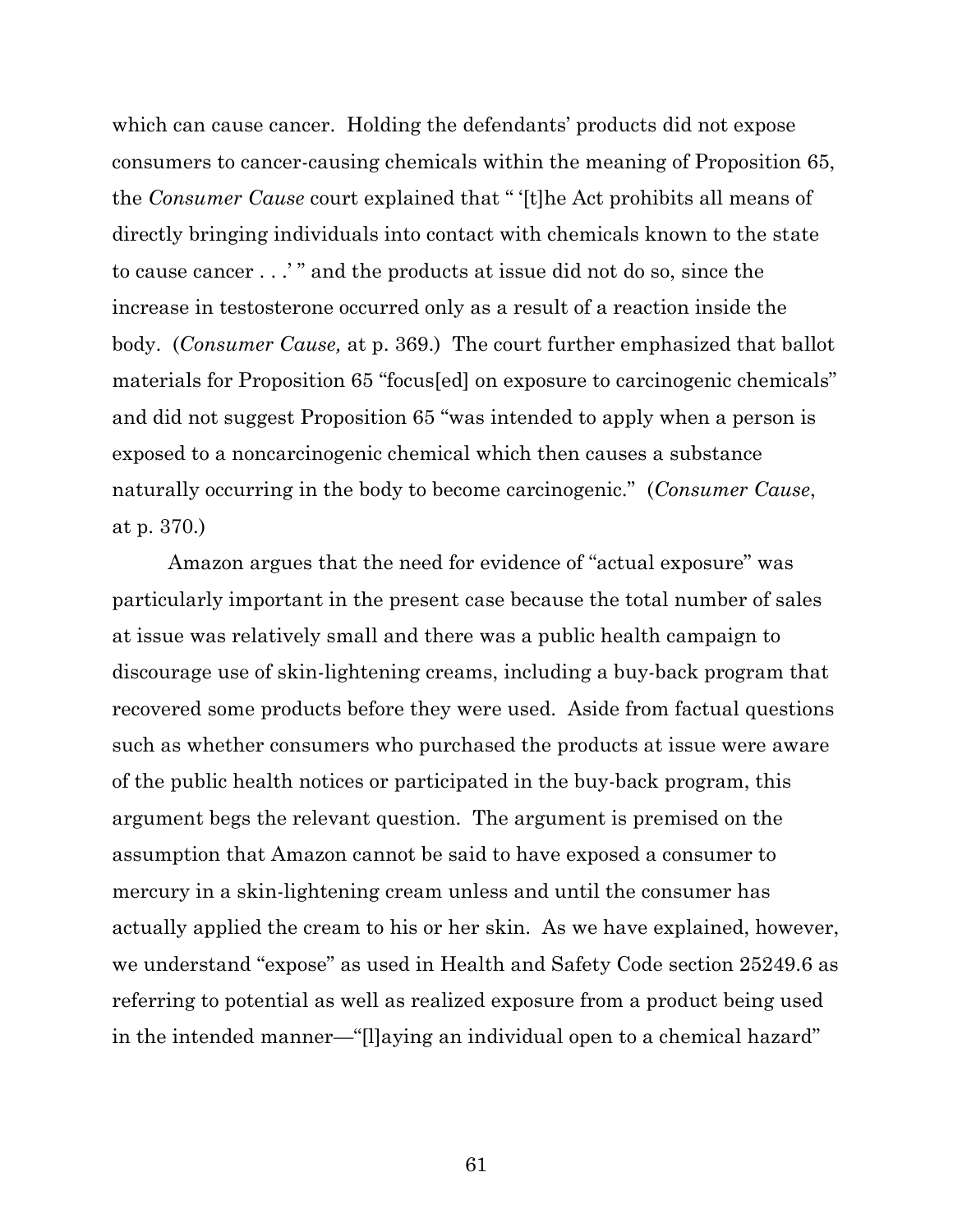which can cause cancer. Holding the defendants' products did not expose consumers to cancer-causing chemicals within the meaning of Proposition 65, the *Consumer Cause* court explained that " '[t]he Act prohibits all means of directly bringing individuals into contact with chemicals known to the state to cause cancer . . .' " and the products at issue did not do so, since the increase in testosterone occurred only as a result of a reaction inside the body. (*Consumer Cause,* at p. 369.) The court further emphasized that ballot materials for Proposition 65 "focus[ed] on exposure to carcinogenic chemicals" and did not suggest Proposition 65 "was intended to apply when a person is exposed to a noncarcinogenic chemical which then causes a substance naturally occurring in the body to become carcinogenic." (*Consumer Cause*, at p. 370.)

Amazon argues that the need for evidence of "actual exposure" was particularly important in the present case because the total number of sales at issue was relatively small and there was a public health campaign to discourage use of skin-lightening creams, including a buy-back program that recovered some products before they were used. Aside from factual questions such as whether consumers who purchased the products at issue were aware of the public health notices or participated in the buy-back program, this argument begs the relevant question. The argument is premised on the assumption that Amazon cannot be said to have exposed a consumer to mercury in a skin-lightening cream unless and until the consumer has actually applied the cream to his or her skin. As we have explained, however, we understand "expose" as used in Health and Safety Code section 25249.6 as referring to potential as well as realized exposure from a product being used in the intended manner—"[l]aying an individual open to a chemical hazard"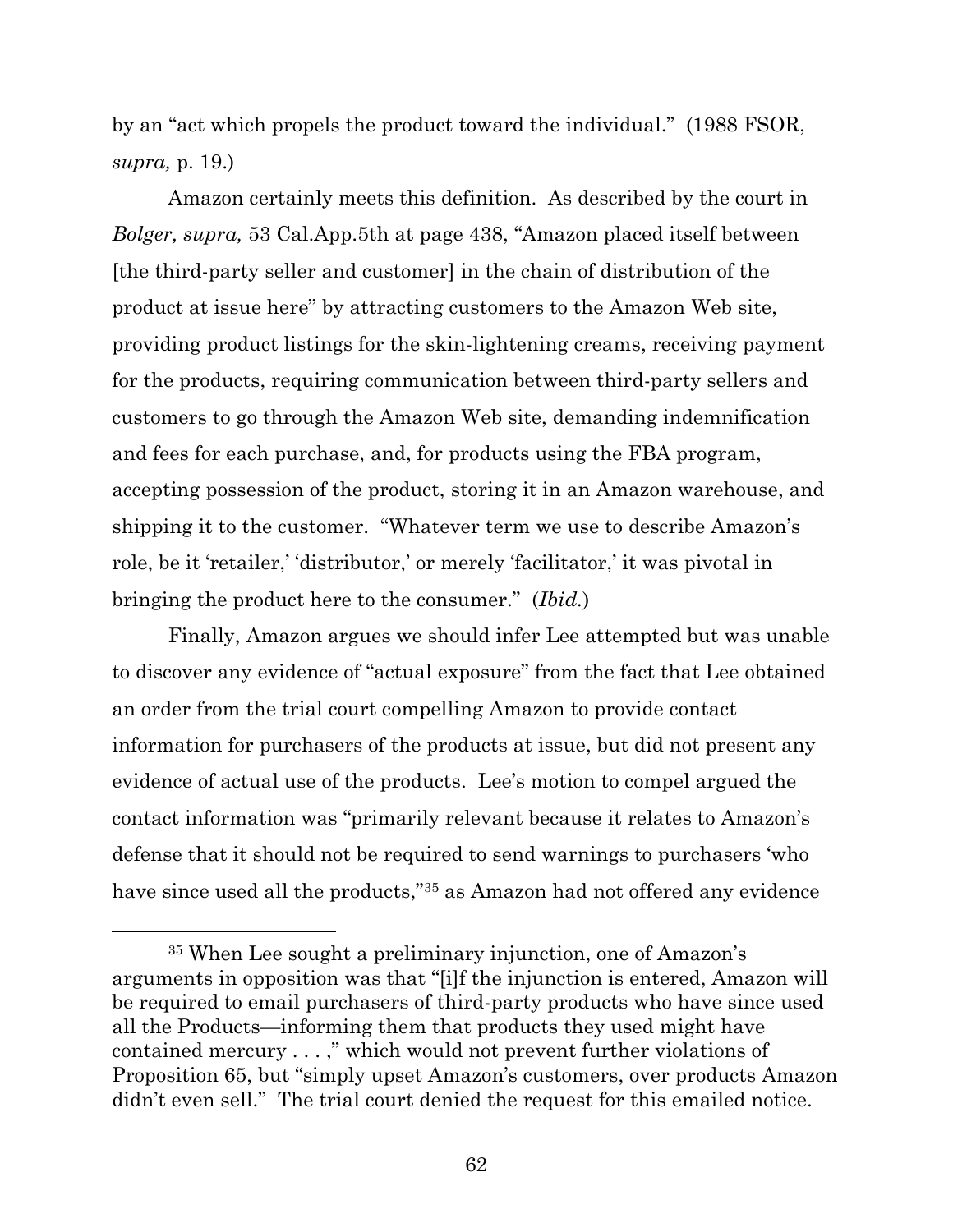by an "act which propels the product toward the individual." (1988 FSOR, *supra,* p. 19.)

Amazon certainly meets this definition. As described by the court in *Bolger, supra,* 53 Cal.App.5th at page 438, "Amazon placed itself between [the third-party seller and customer] in the chain of distribution of the product at issue here" by attracting customers to the Amazon Web site, providing product listings for the skin-lightening creams, receiving payment for the products, requiring communication between third-party sellers and customers to go through the Amazon Web site, demanding indemnification and fees for each purchase, and, for products using the FBA program, accepting possession of the product, storing it in an Amazon warehouse, and shipping it to the customer. "Whatever term we use to describe Amazon's role, be it 'retailer,' 'distributor,' or merely 'facilitator,' it was pivotal in bringing the product here to the consumer." (*Ibid.*)

Finally, Amazon argues we should infer Lee attempted but was unable to discover any evidence of "actual exposure" from the fact that Lee obtained an order from the trial court compelling Amazon to provide contact information for purchasers of the products at issue, but did not present any evidence of actual use of the products. Lee's motion to compel argued the contact information was "primarily relevant because it relates to Amazon's defense that it should not be required to send warnings to purchasers 'who have since used all the products,"<sup>35</sup> as Amazon had not offered any evidence

<sup>35</sup> When Lee sought a preliminary injunction, one of Amazon's arguments in opposition was that "[i]f the injunction is entered, Amazon will be required to email purchasers of third-party products who have since used all the Products—informing them that products they used might have contained mercury . . . ," which would not prevent further violations of Proposition 65, but "simply upset Amazon's customers, over products Amazon didn't even sell." The trial court denied the request for this emailed notice.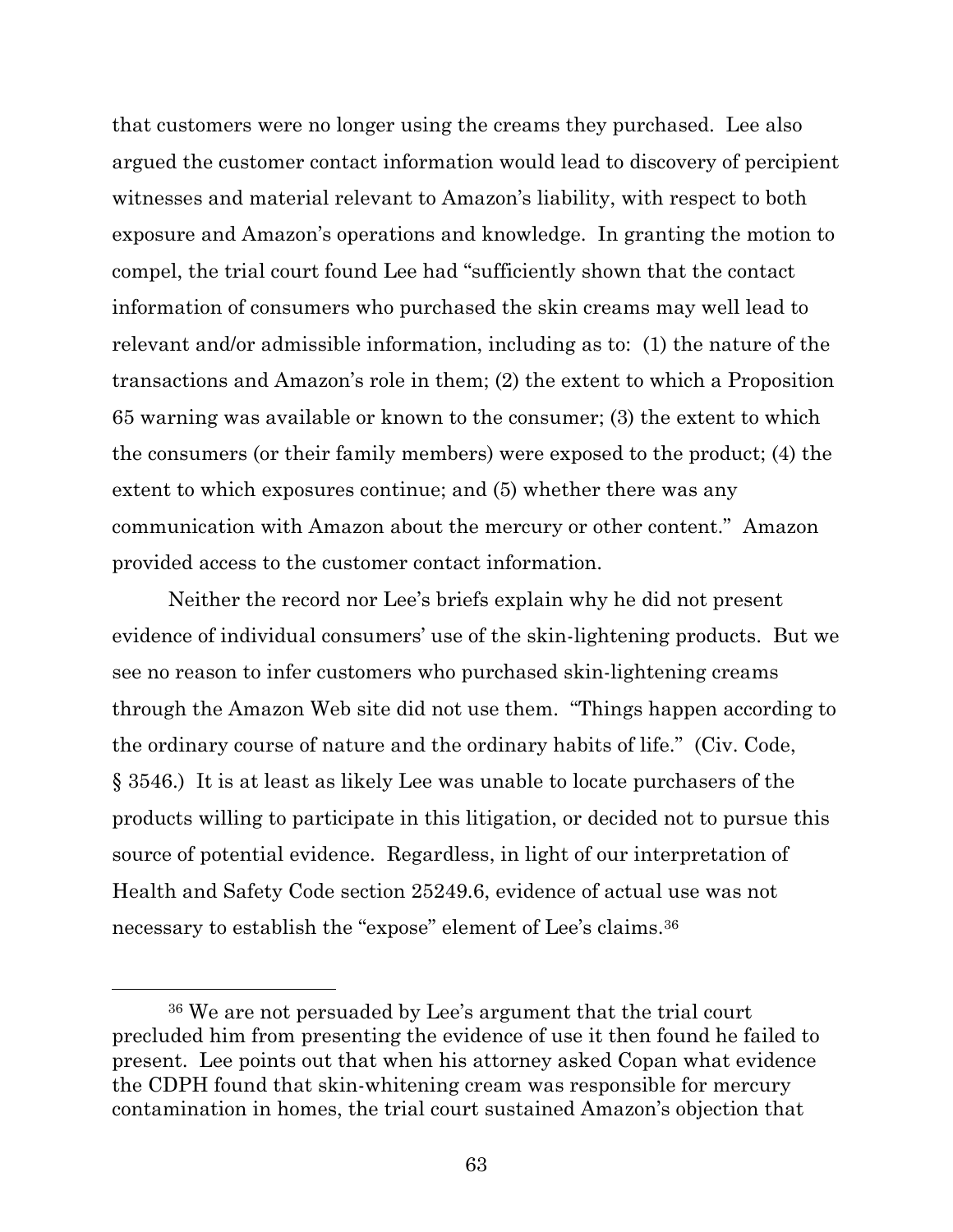that customers were no longer using the creams they purchased. Lee also argued the customer contact information would lead to discovery of percipient witnesses and material relevant to Amazon's liability, with respect to both exposure and Amazon's operations and knowledge. In granting the motion to compel, the trial court found Lee had "sufficiently shown that the contact information of consumers who purchased the skin creams may well lead to relevant and/or admissible information, including as to: (1) the nature of the transactions and Amazon's role in them; (2) the extent to which a Proposition 65 warning was available or known to the consumer; (3) the extent to which the consumers (or their family members) were exposed to the product; (4) the extent to which exposures continue; and (5) whether there was any communication with Amazon about the mercury or other content." Amazon provided access to the customer contact information.

Neither the record nor Lee's briefs explain why he did not present evidence of individual consumers' use of the skin-lightening products. But we see no reason to infer customers who purchased skin-lightening creams through the Amazon Web site did not use them. "Things happen according to the ordinary course of nature and the ordinary habits of life." (Civ. Code, § 3546.) It is at least as likely Lee was unable to locate purchasers of the products willing to participate in this litigation, or decided not to pursue this source of potential evidence. Regardless, in light of our interpretation of Health and Safety Code section 25249.6, evidence of actual use was not necessary to establish the "expose" element of Lee's claims.<sup>36</sup>

<sup>36</sup> We are not persuaded by Lee's argument that the trial court precluded him from presenting the evidence of use it then found he failed to present. Lee points out that when his attorney asked Copan what evidence the CDPH found that skin-whitening cream was responsible for mercury contamination in homes, the trial court sustained Amazon's objection that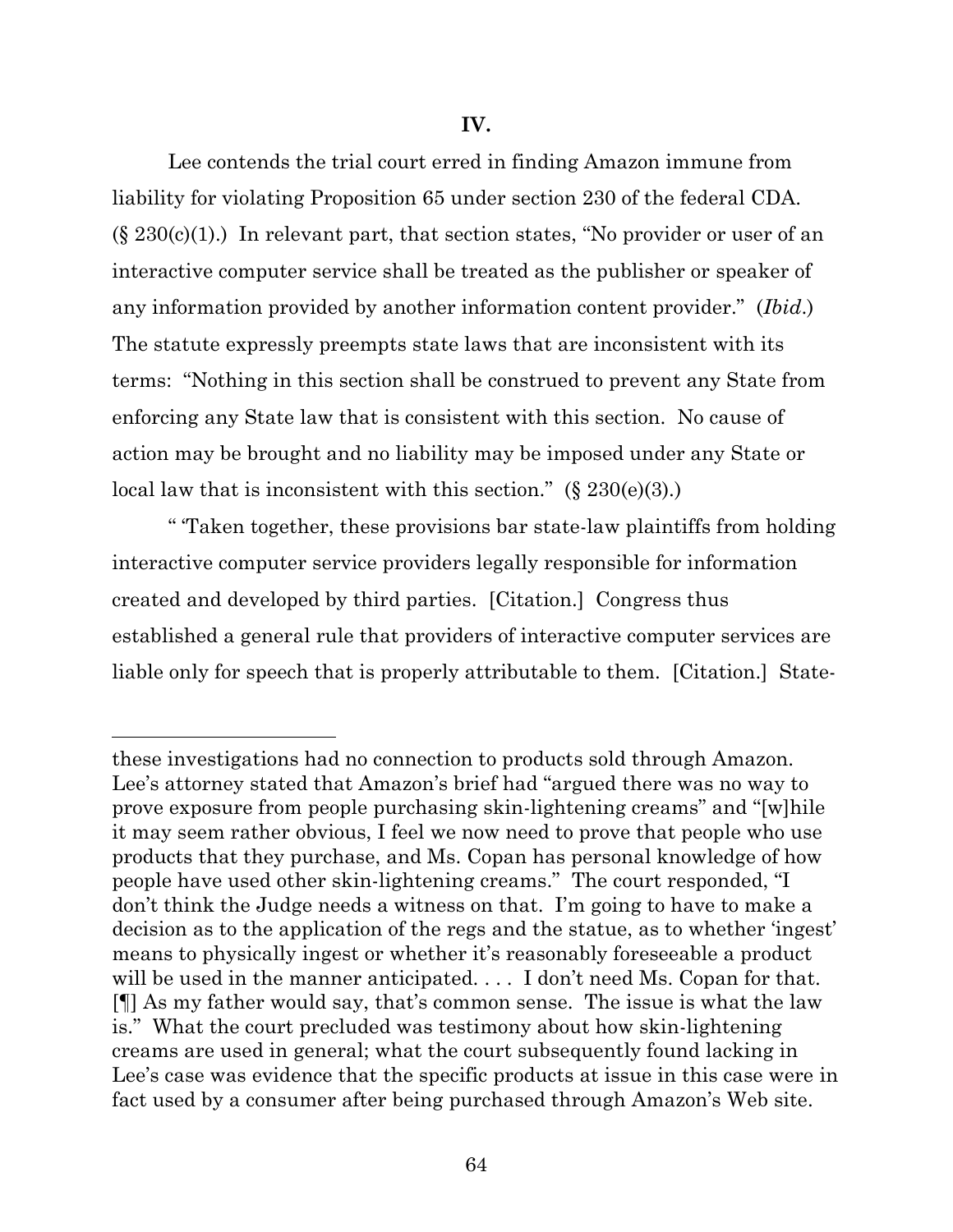## **IV.**

Lee contends the trial court erred in finding Amazon immune from liability for violating Proposition 65 under section 230 of the federal CDA.  $(\S 230(c)(1))$  In relevant part, that section states, "No provider or user of an interactive computer service shall be treated as the publisher or speaker of any information provided by another information content provider." (*Ibid*.) The statute expressly preempts state laws that are inconsistent with its terms: "Nothing in this section shall be construed to prevent any State from enforcing any State law that is consistent with this section. No cause of action may be brought and no liability may be imposed under any State or local law that is inconsistent with this section."  $(\S 230(e)(3))$ .

" 'Taken together, these provisions bar state-law plaintiffs from holding interactive computer service providers legally responsible for information created and developed by third parties. [Citation.] Congress thus established a general rule that providers of interactive computer services are liable only for speech that is properly attributable to them. [Citation.] State-

these investigations had no connection to products sold through Amazon. Lee's attorney stated that Amazon's brief had "argued there was no way to prove exposure from people purchasing skin-lightening creams" and "[w]hile it may seem rather obvious, I feel we now need to prove that people who use products that they purchase, and Ms. Copan has personal knowledge of how people have used other skin-lightening creams." The court responded, "I don't think the Judge needs a witness on that. I'm going to have to make a decision as to the application of the regs and the statue, as to whether 'ingest' means to physically ingest or whether it's reasonably foreseeable a product will be used in the manner anticipated.... I don't need Ms. Copan for that. [¶] As my father would say, that's common sense. The issue is what the law is." What the court precluded was testimony about how skin-lightening creams are used in general; what the court subsequently found lacking in Lee's case was evidence that the specific products at issue in this case were in fact used by a consumer after being purchased through Amazon's Web site.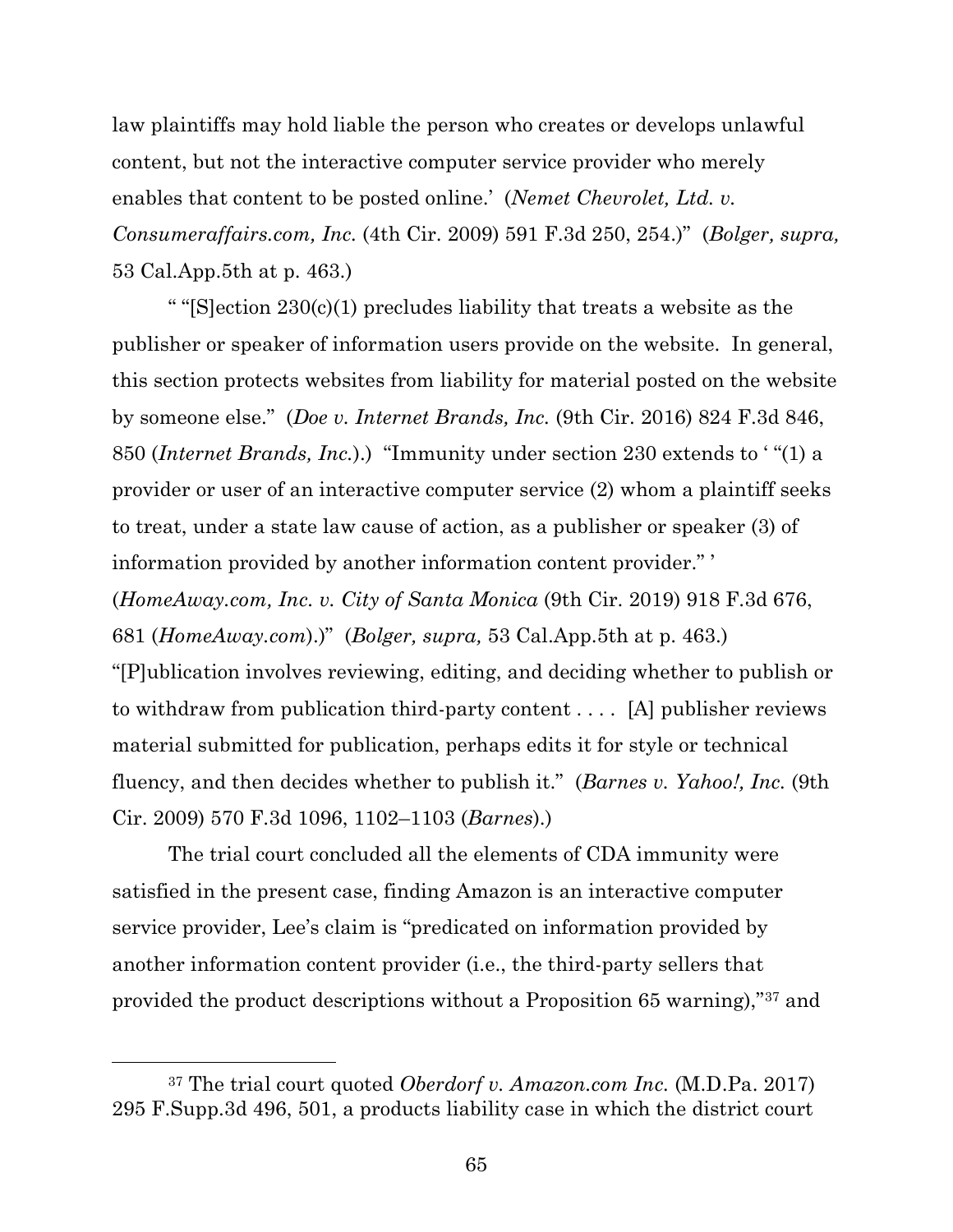law plaintiffs may hold liable the person who creates or develops unlawful content, but not the interactive computer service provider who merely enables that content to be posted online.' (*Nemet Chevrolet, Ltd. v. Consumeraffairs.com, Inc.* (4th Cir. 2009) 591 F.3d 250, 254.)" (*Bolger, supra,*  53 Cal.App.5th at p. 463.)

" " $[S]$ ection 230(c)(1) precludes liability that treats a website as the publisher or speaker of information users provide on the website. In general, this section protects websites from liability for material posted on the website by someone else." (*Doe v. Internet Brands, Inc.* (9th Cir. 2016) 824 F.3d 846, 850 (*Internet Brands, Inc.*).) "Immunity under section 230 extends to ' "(1) a provider or user of an interactive computer service (2) whom a plaintiff seeks to treat, under a state law cause of action, as a publisher or speaker (3) of information provided by another information content provider." ' (*HomeAway.com, Inc. v. City of Santa Monica* (9th Cir. 2019) 918 F.3d 676, 681 (*HomeAway.com*).)" (*Bolger, supra,* 53 Cal.App.5th at p. 463.) "[P]ublication involves reviewing, editing, and deciding whether to publish or to withdraw from publication third-party content . . . . [A] publisher reviews material submitted for publication, perhaps edits it for style or technical fluency, and then decides whether to publish it." (*Barnes v. Yahoo!, Inc.* (9th Cir. 2009) 570 F.3d 1096, 1102–1103 (*Barnes*).)

The trial court concluded all the elements of CDA immunity were satisfied in the present case, finding Amazon is an interactive computer service provider, Lee's claim is "predicated on information provided by another information content provider (i.e., the third-party sellers that provided the product descriptions without a Proposition 65 warning),"<sup>37</sup> and

<sup>37</sup> The trial court quoted *Oberdorf v. Amazon.com Inc.* (M.D.Pa. 2017) 295 F.Supp.3d 496, 501, a products liability case in which the district court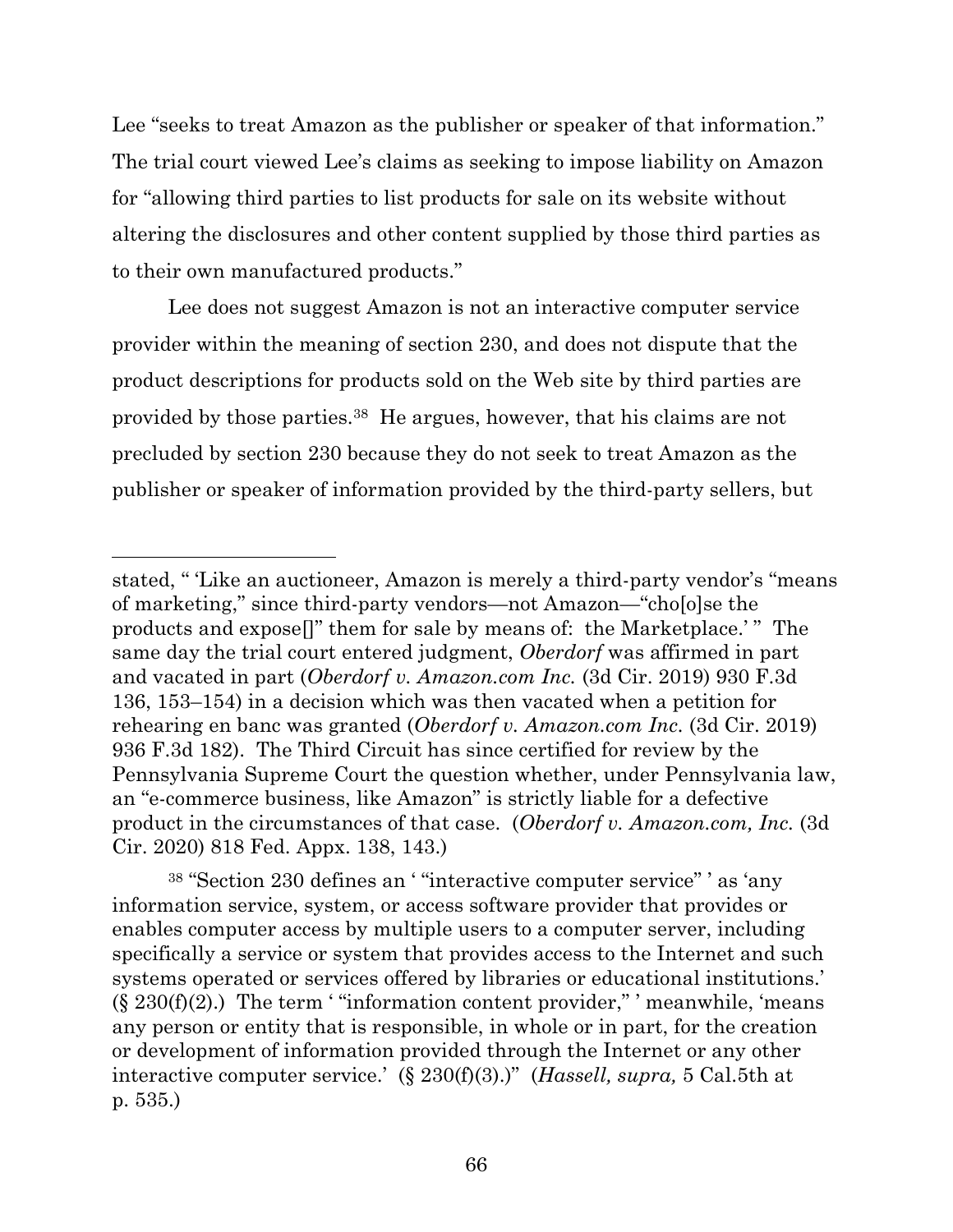Lee "seeks to treat Amazon as the publisher or speaker of that information." The trial court viewed Lee's claims as seeking to impose liability on Amazon for "allowing third parties to list products for sale on its website without altering the disclosures and other content supplied by those third parties as to their own manufactured products."

Lee does not suggest Amazon is not an interactive computer service provider within the meaning of section 230, and does not dispute that the product descriptions for products sold on the Web site by third parties are provided by those parties.38 He argues, however, that his claims are not precluded by section 230 because they do not seek to treat Amazon as the publisher or speaker of information provided by the third-party sellers, but

stated, " 'Like an auctioneer, Amazon is merely a third-party vendor's "means of marketing," since third-party vendors—not Amazon—"cho[o]se the products and expose[]" them for sale by means of: the Marketplace.' " The same day the trial court entered judgment, *Oberdorf* was affirmed in part and vacated in part (*Oberdorf v. Amazon.com Inc.* (3d Cir. 2019) 930 F.3d 136, 153–154) in a decision which was then vacated when a petition for rehearing en banc was granted (*Oberdorf v. Amazon.com Inc.* (3d Cir. 2019) 936 F.3d 182). The Third Circuit has since certified for review by the Pennsylvania Supreme Court the question whether, under Pennsylvania law, an "e-commerce business, like Amazon" is strictly liable for a defective product in the circumstances of that case. (*Oberdorf v. Amazon.com, Inc.* (3d Cir. 2020) 818 Fed. Appx. 138, 143.)

<sup>38</sup> "Section 230 defines an ' "interactive computer service" ' as 'any information service, system, or access software provider that provides or enables computer access by multiple users to a computer server, including specifically a service or system that provides access to the Internet and such systems operated or services offered by libraries or educational institutions.'  $(\S 230(f)(2))$ . The term ' "information content provider," ' meanwhile, 'means any person or entity that is responsible, in whole or in part, for the creation or development of information provided through the Internet or any other interactive computer service.' (§ 230(f)(3).)" (*Hassell, supra,* 5 Cal.5th at p. 535.)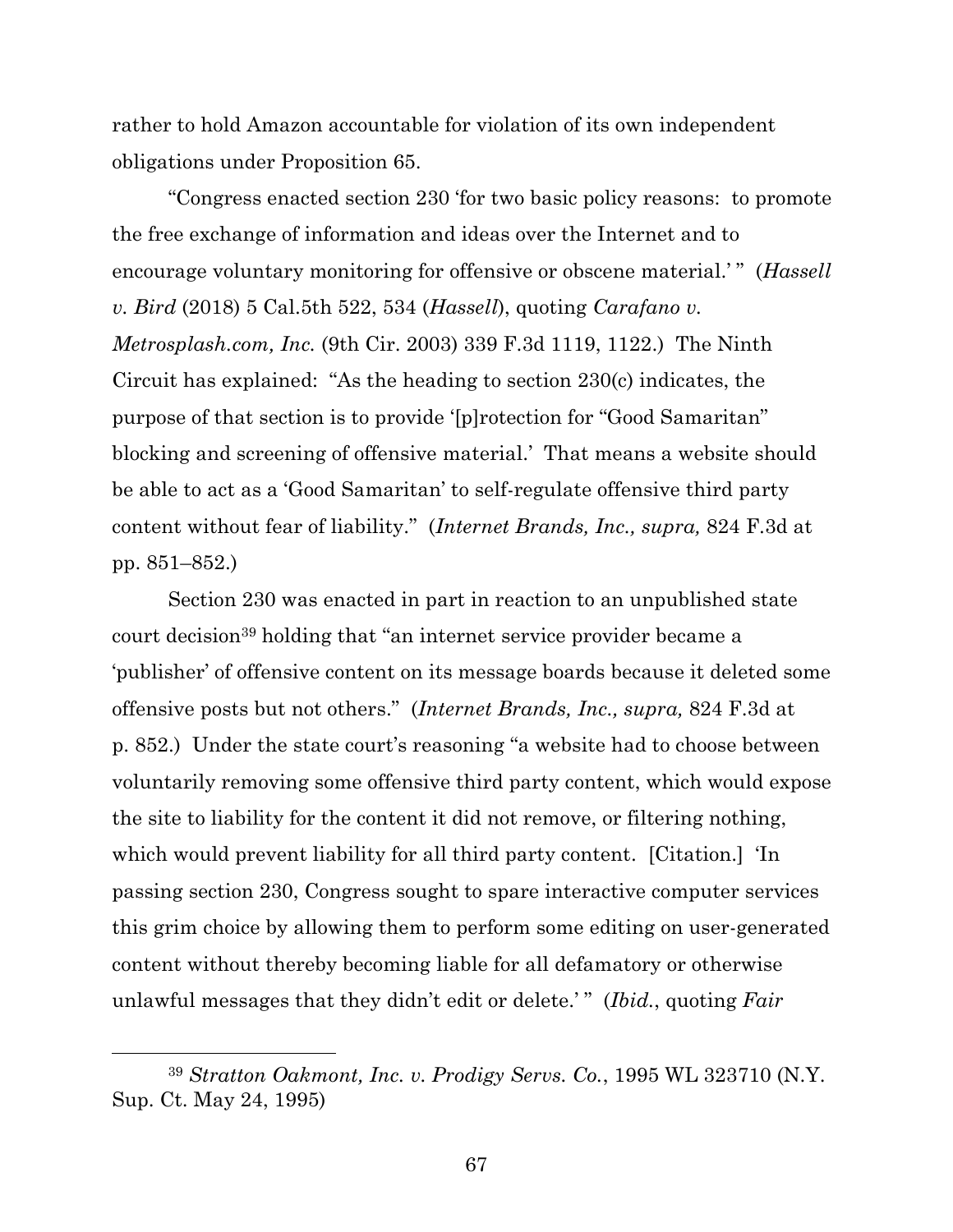rather to hold Amazon accountable for violation of its own independent obligations under Proposition 65.

"Congress enacted section 230 'for two basic policy reasons: to promote the free exchange of information and ideas over the Internet and to encourage voluntary monitoring for offensive or obscene material.'" (*Hassell v. Bird* (2018) 5 Cal.5th 522, 534 (*Hassell*), quoting *Carafano v. Metrosplash.com, Inc.* (9th Cir. 2003) 339 F.3d 1119, 1122.) The Ninth Circuit has explained: "As the heading to section 230(c) indicates, the purpose of that section is to provide '[p]rotection for "Good Samaritan" blocking and screening of offensive material.' That means a website should be able to act as a 'Good Samaritan' to self-regulate offensive third party content without fear of liability." (*Internet Brands, Inc., supra,* 824 F.3d at pp. 851–852.)

Section 230 was enacted in part in reaction to an unpublished state court decision<sup>39</sup> holding that "an internet service provider became a 'publisher' of offensive content on its message boards because it deleted some offensive posts but not others." (*Internet Brands, Inc., supra,* 824 F.3d at p. 852.) Under the state court's reasoning "a website had to choose between voluntarily removing some offensive third party content, which would expose the site to liability for the content it did not remove, or filtering nothing, which would prevent liability for all third party content. [Citation.]'In passing section 230, Congress sought to spare interactive computer services this grim choice by allowing them to perform some editing on user-generated content without thereby becoming liable for all defamatory or otherwise unlawful messages that they didn't edit or delete.' " (*Ibid.*, quoting *Fair* 

<sup>39</sup> *Stratton Oakmont, Inc. v. Prodigy Servs. Co.*, 1995 WL 323710 (N.Y. Sup. Ct. May 24, 1995)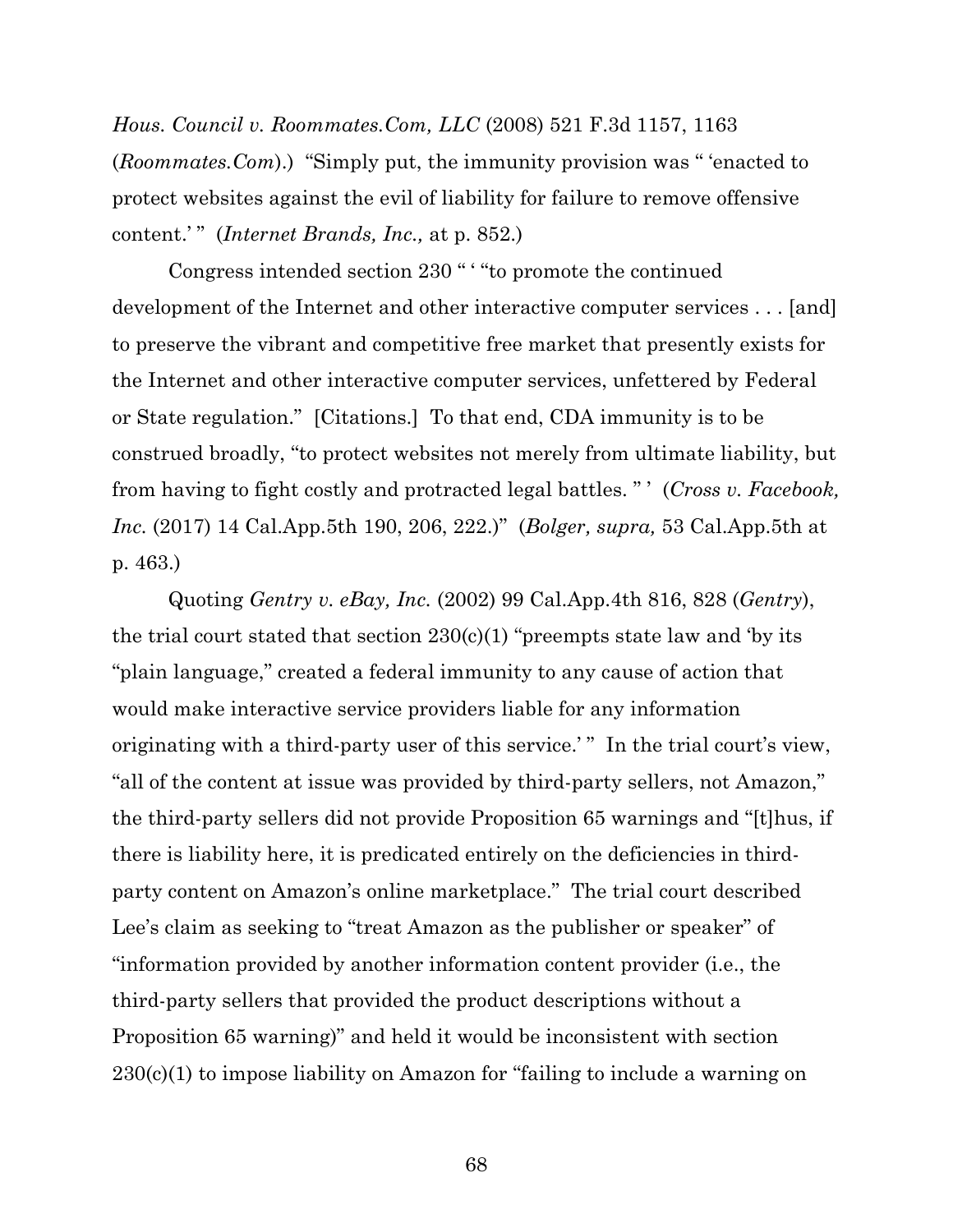*Hous. Council v. Roommates.Com, LLC* (2008) 521 F.3d 1157, 1163 (*Roommates.Com*).) "Simply put, the immunity provision was " 'enacted to protect websites against the evil of liability for failure to remove offensive content.' " (*Internet Brands, Inc.,* at p. 852.)

Congress intended section 230 " ' "to promote the continued development of the Internet and other interactive computer services . . . [and] to preserve the vibrant and competitive free market that presently exists for the Internet and other interactive computer services, unfettered by Federal or State regulation." [Citations.] To that end, CDA immunity is to be construed broadly, "to protect websites not merely from ultimate liability, but from having to fight costly and protracted legal battles. " ' (*Cross v. Facebook, Inc.* (2017) 14 Cal.App.5th 190, 206, 222.)" (*Bolger, supra,* 53 Cal.App.5th at p. 463.)

Quoting *Gentry v. eBay, Inc.* (2002) 99 Cal.App.4th 816, 828 (*Gentry*), the trial court stated that section  $230(c)(1)$  "preempts state law and 'by its "plain language," created a federal immunity to any cause of action that would make interactive service providers liable for any information originating with a third-party user of this service.'" In the trial court's view, "all of the content at issue was provided by third-party sellers, not Amazon," the third-party sellers did not provide Proposition 65 warnings and "[t]hus, if there is liability here, it is predicated entirely on the deficiencies in thirdparty content on Amazon's online marketplace." The trial court described Lee's claim as seeking to "treat Amazon as the publisher or speaker" of "information provided by another information content provider (i.e., the third-party sellers that provided the product descriptions without a Proposition 65 warning)" and held it would be inconsistent with section 230(c)(1) to impose liability on Amazon for "failing to include a warning on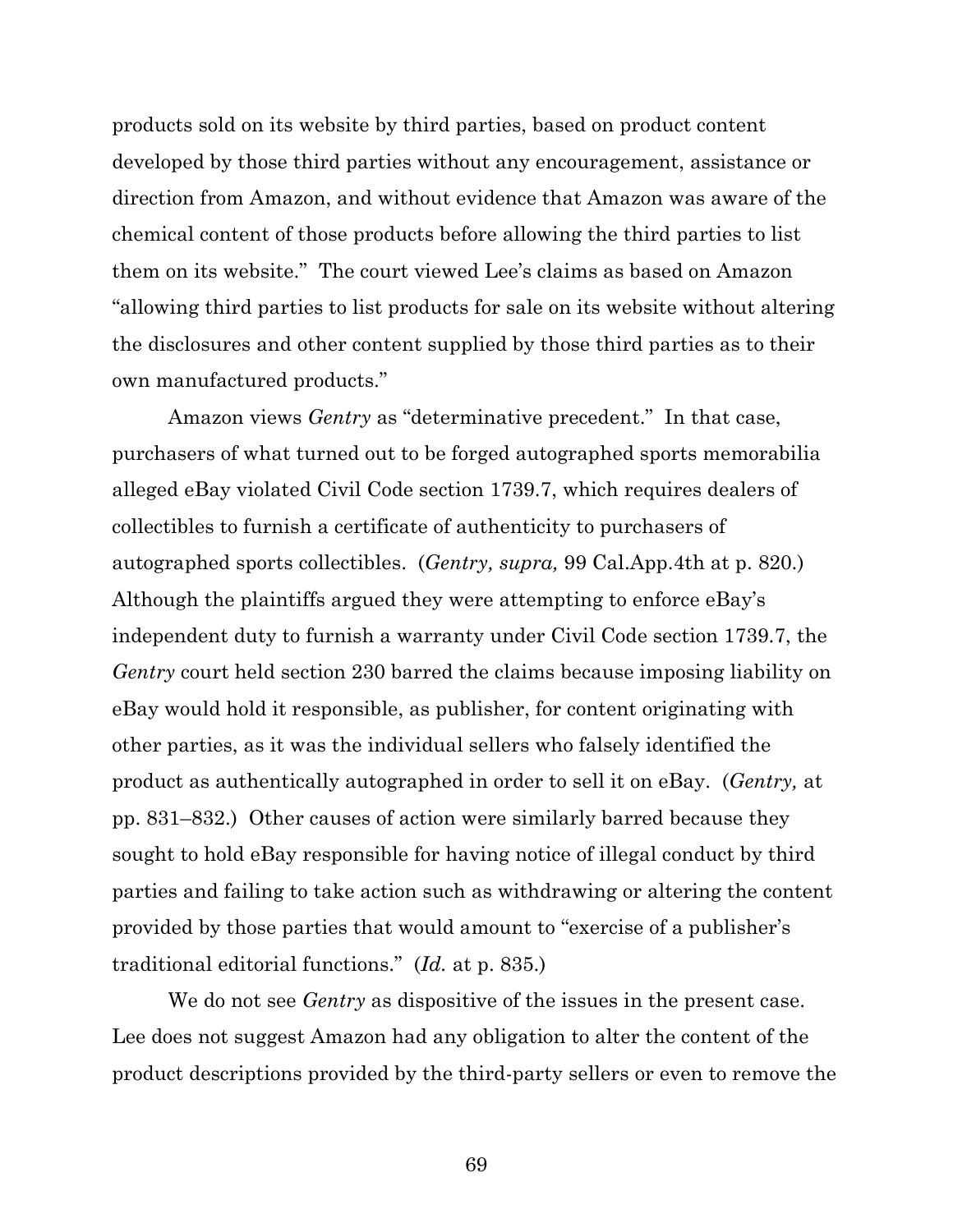products sold on its website by third parties, based on product content developed by those third parties without any encouragement, assistance or direction from Amazon, and without evidence that Amazon was aware of the chemical content of those products before allowing the third parties to list them on its website." The court viewed Lee's claims as based on Amazon "allowing third parties to list products for sale on its website without altering the disclosures and other content supplied by those third parties as to their own manufactured products."

Amazon views *Gentry* as "determinative precedent." In that case, purchasers of what turned out to be forged autographed sports memorabilia alleged eBay violated Civil Code section 1739.7, which requires dealers of collectibles to furnish a certificate of authenticity to purchasers of autographed sports collectibles. (*Gentry, supra,* 99 Cal.App.4th at p. 820.) Although the plaintiffs argued they were attempting to enforce eBay's independent duty to furnish a warranty under Civil Code section 1739.7, the *Gentry* court held section 230 barred the claims because imposing liability on eBay would hold it responsible, as publisher, for content originating with other parties, as it was the individual sellers who falsely identified the product as authentically autographed in order to sell it on eBay. (*Gentry,* at pp. 831–832.) Other causes of action were similarly barred because they sought to hold eBay responsible for having notice of illegal conduct by third parties and failing to take action such as withdrawing or altering the content provided by those parties that would amount to "exercise of a publisher's traditional editorial functions." (*Id.* at p. 835.)

We do not see *Gentry* as dispositive of the issues in the present case. Lee does not suggest Amazon had any obligation to alter the content of the product descriptions provided by the third-party sellers or even to remove the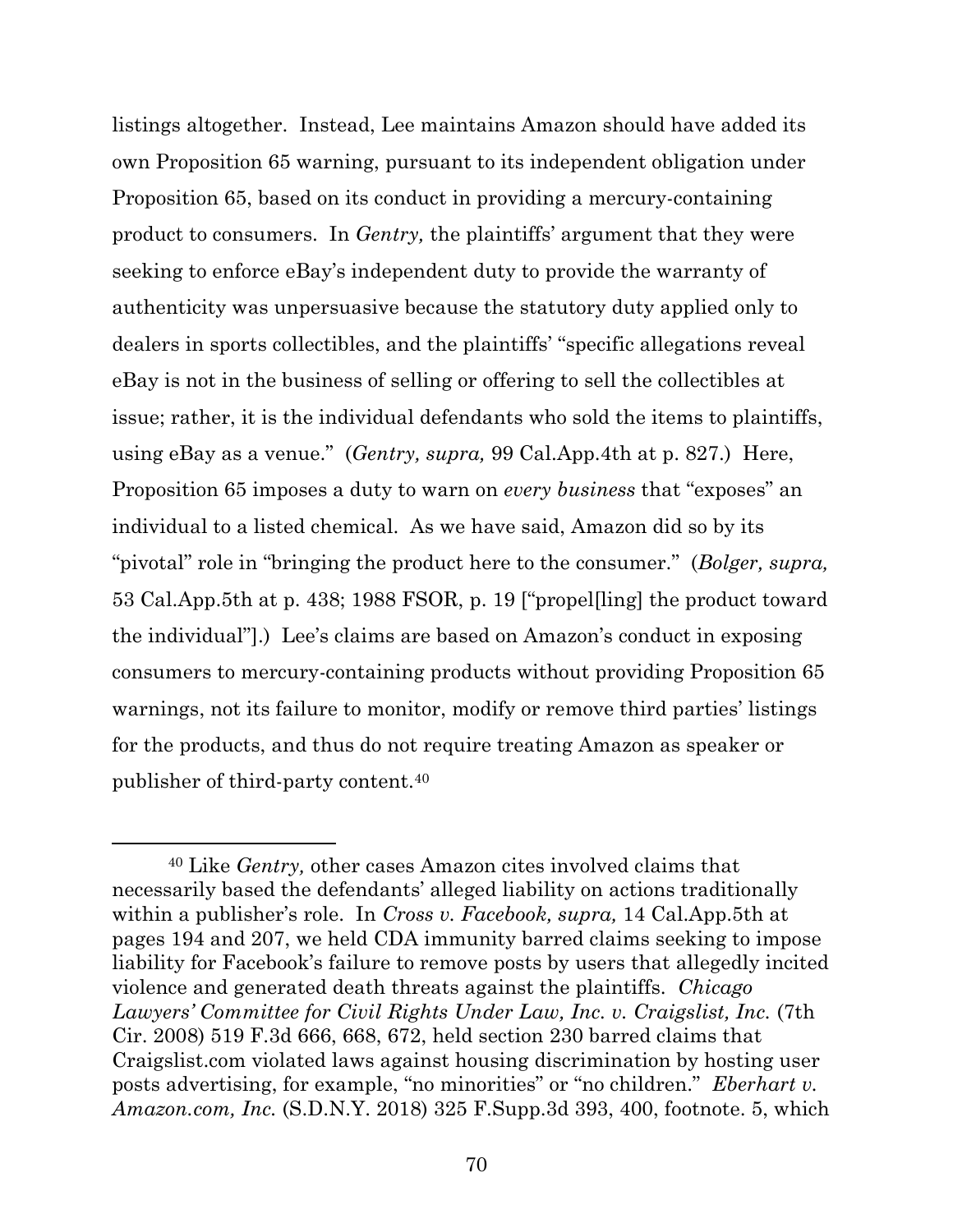listings altogether. Instead, Lee maintains Amazon should have added its own Proposition 65 warning, pursuant to its independent obligation under Proposition 65, based on its conduct in providing a mercury-containing product to consumers. In *Gentry,* the plaintiffs' argument that they were seeking to enforce eBay's independent duty to provide the warranty of authenticity was unpersuasive because the statutory duty applied only to dealers in sports collectibles, and the plaintiffs' "specific allegations reveal eBay is not in the business of selling or offering to sell the collectibles at issue; rather, it is the individual defendants who sold the items to plaintiffs, using eBay as a venue." (*Gentry, supra,* 99 Cal.App.4th at p. 827.) Here, Proposition 65 imposes a duty to warn on *every business* that "exposes" an individual to a listed chemical. As we have said, Amazon did so by its "pivotal" role in "bringing the product here to the consumer." (*Bolger, supra,*  53 Cal.App.5th at p. 438; 1988 FSOR, p. 19 ["propel[ling] the product toward the individual"].) Lee's claims are based on Amazon's conduct in exposing consumers to mercury-containing products without providing Proposition 65 warnings, not its failure to monitor, modify or remove third parties' listings for the products, and thus do not require treating Amazon as speaker or publisher of third-party content.<sup>40</sup>

<sup>40</sup> Like *Gentry,* other cases Amazon cites involved claims that necessarily based the defendants' alleged liability on actions traditionally within a publisher's role. In *Cross v. Facebook, supra,* 14 Cal.App.5th at pages 194 and 207, we held CDA immunity barred claims seeking to impose liability for Facebook's failure to remove posts by users that allegedly incited violence and generated death threats against the plaintiffs. *Chicago*  Lawyers' Committee for Civil Rights Under Law, Inc. v. Craigslist, Inc. (7th Cir. 2008) 519 F.3d 666, 668, 672, held section 230 barred claims that Craigslist.com violated laws against housing discrimination by hosting user posts advertising, for example, "no minorities" or "no children." *Eberhart v. Amazon.com, Inc.* (S.D.N.Y. 2018) 325 F.Supp.3d 393, 400, footnote. 5, which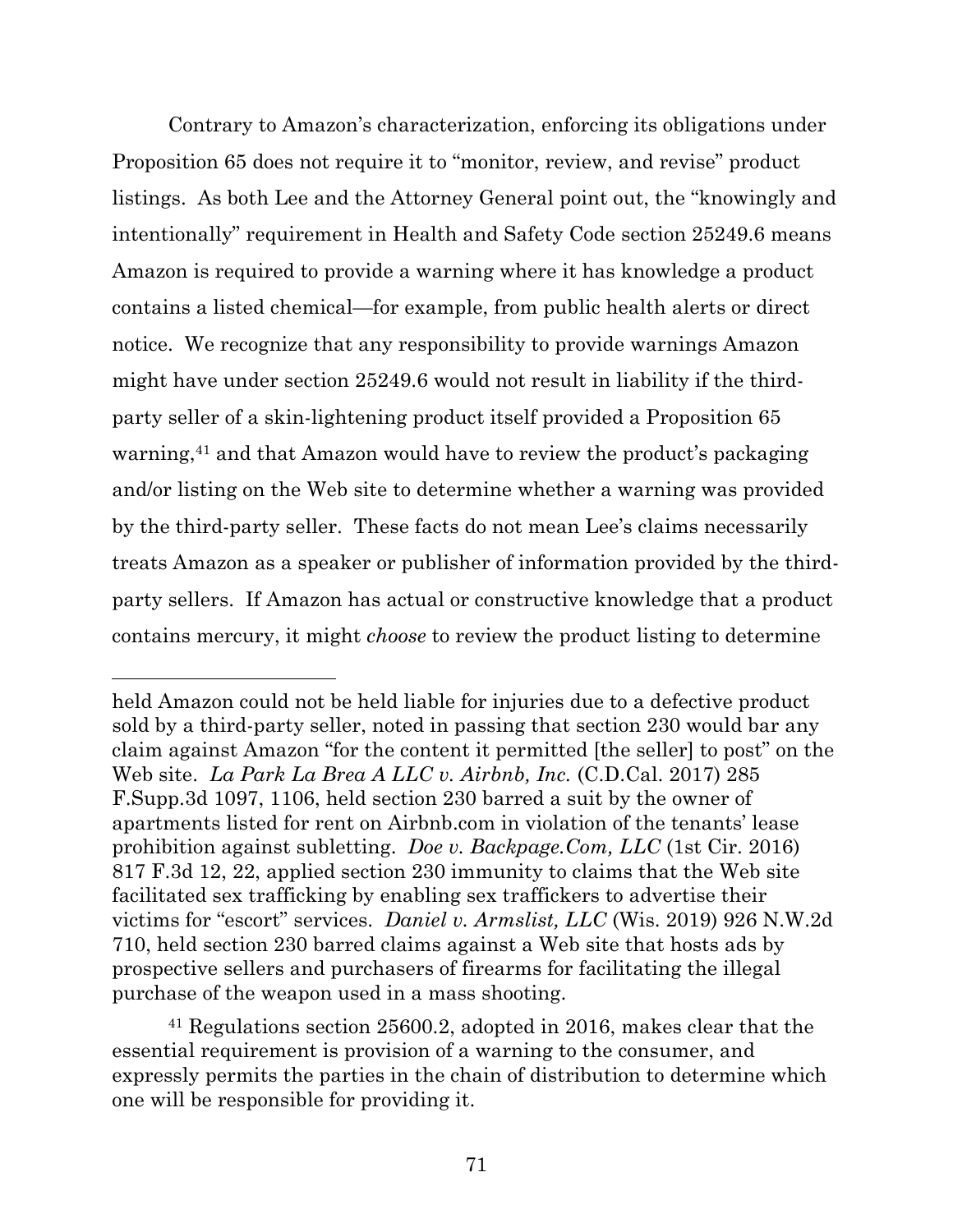Contrary to Amazon's characterization, enforcing its obligations under Proposition 65 does not require it to "monitor, review, and revise" product listings. As both Lee and the Attorney General point out, the "knowingly and intentionally" requirement in Health and Safety Code section 25249.6 means Amazon is required to provide a warning where it has knowledge a product contains a listed chemical—for example, from public health alerts or direct notice. We recognize that any responsibility to provide warnings Amazon might have under section 25249.6 would not result in liability if the thirdparty seller of a skin-lightening product itself provided a Proposition 65 warning,<sup>41</sup> and that Amazon would have to review the product's packaging and/or listing on the Web site to determine whether a warning was provided by the third-party seller. These facts do not mean Lee's claims necessarily treats Amazon as a speaker or publisher of information provided by the thirdparty sellers. If Amazon has actual or constructive knowledge that a product contains mercury, it might *choose* to review the product listing to determine

<sup>41</sup> Regulations section 25600.2, adopted in 2016, makes clear that the essential requirement is provision of a warning to the consumer, and expressly permits the parties in the chain of distribution to determine which one will be responsible for providing it.

held Amazon could not be held liable for injuries due to a defective product sold by a third-party seller, noted in passing that section 230 would bar any claim against Amazon "for the content it permitted [the seller] to post" on the Web site. *La Park La Brea A LLC v. Airbnb, Inc.* (C.D.Cal. 2017) 285 F.Supp.3d 1097, 1106, held section 230 barred a suit by the owner of apartments listed for rent on Airbnb.com in violation of the tenants' lease prohibition against subletting. *Doe v. Backpage.Com, LLC* (1st Cir. 2016) 817 F.3d 12, 22, applied section 230 immunity to claims that the Web site facilitated sex trafficking by enabling sex traffickers to advertise their victims for "escort" services. *Daniel v. Armslist, LLC* (Wis. 2019) 926 N.W.2d 710, held section 230 barred claims against a Web site that hosts ads by prospective sellers and purchasers of firearms for facilitating the illegal purchase of the weapon used in a mass shooting.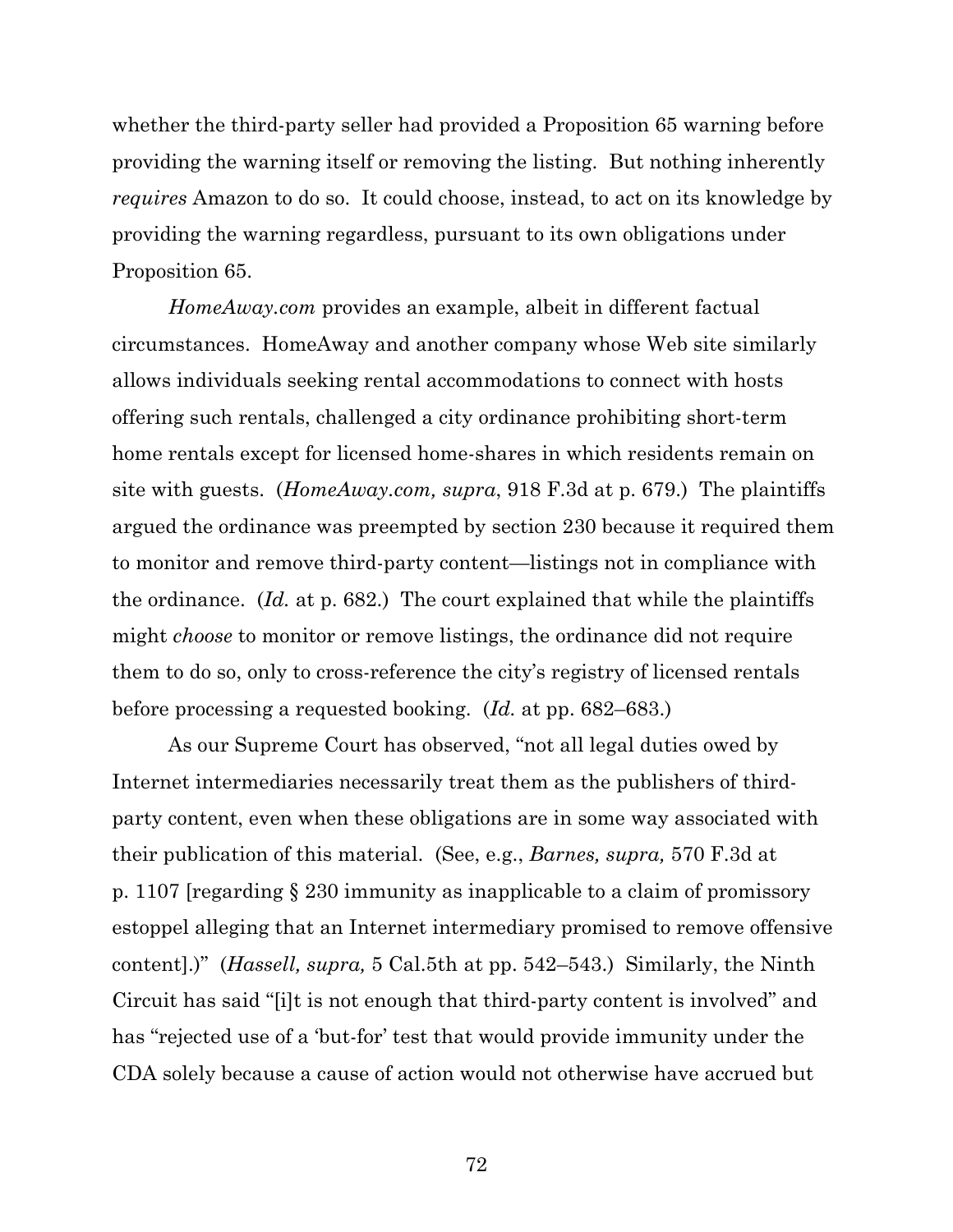whether the third-party seller had provided a Proposition 65 warning before providing the warning itself or removing the listing. But nothing inherently *requires* Amazon to do so. It could choose, instead, to act on its knowledge by providing the warning regardless, pursuant to its own obligations under Proposition 65.

*HomeAway.com* provides an example, albeit in different factual circumstances. HomeAway and another company whose Web site similarly allows individuals seeking rental accommodations to connect with hosts offering such rentals, challenged a city ordinance prohibiting short-term home rentals except for licensed home-shares in which residents remain on site with guests. (*HomeAway.com, supra*, 918 F.3d at p. 679.) The plaintiffs argued the ordinance was preempted by section 230 because it required them to monitor and remove third-party content—listings not in compliance with the ordinance. (*Id.* at p. 682.) The court explained that while the plaintiffs might *choose* to monitor or remove listings, the ordinance did not require them to do so, only to cross-reference the city's registry of licensed rentals before processing a requested booking. (*Id.* at pp. 682–683.)

As our Supreme Court has observed, "not all legal duties owed by Internet intermediaries necessarily treat them as the publishers of thirdparty content, even when these obligations are in some way associated with their publication of this material. (See, e.g., *Barnes, supra,* 570 F.3d at p. 1107 [regarding § 230 immunity as inapplicable to a claim of promissory estoppel alleging that an Internet intermediary promised to remove offensive content].)" (*Hassell, supra,* 5 Cal.5th at pp. 542–543.) Similarly, the Ninth Circuit has said "[i]t is not enough that third-party content is involved" and has "rejected use of a 'but-for' test that would provide immunity under the CDA solely because a cause of action would not otherwise have accrued but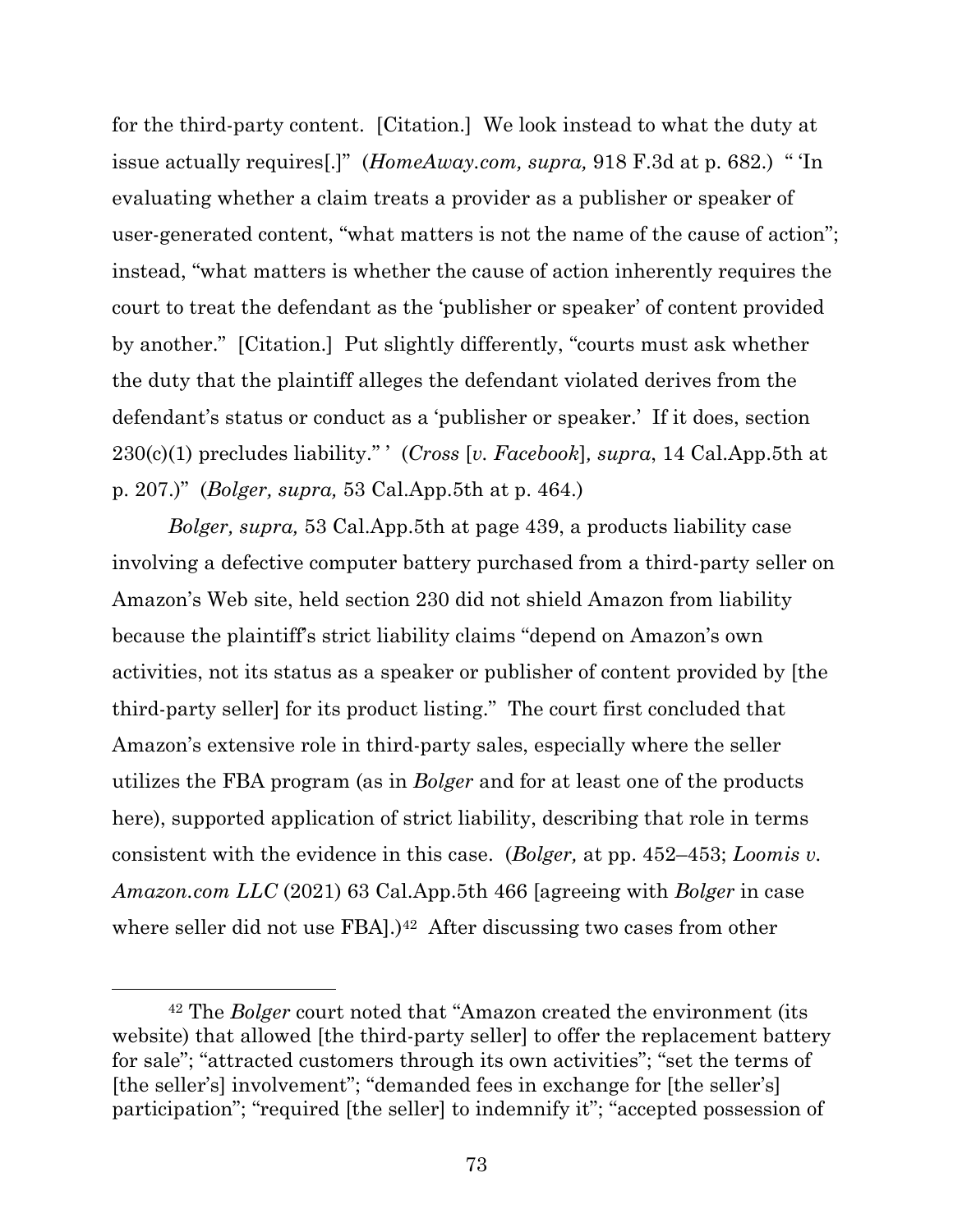for the third-party content. [Citation.] We look instead to what the duty at issue actually requires[.]" (*HomeAway.com, supra,* 918 F.3d at p. 682.) " 'In evaluating whether a claim treats a provider as a publisher or speaker of user-generated content, "what matters is not the name of the cause of action"; instead, "what matters is whether the cause of action inherently requires the court to treat the defendant as the 'publisher or speaker' of content provided by another." [Citation.] Put slightly differently, "courts must ask whether the duty that the plaintiff alleges the defendant violated derives from the defendant's status or conduct as a 'publisher or speaker.' If it does, section 230(c)(1) precludes liability." ' (*Cross* [*v. Facebook*]*, supra*, 14 Cal.App.5th at p. 207.)" (*Bolger, supra,* 53 Cal.App.5th at p. 464.)

*Bolger, supra,* 53 Cal.App.5th at page 439, a products liability case involving a defective computer battery purchased from a third-party seller on Amazon's Web site, held section 230 did not shield Amazon from liability because the plaintiff's strict liability claims "depend on Amazon's own activities, not its status as a speaker or publisher of content provided by [the third-party seller] for its product listing." The court first concluded that Amazon's extensive role in third-party sales, especially where the seller utilizes the FBA program (as in *Bolger* and for at least one of the products here), supported application of strict liability, describing that role in terms consistent with the evidence in this case. (*Bolger,* at pp. 452–453; *Loomis v. Amazon.com LLC* (2021) 63 Cal.App.5th 466 [agreeing with *Bolger* in case where seller did not use FBA].)<sup>42</sup> After discussing two cases from other

<sup>42</sup> The *Bolger* court noted that "Amazon created the environment (its website) that allowed [the third-party seller] to offer the replacement battery for sale"; "attracted customers through its own activities"; "set the terms of [the seller's] involvement"; "demanded fees in exchange for [the seller's] participation"; "required [the seller] to indemnify it"; "accepted possession of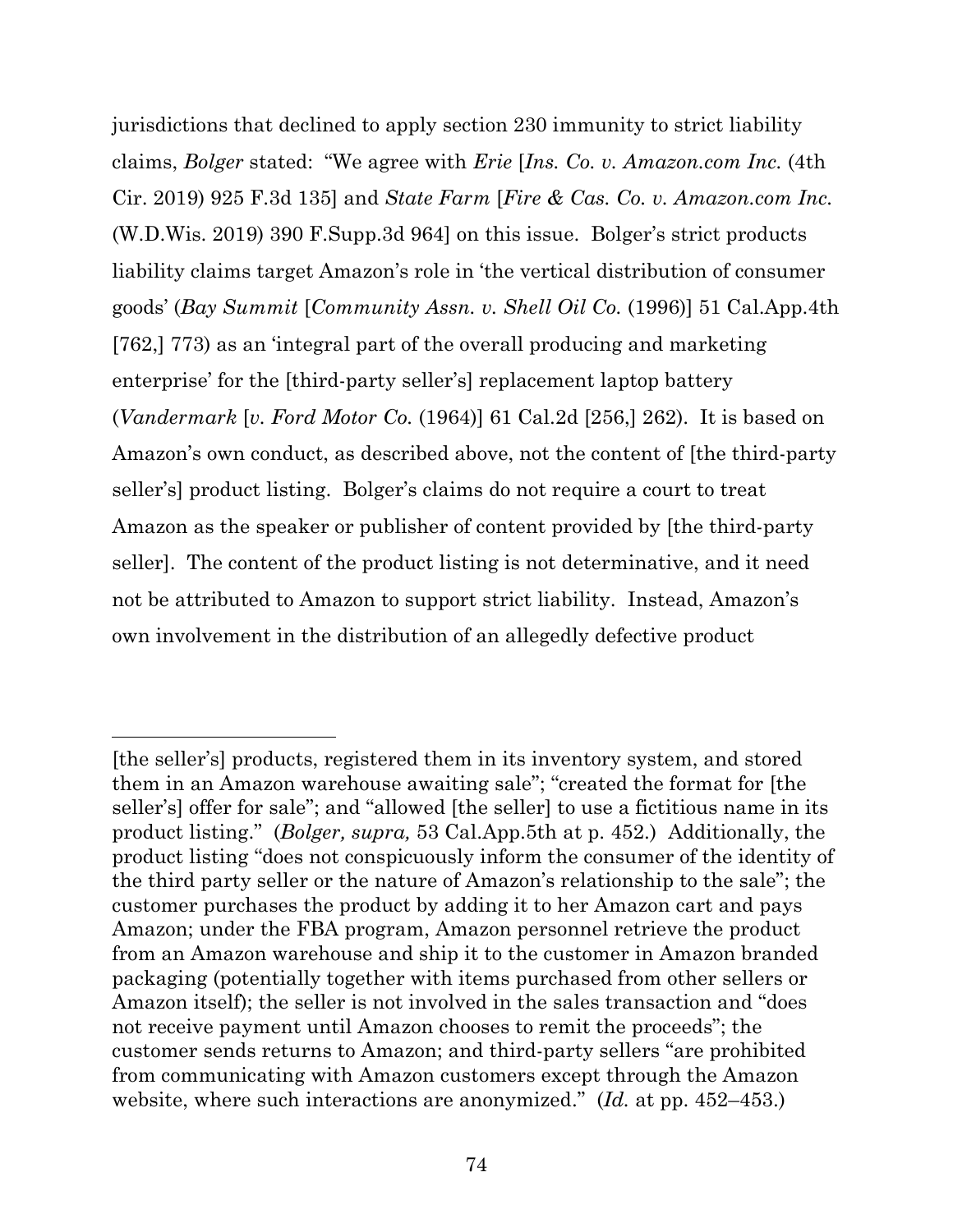jurisdictions that declined to apply section 230 immunity to strict liability claims, *Bolger* stated: "We agree with *Erie* [*Ins. Co. v. Amazon.com Inc.* (4th Cir. 2019) 925 F.3d 135] and *State Farm* [*Fire & Cas. Co. v. Amazon.com Inc.* (W.D.Wis. 2019) 390 F.Supp.3d 964] on this issue. Bolger's strict products liability claims target Amazon's role in 'the vertical distribution of consumer goods' (*Bay Summit* [*Community Assn. v. Shell Oil Co.* (1996)] 51 Cal.App.4th [762,] 773) as an 'integral part of the overall producing and marketing enterprise' for the [third-party seller's] replacement laptop battery (*Vandermark* [*v. Ford Motor Co.* (1964)] 61 Cal.2d [256,] 262). It is based on Amazon's own conduct, as described above, not the content of [the third-party seller's] product listing. Bolger's claims do not require a court to treat Amazon as the speaker or publisher of content provided by [the third-party seller]. The content of the product listing is not determinative, and it need not be attributed to Amazon to support strict liability. Instead, Amazon's own involvement in the distribution of an allegedly defective product

<sup>[</sup>the seller's] products, registered them in its inventory system, and stored them in an Amazon warehouse awaiting sale"; "created the format for [the seller's] offer for sale"; and "allowed [the seller] to use a fictitious name in its product listing." (*Bolger, supra,* 53 Cal.App.5th at p. 452.) Additionally, the product listing "does not conspicuously inform the consumer of the identity of the third party seller or the nature of Amazon's relationship to the sale"; the customer purchases the product by adding it to her Amazon cart and pays Amazon; under the FBA program, Amazon personnel retrieve the product from an Amazon warehouse and ship it to the customer in Amazon branded packaging (potentially together with items purchased from other sellers or Amazon itself); the seller is not involved in the sales transaction and "does not receive payment until Amazon chooses to remit the proceeds"; the customer sends returns to Amazon; and third-party sellers "are prohibited from communicating with Amazon customers except through the Amazon website, where such interactions are anonymized." (*Id.* at pp. 452–453.)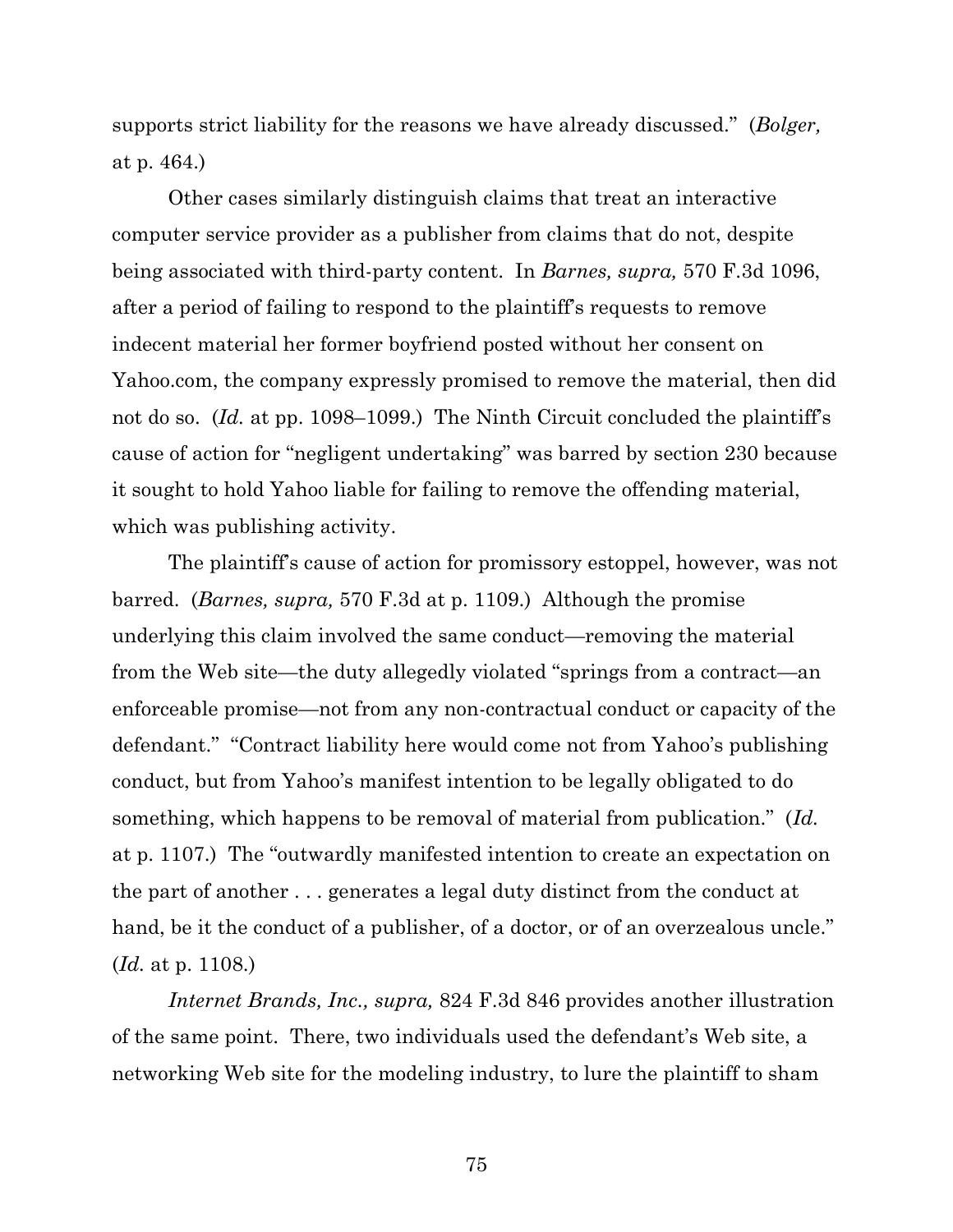supports strict liability for the reasons we have already discussed." (*Bolger,*  at p. 464.)

Other cases similarly distinguish claims that treat an interactive computer service provider as a publisher from claims that do not, despite being associated with third-party content. In *Barnes, supra,* 570 F.3d 1096, after a period of failing to respond to the plaintiff's requests to remove indecent material her former boyfriend posted without her consent on Yahoo.com, the company expressly promised to remove the material, then did not do so. (*Id.* at pp. 1098–1099.) The Ninth Circuit concluded the plaintiff's cause of action for "negligent undertaking" was barred by section 230 because it sought to hold Yahoo liable for failing to remove the offending material, which was publishing activity.

The plaintiff's cause of action for promissory estoppel, however, was not barred. (*Barnes, supra,* 570 F.3d at p. 1109.) Although the promise underlying this claim involved the same conduct—removing the material from the Web site—the duty allegedly violated "springs from a contract—an enforceable promise—not from any non-contractual conduct or capacity of the defendant." "Contract liability here would come not from Yahoo's publishing conduct, but from Yahoo's manifest intention to be legally obligated to do something, which happens to be removal of material from publication." (*Id.*  at p. 1107.) The "outwardly manifested intention to create an expectation on the part of another . . . generates a legal duty distinct from the conduct at hand, be it the conduct of a publisher, of a doctor, or of an overzealous uncle." (*Id.* at p. 1108.)

*Internet Brands, Inc., supra,* 824 F.3d 846 provides another illustration of the same point. There, two individuals used the defendant's Web site, a networking Web site for the modeling industry, to lure the plaintiff to sham

75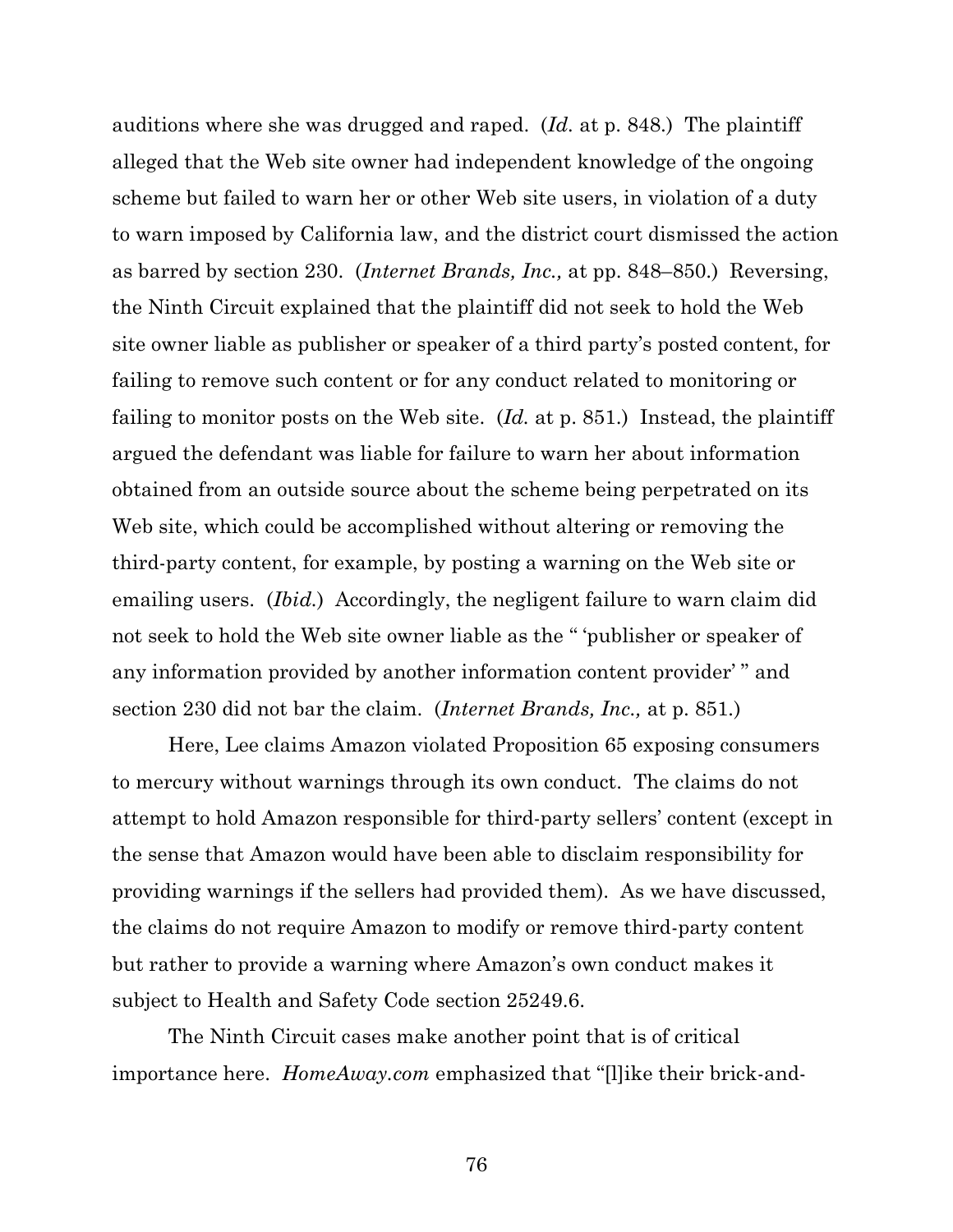auditions where she was drugged and raped. (*Id.* at p. 848.) The plaintiff alleged that the Web site owner had independent knowledge of the ongoing scheme but failed to warn her or other Web site users, in violation of a duty to warn imposed by California law, and the district court dismissed the action as barred by section 230. (*Internet Brands, Inc.,* at pp. 848–850.) Reversing, the Ninth Circuit explained that the plaintiff did not seek to hold the Web site owner liable as publisher or speaker of a third party's posted content, for failing to remove such content or for any conduct related to monitoring or failing to monitor posts on the Web site. (*Id.* at p. 851.) Instead, the plaintiff argued the defendant was liable for failure to warn her about information obtained from an outside source about the scheme being perpetrated on its Web site, which could be accomplished without altering or removing the third-party content, for example, by posting a warning on the Web site or emailing users. (*Ibid.*) Accordingly, the negligent failure to warn claim did not seek to hold the Web site owner liable as the " 'publisher or speaker of any information provided by another information content provider' " and section 230 did not bar the claim. (*Internet Brands, Inc.,* at p. 851*.*)

Here, Lee claims Amazon violated Proposition 65 exposing consumers to mercury without warnings through its own conduct. The claims do not attempt to hold Amazon responsible for third-party sellers' content (except in the sense that Amazon would have been able to disclaim responsibility for providing warnings if the sellers had provided them). As we have discussed, the claims do not require Amazon to modify or remove third-party content but rather to provide a warning where Amazon's own conduct makes it subject to Health and Safety Code section 25249.6.

The Ninth Circuit cases make another point that is of critical importance here. *HomeAway.com* emphasized that "[l]ike their brick-and-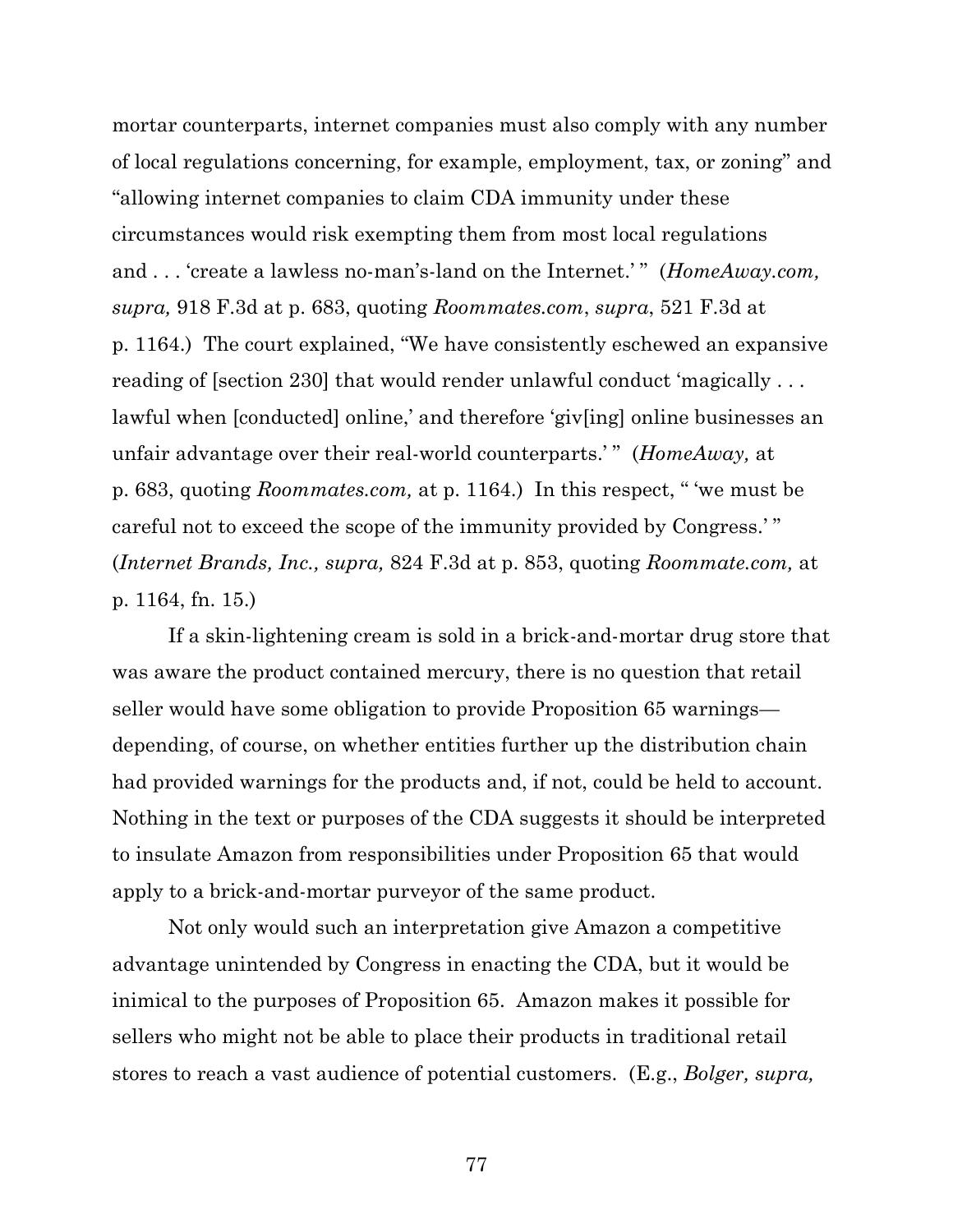mortar counterparts, internet companies must also comply with any number of local regulations concerning, for example, employment, tax, or zoning" and "allowing internet companies to claim CDA immunity under these circumstances would risk exempting them from most local regulations and . . . 'create a lawless no-man's-land on the Internet.' " (*HomeAway.com, supra,* 918 F.3d at p. 683, quoting *Roommates.com*, *supra*, 521 F.3d at p. 1164.) The court explained, "We have consistently eschewed an expansive reading of [section 230] that would render unlawful conduct 'magically . . . lawful when [conducted] online,' and therefore 'giv[ing] online businesses an unfair advantage over their real-world counterparts.' " (*HomeAway,* at p. 683, quoting *Roommates.com,* at p. 1164.) In this respect, " 'we must be careful not to exceed the scope of the immunity provided by Congress.' " (*Internet Brands, Inc., supra,* 824 F.3d at p. 853, quoting *Roommate.com,* at p. 1164, fn. 15.)

If a skin-lightening cream is sold in a brick-and-mortar drug store that was aware the product contained mercury, there is no question that retail seller would have some obligation to provide Proposition 65 warnings depending, of course, on whether entities further up the distribution chain had provided warnings for the products and, if not, could be held to account. Nothing in the text or purposes of the CDA suggests it should be interpreted to insulate Amazon from responsibilities under Proposition 65 that would apply to a brick-and-mortar purveyor of the same product.

Not only would such an interpretation give Amazon a competitive advantage unintended by Congress in enacting the CDA, but it would be inimical to the purposes of Proposition 65. Amazon makes it possible for sellers who might not be able to place their products in traditional retail stores to reach a vast audience of potential customers. (E.g., *Bolger, supra,* 

77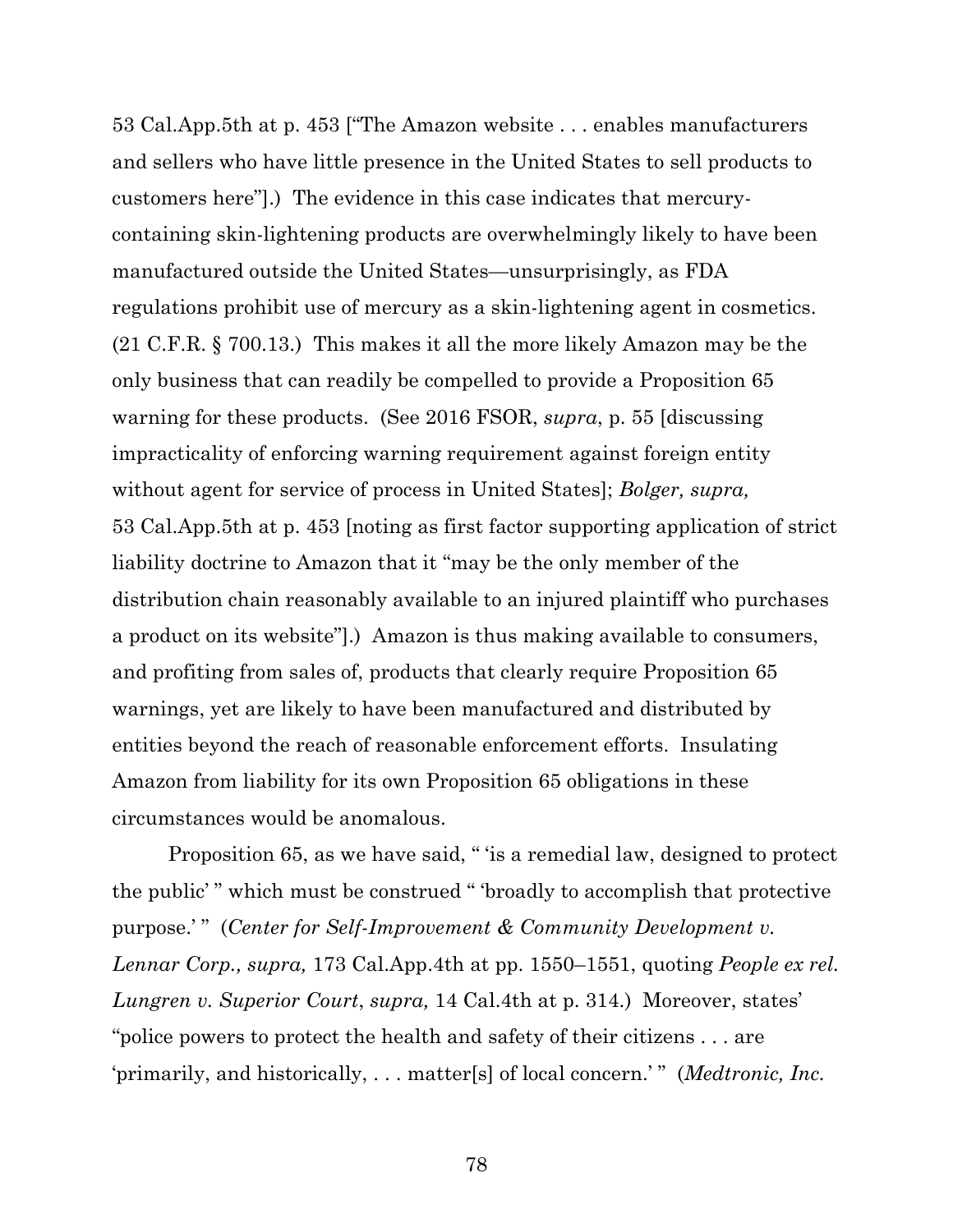53 Cal.App.5th at p. 453 ["The Amazon website . . . enables manufacturers and sellers who have little presence in the United States to sell products to customers here"].) The evidence in this case indicates that mercurycontaining skin-lightening products are overwhelmingly likely to have been manufactured outside the United States—unsurprisingly, as FDA regulations prohibit use of mercury as a skin-lightening agent in cosmetics. (21 C.F.R. § 700.13.) This makes it all the more likely Amazon may be the only business that can readily be compelled to provide a Proposition 65 warning for these products. (See 2016 FSOR, *supra*, p. 55 [discussing impracticality of enforcing warning requirement against foreign entity without agent for service of process in United States]; *Bolger, supra,*  53 Cal.App.5th at p. 453 [noting as first factor supporting application of strict liability doctrine to Amazon that it "may be the only member of the distribution chain reasonably available to an injured plaintiff who purchases a product on its website"].) Amazon is thus making available to consumers, and profiting from sales of, products that clearly require Proposition 65 warnings, yet are likely to have been manufactured and distributed by entities beyond the reach of reasonable enforcement efforts. Insulating Amazon from liability for its own Proposition 65 obligations in these circumstances would be anomalous.

Proposition 65, as we have said, " 'is a remedial law, designed to protect the public' " which must be construed " 'broadly to accomplish that protective purpose.'" (*Center for Self-Improvement & Community Development v. Lennar Corp., supra,* 173 Cal.App.4th at pp. 1550–1551, quoting *People ex rel. Lungren v. Superior Court*, *supra,* 14 Cal.4th at p. 314.) Moreover, states' "police powers to protect the health and safety of their citizens . . . are 'primarily, and historically, . . . matter[s] of local concern.' " (*Medtronic, Inc.*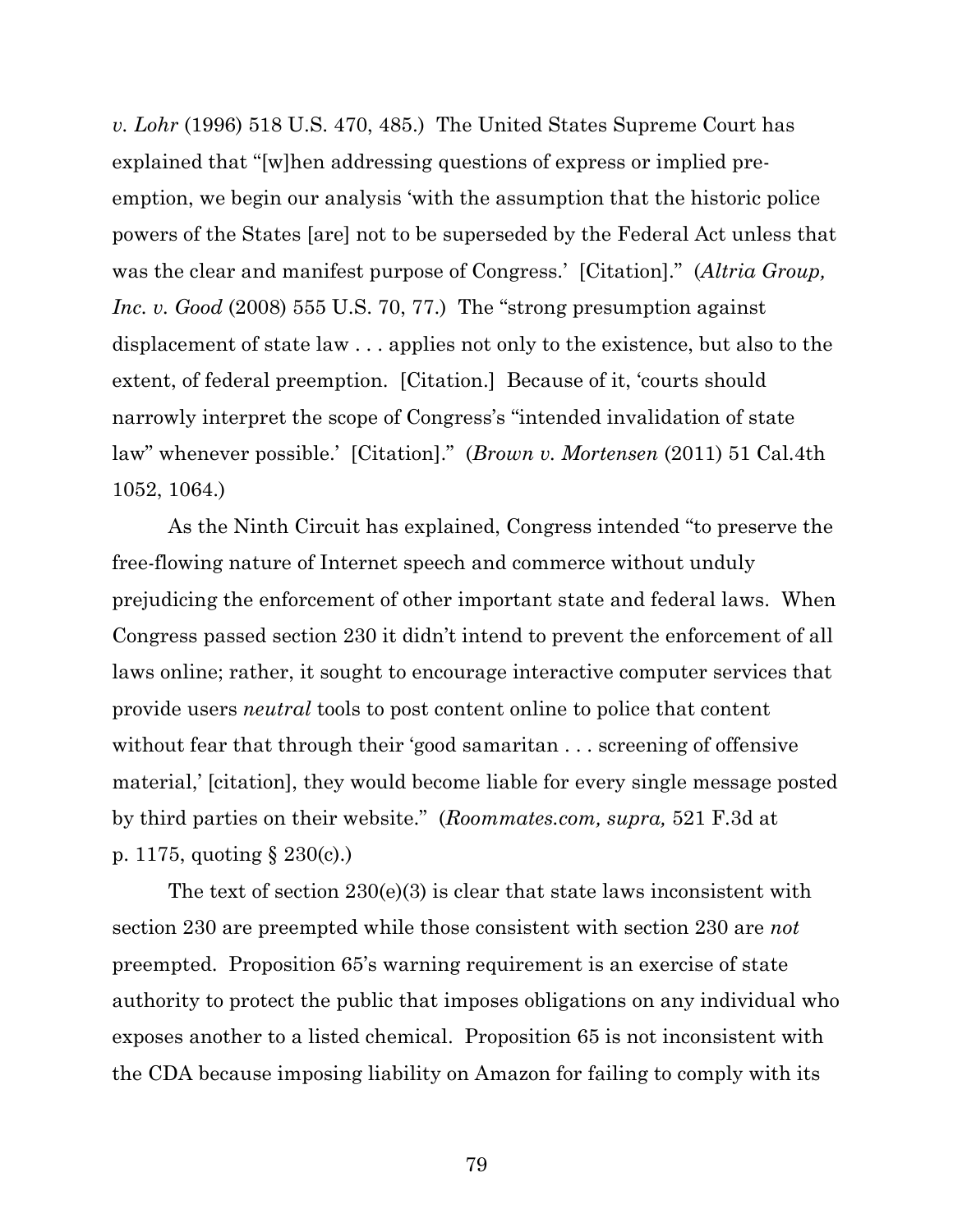*v. Lohr* (1996) 518 U.S. 470, 485.) The United States Supreme Court has explained that "[w]hen addressing questions of express or implied preemption, we begin our analysis 'with the assumption that the historic police powers of the States [are] not to be superseded by the Federal Act unless that was the clear and manifest purpose of Congress.' [Citation]." (*Altria Group, Inc. v. Good* (2008) 555 U.S. 70, 77.) The "strong presumption against displacement of state law . . . applies not only to the existence, but also to the extent, of federal preemption. [Citation.] Because of it, 'courts should narrowly interpret the scope of Congress's "intended invalidation of state law" whenever possible.' [Citation]." (*Brown v. Mortensen* (2011) 51 Cal.4th 1052, 1064.)

As the Ninth Circuit has explained, Congress intended "to preserve the free-flowing nature of Internet speech and commerce without unduly prejudicing the enforcement of other important state and federal laws. When Congress passed section 230 it didn't intend to prevent the enforcement of all laws online; rather, it sought to encourage interactive computer services that provide users *neutral* tools to post content online to police that content without fear that through their 'good samaritan . . . screening of offensive material,' [citation], they would become liable for every single message posted by third parties on their website." (*Roommates.com, supra,* 521 F.3d at p. 1175, quoting § 230(c).)

The text of section 230(e)(3) is clear that state laws inconsistent with section 230 are preempted while those consistent with section 230 are *not*  preempted. Proposition 65's warning requirement is an exercise of state authority to protect the public that imposes obligations on any individual who exposes another to a listed chemical. Proposition 65 is not inconsistent with the CDA because imposing liability on Amazon for failing to comply with its

79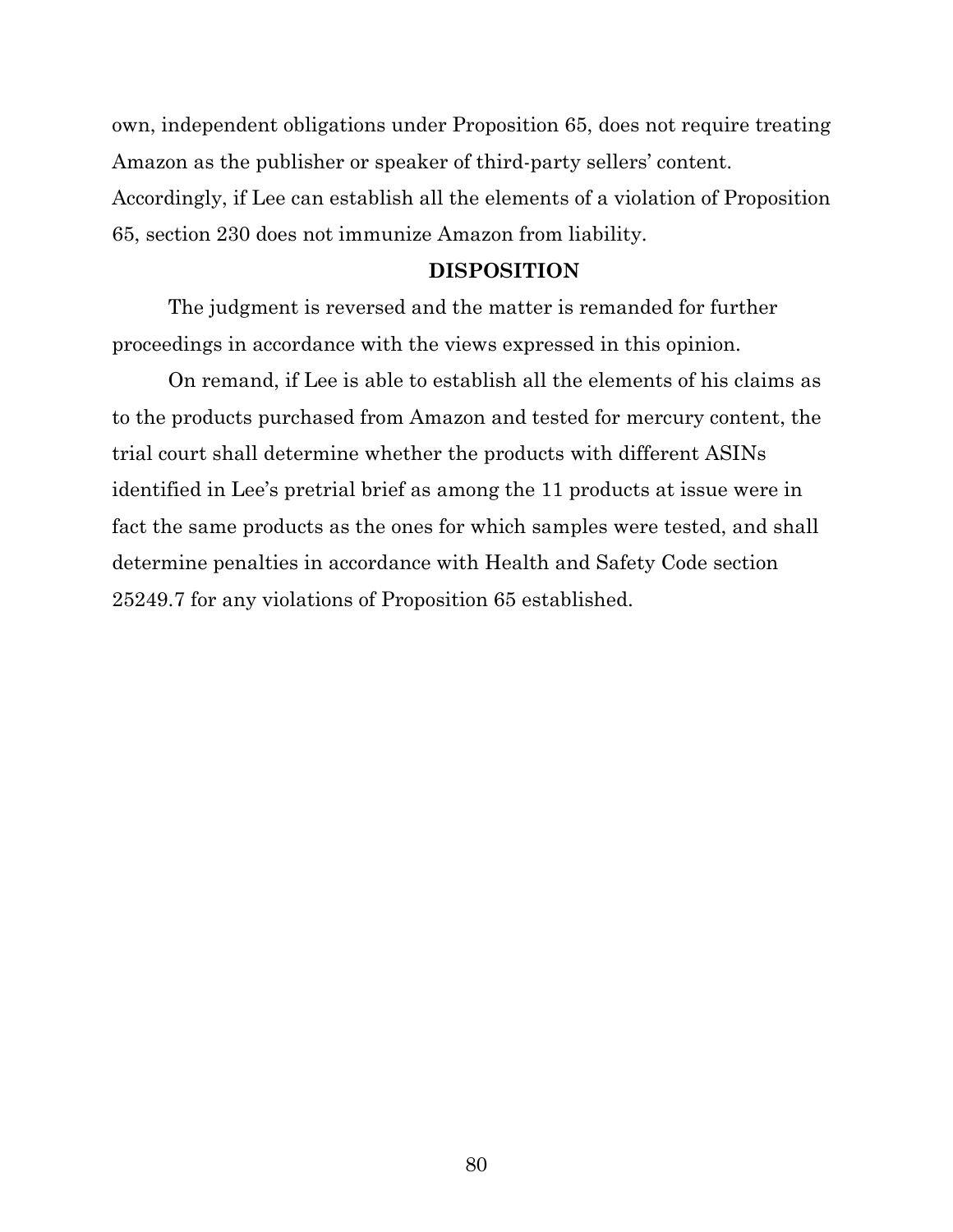own, independent obligations under Proposition 65, does not require treating Amazon as the publisher or speaker of third-party sellers' content. Accordingly, if Lee can establish all the elements of a violation of Proposition 65, section 230 does not immunize Amazon from liability.

## **DISPOSITION**

The judgment is reversed and the matter is remanded for further proceedings in accordance with the views expressed in this opinion.

On remand, if Lee is able to establish all the elements of his claims as to the products purchased from Amazon and tested for mercury content, the trial court shall determine whether the products with different ASINs identified in Lee's pretrial brief as among the 11 products at issue were in fact the same products as the ones for which samples were tested, and shall determine penalties in accordance with Health and Safety Code section 25249.7 for any violations of Proposition 65 established.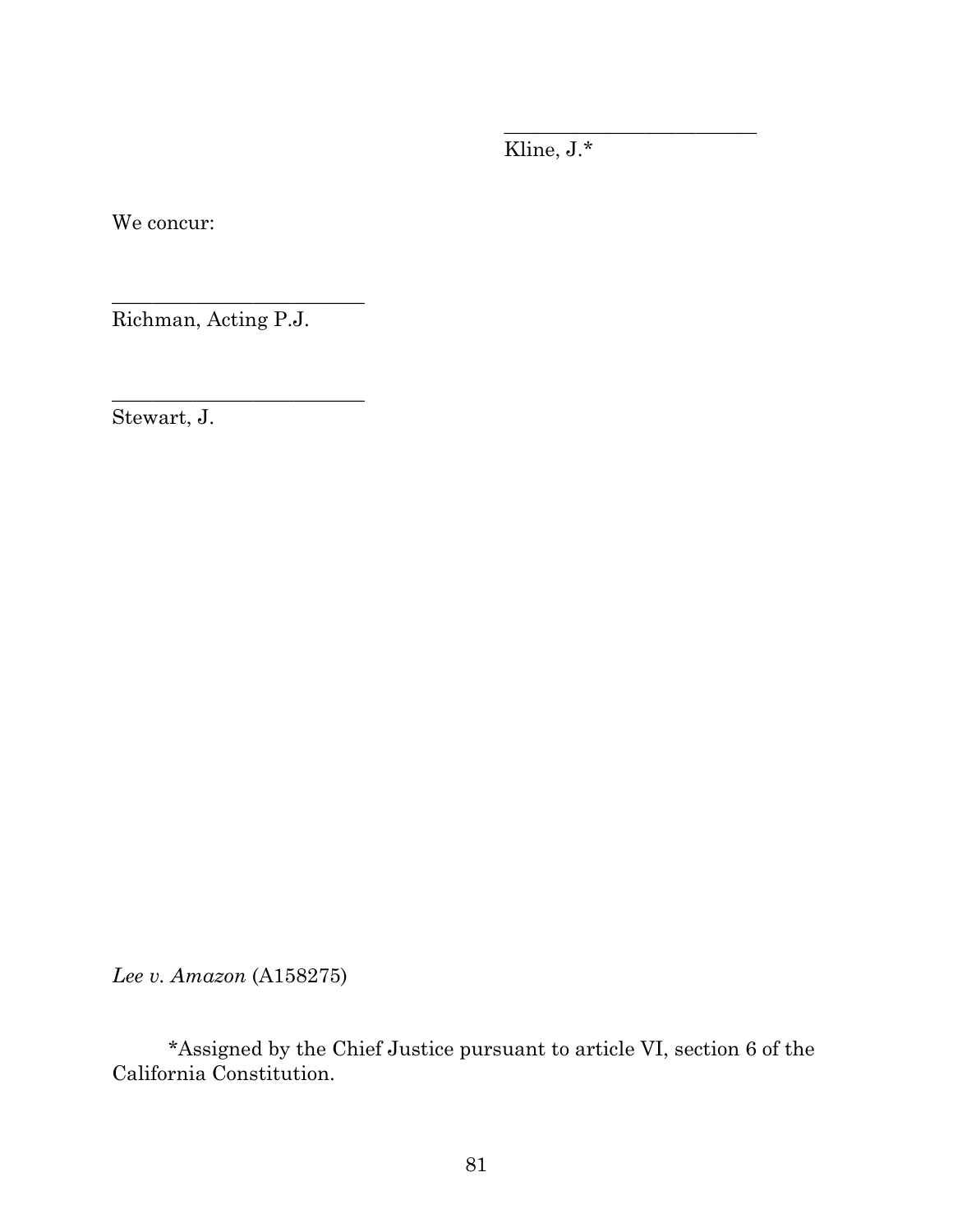Kline, J.\*

\_\_\_\_\_\_\_\_\_\_\_\_\_\_\_\_\_\_\_\_\_\_\_\_\_

We concur:

Richman, Acting P.J.

\_\_\_\_\_\_\_\_\_\_\_\_\_\_\_\_\_\_\_\_\_\_\_\_\_

\_\_\_\_\_\_\_\_\_\_\_\_\_\_\_\_\_\_\_\_\_\_\_\_\_

Stewart, J.

*Lee v. Amazon* (A158275)

\*Assigned by the Chief Justice pursuant to article VI, section 6 of the California Constitution.